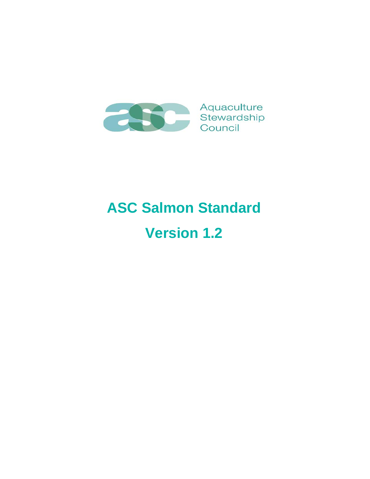

# **ASC Salmon Standard Version 1.2**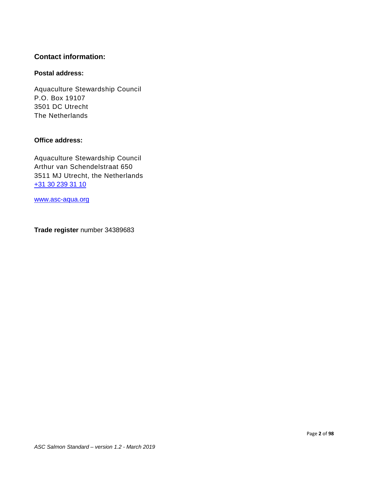### **Contact information:**

### **Postal address:**

Aquaculture Stewardship Council P.O. Box 19107 3501 DC Utrecht The Netherlands

### **Office address:**

Aquaculture Stewardship Council Arthur van Schendelstraat 650 3511 MJ Utrecht, the Netherlands [+31 30 239 31 10](tel:+31302393110)

[www.asc-aqua.org](http://www.asc-aqua.org/)

**Trade register** number 34389683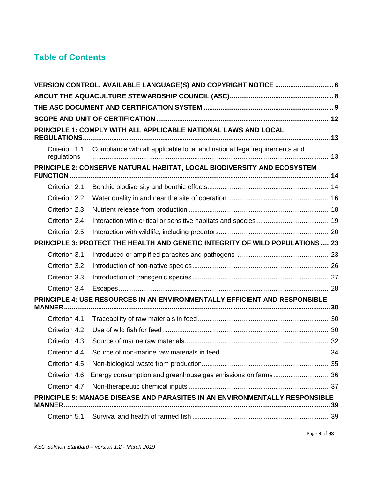# **Table of Contents**

| VERSION CONTROL, AVAILABLE LANGUAGE(S) AND COPYRIGHT NOTICE  6                               |                                                                              |  |  |  |
|----------------------------------------------------------------------------------------------|------------------------------------------------------------------------------|--|--|--|
|                                                                                              |                                                                              |  |  |  |
|                                                                                              |                                                                              |  |  |  |
|                                                                                              |                                                                              |  |  |  |
|                                                                                              | PRINCIPLE 1: COMPLY WITH ALL APPLICABLE NATIONAL LAWS AND LOCAL              |  |  |  |
| Criterion 1.1<br>regulations                                                                 | Compliance with all applicable local and national legal requirements and     |  |  |  |
| <b>FUNCTION.</b>                                                                             | PRINCIPLE 2: CONSERVE NATURAL HABITAT, LOCAL BIODIVERSITY AND ECOSYSTEM      |  |  |  |
| Criterion 2.1                                                                                |                                                                              |  |  |  |
| Criterion 2.2                                                                                |                                                                              |  |  |  |
| Criterion 2.3                                                                                |                                                                              |  |  |  |
| Criterion 2.4                                                                                |                                                                              |  |  |  |
| Criterion 2.5                                                                                |                                                                              |  |  |  |
|                                                                                              | PRINCIPLE 3: PROTECT THE HEALTH AND GENETIC INTEGRITY OF WILD POPULATIONS 23 |  |  |  |
| Criterion 3.1                                                                                |                                                                              |  |  |  |
| Criterion 3.2                                                                                |                                                                              |  |  |  |
| Criterion 3.3                                                                                |                                                                              |  |  |  |
| Criterion 3.4                                                                                |                                                                              |  |  |  |
|                                                                                              | PRINCIPLE 4: USE RESOURCES IN AN ENVIRONMENTALLY EFFICIENT AND RESPONSIBLE   |  |  |  |
| Criterion 4.1                                                                                |                                                                              |  |  |  |
| Criterion 4.2                                                                                |                                                                              |  |  |  |
| Criterion 4.3                                                                                |                                                                              |  |  |  |
| Criterion 4.4                                                                                |                                                                              |  |  |  |
| Criterion 4.5                                                                                |                                                                              |  |  |  |
| Criterion 4.6                                                                                | Energy consumption and greenhouse gas emissions on farms 36                  |  |  |  |
| Criterion 4.7                                                                                |                                                                              |  |  |  |
| PRINCIPLE 5: MANAGE DISEASE AND PARASITES IN AN ENVIRONMENTALLY RESPONSIBLE<br><b>MANNER</b> |                                                                              |  |  |  |
| Criterion 5.1                                                                                |                                                                              |  |  |  |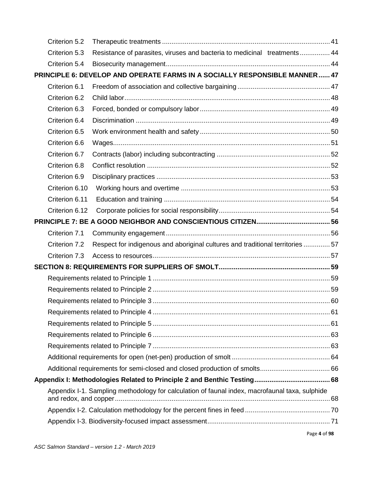| Criterion 5.2  |                                                                                |                                                                                                                                                                               |
|----------------|--------------------------------------------------------------------------------|-------------------------------------------------------------------------------------------------------------------------------------------------------------------------------|
| Criterion 5.3  | Resistance of parasites, viruses and bacteria to medicinal treatments 44       |                                                                                                                                                                               |
| Criterion 5.4  |                                                                                |                                                                                                                                                                               |
|                |                                                                                |                                                                                                                                                                               |
| Criterion 6.1  |                                                                                |                                                                                                                                                                               |
| Criterion 6.2  |                                                                                |                                                                                                                                                                               |
| Criterion 6.3  |                                                                                |                                                                                                                                                                               |
| Criterion 6.4  |                                                                                |                                                                                                                                                                               |
| Criterion 6.5  |                                                                                |                                                                                                                                                                               |
| Criterion 6.6  |                                                                                |                                                                                                                                                                               |
| Criterion 6.7  |                                                                                |                                                                                                                                                                               |
| Criterion 6.8  |                                                                                |                                                                                                                                                                               |
| Criterion 6.9  |                                                                                |                                                                                                                                                                               |
| Criterion 6.10 |                                                                                |                                                                                                                                                                               |
| Criterion 6.11 |                                                                                |                                                                                                                                                                               |
| Criterion 6.12 |                                                                                |                                                                                                                                                                               |
|                |                                                                                |                                                                                                                                                                               |
| Criterion 7.1  |                                                                                |                                                                                                                                                                               |
| Criterion 7.2  | Respect for indigenous and aboriginal cultures and traditional territories  57 |                                                                                                                                                                               |
| Criterion 7.3  |                                                                                |                                                                                                                                                                               |
|                |                                                                                |                                                                                                                                                                               |
|                |                                                                                |                                                                                                                                                                               |
|                |                                                                                |                                                                                                                                                                               |
|                |                                                                                |                                                                                                                                                                               |
|                |                                                                                |                                                                                                                                                                               |
|                |                                                                                |                                                                                                                                                                               |
|                |                                                                                |                                                                                                                                                                               |
|                |                                                                                |                                                                                                                                                                               |
|                |                                                                                |                                                                                                                                                                               |
|                |                                                                                |                                                                                                                                                                               |
|                |                                                                                |                                                                                                                                                                               |
|                |                                                                                |                                                                                                                                                                               |
|                |                                                                                |                                                                                                                                                                               |
|                |                                                                                |                                                                                                                                                                               |
|                |                                                                                | PRINCIPLE 6: DEVELOP AND OPERATE FARMS IN A SOCIALLY RESPONSIBLE MANNER  47<br>Appendix I-1. Sampling methodology for calculation of faunal index, macrofaunal taxa, sulphide |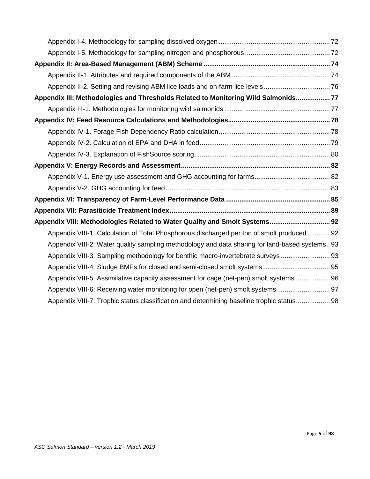| Appendix III: Methodologies and Thresholds Related to Monitoring Wild Salmonids 77             |
|------------------------------------------------------------------------------------------------|
|                                                                                                |
|                                                                                                |
|                                                                                                |
|                                                                                                |
|                                                                                                |
|                                                                                                |
|                                                                                                |
|                                                                                                |
|                                                                                                |
|                                                                                                |
| Appendix VIII: Methodologies Related to Water Quality and Smolt Systems 92                     |
| Appendix VIII-1. Calculation of Total Phosphorous discharged per ton of smolt produced 92      |
| Appendix VIII-2: Water quality sampling methodology and data sharing for land-based systems 93 |
| Appendix VIII-3: Sampling methodology for benthic macro-invertebrate surveys                   |
|                                                                                                |
| Appendix VIII-5: Assimilative capacity assessment for cage (net-pen) smolt systems  96         |
| Appendix VIII-6: Receiving water monitoring for open (net-pen) smolt systems  97               |
| Appendix VIII-7: Trophic status classification and determining baseline trophic status 98      |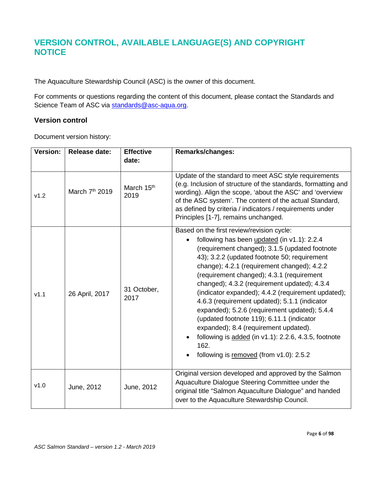# <span id="page-5-0"></span>**VERSION CONTROL, AVAILABLE LANGUAGE(S) AND COPYRIGHT NOTICE**

The Aquaculture Stewardship Council (ASC) is the owner of this document.

For comments or questions regarding the content of this document, please contact the Standards and Science Team of ASC via [standards@asc-aqua.org.](mailto:standards@asc-aqua.org)

### **Version control**

Document version history:

| <b>Version:</b> | <b>Release date:</b>       | <b>Effective</b>               | <b>Remarks/changes:</b>                                                                                                                                                                                                                                                                                                                                                                                                                                                                                                                                                                                                                                                                                        |  |
|-----------------|----------------------------|--------------------------------|----------------------------------------------------------------------------------------------------------------------------------------------------------------------------------------------------------------------------------------------------------------------------------------------------------------------------------------------------------------------------------------------------------------------------------------------------------------------------------------------------------------------------------------------------------------------------------------------------------------------------------------------------------------------------------------------------------------|--|
|                 |                            | date:                          |                                                                                                                                                                                                                                                                                                                                                                                                                                                                                                                                                                                                                                                                                                                |  |
| v1.2            | March 7 <sup>th</sup> 2019 | March 15 <sup>th</sup><br>2019 | Update of the standard to meet ASC style requirements<br>(e.g. Inclusion of structure of the standards, formatting and<br>wording). Align the scope, 'about the ASC' and 'overview<br>of the ASC system'. The content of the actual Standard,<br>as defined by criteria / indicators / requirements under<br>Principles [1-7], remains unchanged.                                                                                                                                                                                                                                                                                                                                                              |  |
| V1.1            | 26 April, 2017             | 31 October,<br>2017            | Based on the first review/revision cycle:<br>following has been updated (in v1.1): 2.2.4<br>$\bullet$<br>(requirement changed); 3.1.5 (updated footnote<br>43); 3.2.2 (updated footnote 50; requirement<br>change); 4.2.1 (requirement changed); 4.2.2<br>(requirement changed); 4.3.1 (requirement<br>changed); 4.3.2 (requirement updated); 4.3.4<br>(indicator expanded); 4.4.2 (requirement updated);<br>4.6.3 (requirement updated); 5.1.1 (indicator<br>expanded); 5.2.6 (requirement updated); 5.4.4<br>(updated footnote 119); 6.11.1 (indicator<br>expanded); 8.4 (requirement updated).<br>following is $added$ (in v1.1): 2.2.6, 4.3.5, footnote<br>162.<br>following is removed (from v1.0): 2.5.2 |  |
| v1.0            | June, 2012                 | June, 2012                     | Original version developed and approved by the Salmon<br>Aquaculture Dialogue Steering Committee under the<br>original title "Salmon Aquaculture Dialogue" and handed<br>over to the Aquaculture Stewardship Council.                                                                                                                                                                                                                                                                                                                                                                                                                                                                                          |  |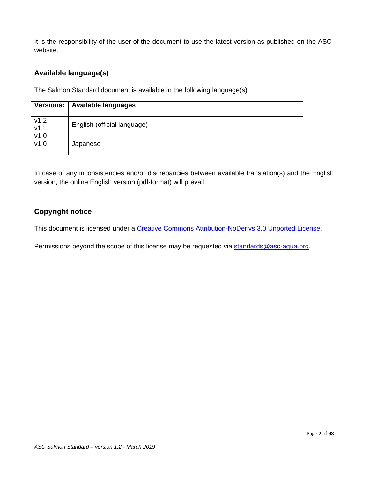It is the responsibility of the user of the document to use the latest version as published on the ASCwebsite.

### **Available language(s)**

The Salmon Standard document is available in the following language(s):

| Versions:                | <b>Available languages</b>  |
|--------------------------|-----------------------------|
| $v1.2$<br>$v1.1$<br>v1.0 | English (official language) |
| v1.0                     | Japanese                    |

In case of any inconsistencies and/or discrepancies between available translation(s) and the English version, the online English version (pdf-format) will prevail.

### **Copyright notice**

This document is licensed under a [Creative Commons Attribution-NoDerivs 3.0 Unported License.](https://creativecommons.org/licenses/by-nd/3.0/)

Permissions beyond the scope of this license may be requested via [standards@asc-aqua.org.](mailto:standards@asc-aqua.org)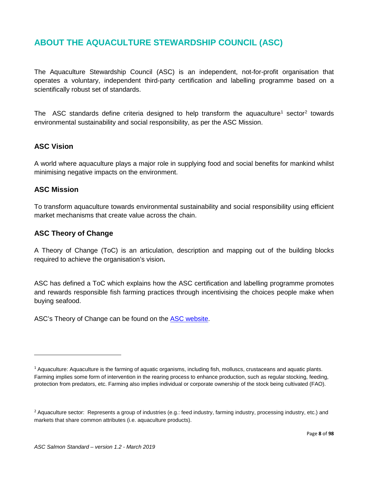# <span id="page-7-0"></span>**ABOUT THE AQUACULTURE STEWARDSHIP COUNCIL (ASC)**

The Aquaculture Stewardship Council (ASC) is an independent, not-for-profit organisation that operates a voluntary, independent third-party certification and labelling programme based on a scientifically robust set of standards.

The ASC standards define criteria designed to help transform the aquaculture<sup>[1](#page-7-1)</sup> sector<sup>[2](#page-7-2)</sup> towards environmental sustainability and social responsibility, as per the ASC Mission.

### **ASC Vision**

A world where aquaculture plays a major role in supplying food and social benefits for mankind whilst minimising negative impacts on the environment.

### **ASC Mission**

l

To transform aquaculture towards environmental sustainability and social responsibility using efficient market mechanisms that create value across the chain.

### **ASC Theory of Change**

A Theory of Change (ToC) is an articulation, description and mapping out of the building blocks required to achieve the organisation's vision**.** 

ASC has defined a ToC which explains how the ASC certification and labelling programme promotes and rewards responsible fish farming practices through incentivising the choices people make when buying seafood.

ASC's Theory of Change can be found on the [ASC website.](https://www.asc-aqua.org/what-we-do/how-we-make-a-difference/theory-of-change/)

<span id="page-7-1"></span><sup>&</sup>lt;sup>1</sup> Aquaculture: Aquaculture is the farming of aquatic organisms, including fish, molluscs, crustaceans and aquatic plants. Farming implies some form of intervention in the rearing process to enhance production, such as regular stocking, feeding, protection from predators, etc. Farming also implies individual or corporate ownership of the stock being cultivated (FAO).

<span id="page-7-2"></span><sup>&</sup>lt;sup>2</sup> Aquaculture sector: Represents a group of industries (e.g.: feed industry, farming industry, processing industry, etc.) and markets that share common attributes (i.e. aquaculture products).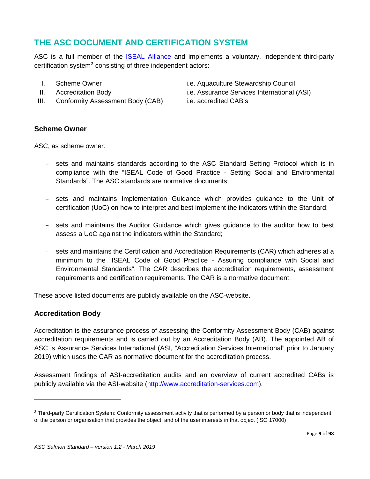# <span id="page-8-0"></span>**THE ASC DOCUMENT AND CERTIFICATION SYSTEM**

ASC is a full member of the [ISEAL Alliance](https://www.isealalliance.org/community-members?f%5B0%5D=community_status%3A176) and implements a voluntary, independent third-party certification system $3$  consisting of three independent actors:

- 
- 
- III. Conformity Assessment Body (CAB) i.e. accredited CAB's
- I. Scheme Owner i.e. Aquaculture Stewardship Council
- II. Accreditation Body i.e. Assurance Services International (ASI)
	-

### **Scheme Owner**

ASC, as scheme owner:

- sets and maintains standards according to the ASC Standard Setting Protocol which is in compliance with the "ISEAL Code of Good Practice - Setting Social and Environmental Standards". The ASC standards are normative documents;
- sets and maintains Implementation Guidance which provides guidance to the Unit of certification (UoC) on how to interpret and best implement the indicators within the Standard;
- sets and maintains the Auditor Guidance which gives guidance to the auditor how to best assess a UoC against the indicators within the Standard;
- sets and maintains the Certification and Accreditation Requirements (CAR) which adheres at a minimum to the "ISEAL Code of Good Practice - Assuring compliance with Social and Environmental Standards". The CAR describes the accreditation requirements, assessment requirements and certification requirements. The CAR is a normative document.

These above listed documents are publicly available on the ASC-website.

### **Accreditation Body**

 $\overline{a}$ 

Accreditation is the assurance process of assessing the Conformity Assessment Body (CAB) against accreditation requirements and is carried out by an Accreditation Body (AB). The appointed AB of ASC is Assurance Services International (ASI, "Accreditation Services International" prior to January 2019) which uses the CAR as normative document for the accreditation process.

Assessment findings of ASI-accreditation audits and an overview of current accredited CABs is publicly available via the ASI-website [\(http://www.accreditation-services.com\)](http://www.accreditation-services.com/).

<span id="page-8-1"></span><sup>&</sup>lt;sup>3</sup> Third-party Certification System: Conformity assessment activity that is performed by a person or body that is independent of the person or organisation that provides the object, and of the user interests in that object (ISO 17000)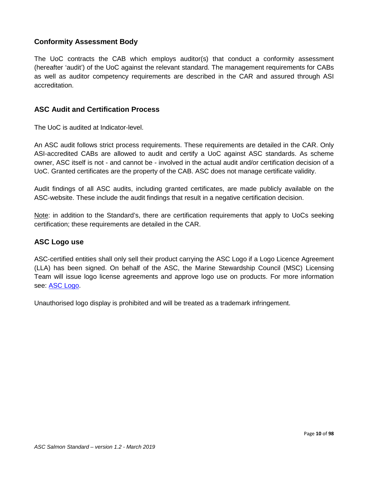### **Conformity Assessment Body**

The UoC contracts the CAB which employs auditor(s) that conduct a conformity assessment (hereafter 'audit') of the UoC against the relevant standard. The management requirements for CABs as well as auditor competency requirements are described in the CAR and assured through ASI accreditation.

### **ASC Audit and Certification Process**

The UoC is audited at Indicator-level.

An ASC audit follows strict process requirements. These requirements are detailed in the CAR. Only ASI-accredited CABs are allowed to audit and certify a UoC against ASC standards. As scheme owner, ASC itself is not - and cannot be - involved in the actual audit and/or certification decision of a UoC. Granted certificates are the property of the CAB. ASC does not manage certificate validity.

Audit findings of all ASC audits, including granted certificates, are made publicly available on the ASC-website. These include the audit findings that result in a negative certification decision.

Note: in addition to the Standard's, there are certification requirements that apply to UoCs seeking certification; these requirements are detailed in the CAR.

### **ASC Logo use**

ASC-certified entities shall only sell their product carrying the ASC Logo if a Logo Licence Agreement (LLA) has been signed. On behalf of the ASC, the Marine Stewardship Council (MSC) Licensing Team will issue logo license agreements and approve logo use on products. For more information see: [ASC Logo.](https://www.asc-aqua.org/our-logo/logo-user-guide/)

Unauthorised logo display is prohibited and will be treated as a trademark infringement.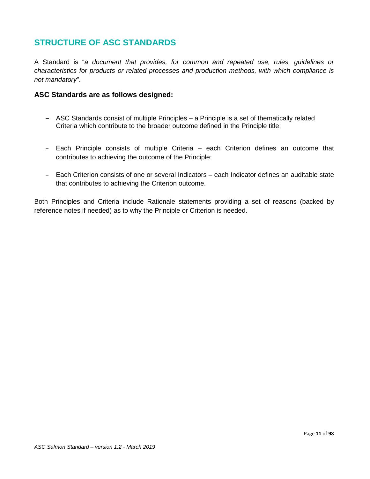# **STRUCTURE OF ASC STANDARDS**

A Standard is "*a document that provides, for common and repeated use, rules, guidelines or characteristics for products or related processes and production methods, with which compliance is not mandatory*".

### **ASC Standards are as follows designed:**

- ASC Standards consist of multiple Principles a Principle is a set of thematically related Criteria which contribute to the broader outcome defined in the Principle title;
- Each Principle consists of multiple Criteria each Criterion defines an outcome that contributes to achieving the outcome of the Principle;
- Each Criterion consists of one or several Indicators each Indicator defines an auditable state that contributes to achieving the Criterion outcome.

Both Principles and Criteria include Rationale statements providing a set of reasons (backed by reference notes if needed) as to why the Principle or Criterion is needed.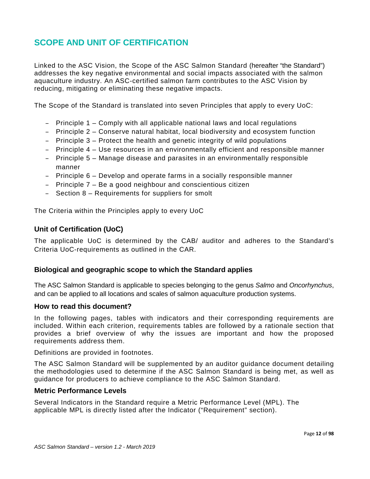# <span id="page-11-0"></span>**SCOPE AND UNIT OF CERTIFICATION**

Linked to the ASC Vision, the Scope of the ASC Salmon Standard (hereafter "the Standard") addresses the key negative environmental and social impacts associated with the salmon aquaculture industry. An ASC-certified salmon farm contributes to the ASC Vision by reducing, mitigating or eliminating these negative impacts.

The Scope of the Standard is translated into seven Principles that apply to every UoC:

- Principle 1 Comply with all applicable national laws and local regulations
- Principle 2 Conserve natural habitat, local biodiversity and ecosystem function
- Principle 3 Protect the health and genetic integrity of wild populations
- Principle 4 Use resources in an environmentally efficient and responsible manner
- Principle 5 Manage disease and parasites in an environmentally responsible manner
- Principle 6 Develop and operate farms in a socially responsible manner
- Principle 7 Be a good neighbour and conscientious citizen
- Section 8 Requirements for suppliers for smolt

The Criteria within the Principles apply to every UoC

### **Unit of Certification (UoC)**

The applicable UoC is determined by the CAB/ auditor and adheres to the Standard's Criteria UoC-requirements as outlined in the CAR.

### **Biological and geographic scope to which the Standard applies**

The ASC Salmon Standard is applicable to species belonging to the genus *Salmo* and *Oncorhynchus*, and can be applied to all locations and scales of salmon aquaculture production systems.

#### **How to read this document?**

In the following pages, tables with indicators and their corresponding requirements are included. Within each criterion, requirements tables are followed by a rationale section that provides a brief overview of why the issues are important and how the proposed requirements address them.

Definitions are provided in footnotes.

The ASC Salmon Standard will be supplemented by an auditor guidance document detailing the methodologies used to determine if the ASC Salmon Standard is being met, as well as guidance for producers to achieve compliance to the ASC Salmon Standard.

#### **Metric Performance Levels**

Several Indicators in the Standard require a Metric Performance Level (MPL). The applicable MPL is directly listed after the Indicator ("Requirement" section).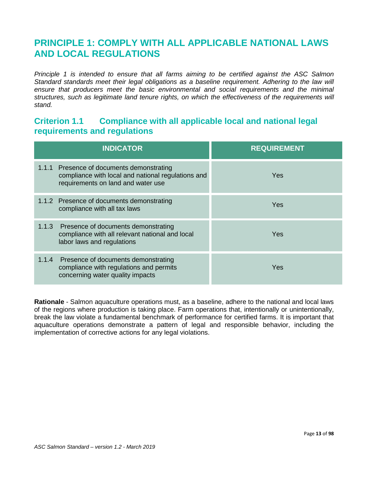# <span id="page-12-0"></span>**PRINCIPLE 1: COMPLY WITH ALL APPLICABLE NATIONAL LAWS AND LOCAL REGULATIONS**

*Principle 1 is intended to ensure that all farms aiming to be certified against the ASC Salmon Standard standards meet their legal obligations as a baseline requirement. Adhering to the law will ensure that producers meet the basic environmental and social requirements and the minimal structures, such as legitimate land tenure rights, on which the effectiveness of the requirements will stand.*

### <span id="page-12-1"></span>**Criterion 1.1 Compliance with all applicable local and national legal requirements and regulations**

| <b>INDICATOR</b>                                                                                                                      | <b>REQUIREMENT</b> |
|---------------------------------------------------------------------------------------------------------------------------------------|--------------------|
| 1.1.1 Presence of documents demonstrating<br>compliance with local and national regulations and<br>requirements on land and water use | Yes.               |
| 1.1.2 Presence of documents demonstrating<br>compliance with all tax laws                                                             | <b>Yes</b>         |
| 1.1.3 Presence of documents demonstrating<br>compliance with all relevant national and local<br>labor laws and regulations            | <b>Yes</b>         |
| 1.1.4 Presence of documents demonstrating<br>compliance with regulations and permits<br>concerning water quality impacts              | Yes                |

**Rationale** - Salmon aquaculture operations must, as a baseline, adhere to the national and local laws of the regions where production is taking place. Farm operations that, intentionally or unintentionally, break the law violate a fundamental benchmark of performance for certified farms. It is important that aquaculture operations demonstrate a pattern of legal and responsible behavior, including the implementation of corrective actions for any legal violations.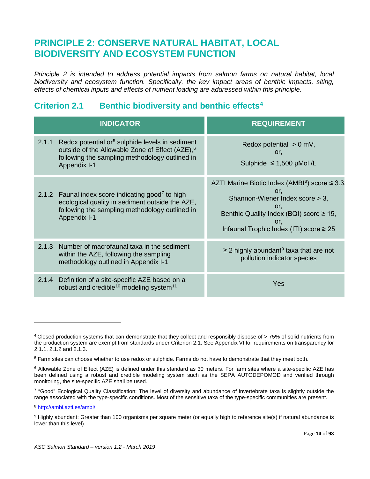# <span id="page-13-0"></span>**PRINCIPLE 2: CONSERVE NATURAL HABITAT, LOCAL BIODIVERSITY AND ECOSYSTEM FUNCTION**

*Principle 2 is intended to address potential impacts from salmon farms on natural habitat, local biodiversity and ecosystem function. Specifically, the key impact areas of benthic impacts, siting, effects of chemical inputs and effects of nutrient loading are addressed within this principle.* 

## <span id="page-13-1"></span>**Criterion 2.1 Benthic biodiversity and benthic effects[4](#page-13-2)**

|       | <b>INDICATOR</b>                                                                                                                                                                             | <b>REQUIREMENT</b>                                                                                                                                                                                                |
|-------|----------------------------------------------------------------------------------------------------------------------------------------------------------------------------------------------|-------------------------------------------------------------------------------------------------------------------------------------------------------------------------------------------------------------------|
| 2.1.1 | Redox potential or <sup>5</sup> sulphide levels in sediment<br>outside of the Allowable Zone of Effect (AZE), <sup>6</sup><br>following the sampling methodology outlined in<br>Appendix I-1 | Redox potential $> 0$ mV,<br>or.<br>Sulphide $≤ 1,500$ µMol /L                                                                                                                                                    |
|       | 2.1.2 Faunal index score indicating good <sup>7</sup> to high<br>ecological quality in sediment outside the AZE,<br>following the sampling methodology outlined in<br>Appendix I-1           | AZTI Marine Biotic Index (AMBI <sup>8</sup> ) score ≤ 3.3<br>or.<br>Shannon-Wiener Index score > 3,<br>or.<br>Benthic Quality Index (BQI) score $\geq$ 15,<br>or.<br>Infaunal Trophic Index (ITI) score $\geq 25$ |
| 2.1.3 | Number of macrofaunal taxa in the sediment<br>within the AZE, following the sampling<br>methodology outlined in Appendix I-1                                                                 | $\geq$ 2 highly abundant <sup>9</sup> taxa that are not<br>pollution indicator species                                                                                                                            |
| 2.1.4 | Definition of a site-specific AZE based on a<br>robust and credible <sup>10</sup> modeling system <sup>11</sup>                                                                              | Yes                                                                                                                                                                                                               |

<span id="page-13-9"></span><span id="page-13-8"></span> $\overline{a}$ 

<span id="page-13-2"></span><sup>4</sup> Closed production systems that can demonstrate that they collect and responsibly dispose of > 75% of solid nutrients from the production system are exempt from standards under Criterion 2.1. See Appendix VI for requirements on transparency for 2.1.1, 2.1.2 and 2.1.3.

<span id="page-13-3"></span><sup>5</sup> Farm sites can choose whether to use redox or sulphide. Farms do not have to demonstrate that they meet both.

<span id="page-13-4"></span><sup>6</sup> Allowable Zone of Effect (AZE) is defined under this standard as 30 meters. For farm sites where a site-specific AZE has been defined using a robust and credible modeling system such as the SEPA AUTODEPOMOD and verified through monitoring, the site-specific AZE shall be used.

<span id="page-13-5"></span><sup>7</sup> "Good" Ecological Quality Classification: The level of diversity and abundance of invertebrate taxa is slightly outside the range associated with the type-specific conditions. Most of the sensitive taxa of the type-specific communities are present.

<span id="page-13-6"></span><sup>8</sup> [http://ambi.azti.es/ambi/.](http://ambi.azti.es/ambi/)

<span id="page-13-7"></span><sup>9</sup> Highly abundant: Greater than 100 organisms per square meter (or equally high to reference site(s) if natural abundance is lower than this level).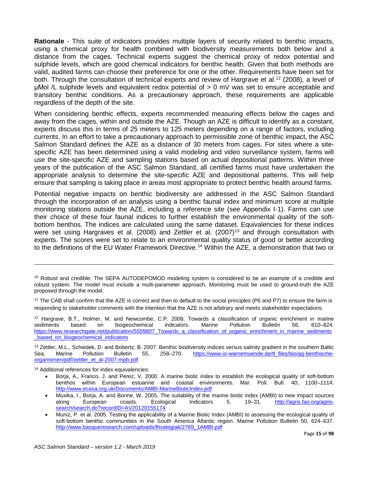**Rationale** - This suite of indicators provides multiple layers of security related to benthic impacts, using a chemical proxy for health combined with biodiversity measurements both below and a distance from the cages. Technical experts suggest the chemical proxy of redox potential and sulphide levels, which are good chemical indicators for benthic health. Given that both methods are valid, audited farms can choose their preference for one or the other. Requirements have been set for both. Through the consultation of technical experts and review of Hargrave et al.<sup>[12](#page-14-0)</sup> (2008), a level of μMol /L sulphide levels and equivalent redox potential of > 0 mV was set to ensure acceptable and transitory benthic conditions. As a precautionary approach, these requirements are applicable regardless of the depth of the site.

When considering benthic effects, experts recommended measuring effects below the cages and away from the cages, within and outside the AZE. Though an AZE is difficult to identify as a constant, experts discuss this in terms of 25 meters to 125 meters depending on a range of factors, including currents. In an effort to take a precautionary approach to permissible zone of benthic impact, the ASC Salmon Standard defines the AZE as a distance of 30 meters from cages. For sites where a sitespecific AZE has been determined using a valid modeling and video surveillance system, farms will use the site-specific AZE and sampling stations based on actual depositional patterns. Within three years of the publication of the ASC Salmon Standard, all certified farms must have undertaken the appropriate analysis to determine the site-specific AZE and depositional patterns. This will help ensure that sampling is taking place in areas most appropriate to protect benthic health around farms.

Potential negative impacts on benthic biodiversity are addressed in the ASC Salmon Standard through the incorporation of an analysis using a benthic faunal index and minimum score at multiple monitoring stations outside the AZE, including a reference site (see Appendix I-1). Farms can use their choice of these four faunal indices to further establish the environmental quality of the softbottom benthos. The indices are calculated using the same dataset. Equivalencies for these indices were set using Hargraves et al. (2008) and Zettler et al. (2007)<sup>[13](#page-14-1)</sup> and through consultation with experts. The scores were set to relate to an environmental quality status of good or better according to the definitions of the EU Water Framework Directive. [14](#page-14-2) Within the AZE, a demonstration that two or

<span id="page-14-0"></span><sup>12</sup> Hargrave, B.T., Holmer, M. and Newcombe, C.P. 2008. Towards a classification of organic enrichment in marine sediments based on biogeochemical indicators. Marine Pollution Bulletin 56, 810–824. [https://www.researchgate.net/publication/5509807\\_Towards\\_a\\_classification\\_of\\_organic\\_enrichment\\_in\\_marine\\_sediments](https://www.researchgate.net/publication/5509807_Towards_a_classification_of_organic_enrichment_in_marine_sediments_based_on_biogeochemical_indicators) based on biogeochemical indicators

<span id="page-14-1"></span><sup>13</sup> Zettler, M.L., Schiedek, D. and Bobertz, B. 2007. Benthic biodiversity indices versus salinity gradient in the southern Baltic Sea. Marine Pollution Bulletin 55, 258–270. [https://www.io-warnemuende.de/tl\\_files/bio/ag-benthische](https://www.io-warnemuende.de/tl_files/bio/ag-benthische-organismen/pdf/zettler_et_al-2007-mpb.pdf)[organismen/pdf/zettler\\_et\\_al-2007-mpb.pdf](https://www.io-warnemuende.de/tl_files/bio/ag-benthische-organismen/pdf/zettler_et_al-2007-mpb.pdf)

<span id="page-14-2"></span><sup>14</sup> Additional references for index equivalencies:

 $\overline{\phantom{a}}$ 

- Borja, A., Franco, J. and Perez, V. 2000. A marine biotic index to establish the ecological quality of soft-bottom benthos within European estuarine and coastal environments. Mar. Poll. Bull. 40, 1100–1114. <http://www.ecasa.org.uk/Documents/AMBI-MarineBioticIndex.pdf>
- Muxika, I., Borja, A. and Bonne, W. 2005. The suitability of the marine biotic index (AMBI) to new impact sources along European coasts. Ecological Indicators 5, 19–31. [http://agris.fao.org/agris](http://agris.fao.org/agris-search/search.do?recordID=AV20120155174)[search/search.do?recordID=AV20120155174](http://agris.fao.org/agris-search/search.do?recordID=AV20120155174)
- Muniz, P. et al. 2005. Testing the applicability of a Marine Biotic Index (AMBI) to assessing the ecological quality of soft-bottom benthic communities in the South America Atlantic region. Marine Pollution Bulletin 50, 624–637. [http://www.basqueresearch.com/uploads/fitxategiak/2769\\_1AMBI.pdf](http://www.basqueresearch.com/uploads/fitxategiak/2769_1AMBI.pdf)

<sup>&</sup>lt;sup>10</sup> Robust and credible: The SEPA AUTODEPOMOD modeling system is considered to be an example of a credible and robust system. The model must include a multi-parameter approach. Monitoring must be used to ground-truth the AZE proposed through the model.

<sup>&</sup>lt;sup>11</sup> The CAB shall confirm that the AZE is correct and then to default to the social principles (P6 and P7) to ensure the farm is responding to stakeholder comments with the intention that the AZE is not arbitrary and meets stakeholder expectations.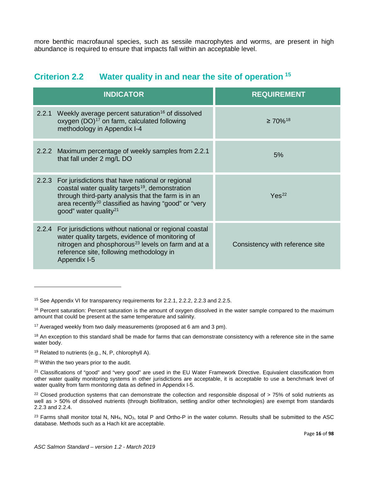more benthic macrofaunal species, such as sessile macrophytes and worms, are present in high abundance is required to ensure that impacts fall within an acceptable level.

<span id="page-15-0"></span>

| <b>Criterion 2.2</b> |  |  |  |  | Water quality in and near the site of operation <sup>15</sup> |
|----------------------|--|--|--|--|---------------------------------------------------------------|
|----------------------|--|--|--|--|---------------------------------------------------------------|

| <b>INDICATOR</b>                                                                                                                                                                                                                                                                      | <b>REQUIREMENT</b>              |
|---------------------------------------------------------------------------------------------------------------------------------------------------------------------------------------------------------------------------------------------------------------------------------------|---------------------------------|
| 2.2.1 Weekly average percent saturation <sup>16</sup> of dissolved<br>oxygen (DO) <sup>17</sup> on farm, calculated following<br>methodology in Appendix I-4                                                                                                                          | $\geq 70\%$ <sup>18</sup>       |
| 2.2.2 Maximum percentage of weekly samples from 2.2.1<br>that fall under 2 mg/L DO                                                                                                                                                                                                    | 5%                              |
| 2.2.3 For jurisdictions that have national or regional<br>coastal water quality targets <sup>19</sup> , demonstration<br>through third-party analysis that the farm is in an<br>area recently <sup>20</sup> classified as having "good" or "very<br>good" water quality <sup>21</sup> | Yes <sup>22</sup>               |
| 2.2.4 For jurisdictions without national or regional coastal<br>water quality targets, evidence of monitoring of<br>nitrogen and phosphorous <sup>23</sup> levels on farm and at a<br>reference site, following methodology in<br>Appendix I-5                                        | Consistency with reference site |

 $\overline{\phantom{a}}$ 

<span id="page-15-1"></span><sup>&</sup>lt;sup>15</sup> See Appendix VI for transparency requirements for 2.2.1, 2.2.2, 2.2.3 and 2.2.5.

<span id="page-15-2"></span> $16$  Percent saturation: Percent saturation is the amount of oxygen dissolved in the water sample compared to the maximum amount that could be present at the same temperature and salinity.

<span id="page-15-3"></span><sup>&</sup>lt;sup>17</sup> Averaged weekly from two daily measurements (proposed at 6 am and 3 pm).

<span id="page-15-4"></span><sup>&</sup>lt;sup>18</sup> An exception to this standard shall be made for farms that can demonstrate consistency with a reference site in the same water body.

<span id="page-15-5"></span><sup>&</sup>lt;sup>19</sup> Related to nutrients (e.g., N, P, chlorophyll A).

<span id="page-15-6"></span><sup>20</sup> Within the two years prior to the audit.

<span id="page-15-7"></span><sup>&</sup>lt;sup>21</sup> Classifications of "good" and "very good" are used in the EU Water Framework Directive. Equivalent classification from other water quality monitoring systems in other jurisdictions are acceptable, it is acceptable to use a benchmark level of water quality from farm monitoring data as defined in Appendix I-5.

<span id="page-15-8"></span> $22$  Closed production systems that can demonstrate the collection and responsible disposal of  $> 75\%$  of solid nutrients as well as > 50% of dissolved nutrients (through biofiltration, settling and/or other technologies) are exempt from standards 2.2.3 and 2.2.4.

<span id="page-15-9"></span> $23$  Farms shall monitor total N, NH<sub>4</sub>, NO<sub>3</sub>, total P and Ortho-P in the water column. Results shall be submitted to the ASC database. Methods such as a Hach kit are acceptable.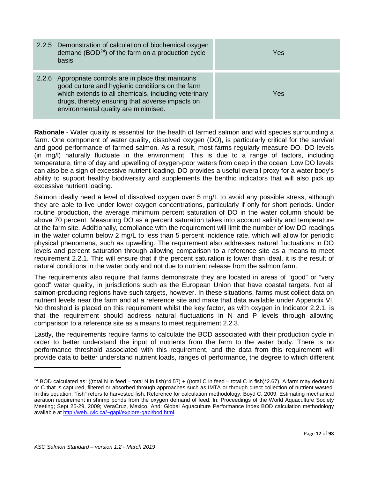| 2.2.5 Demonstration of calculation of biochemical oxygen<br>demand ( $BOD24$ ) of the farm on a production cycle<br>basis                                                                                                                                     | Yes |
|---------------------------------------------------------------------------------------------------------------------------------------------------------------------------------------------------------------------------------------------------------------|-----|
| 2.2.6 Appropriate controls are in place that maintains<br>good culture and hygienic conditions on the farm<br>which extends to all chemicals, including veterinary<br>drugs, thereby ensuring that adverse impacts on<br>environmental quality are minimised. | Yes |

**Rationale** - Water quality is essential for the health of farmed salmon and wild species surrounding a farm. One component of water quality, dissolved oxygen (DO), is particularly critical for the survival and good performance of farmed salmon. As a result, most farms regularly measure DO. DO levels (in mg/l) naturally fluctuate in the environment. This is due to a range of factors, including temperature, time of day and upwelling of oxygen-poor waters from deep in the ocean. Low DO levels can also be a sign of excessive nutrient loading. DO provides a useful overall proxy for a water body's ability to support healthy biodiversity and supplements the benthic indicators that will also pick up excessive nutrient loading.

Salmon ideally need a level of dissolved oxygen over 5 mg/L to avoid any possible stress, although they are able to live under lower oxygen concentrations, particularly if only for short periods. Under routine production, the average minimum percent saturation of DO in the water column should be above 70 percent. Measuring DO as a percent saturation takes into account salinity and temperature at the farm site. Additionally, compliance with the requirement will limit the number of low DO readings in the water column below 2 mg/L to less than 5 percent incidence rate, which will allow for periodic physical phenomena, such as upwelling. The requirement also addresses natural fluctuations in DO levels and percent saturation through allowing comparison to a reference site as a means to meet requirement 2.2.1. This will ensure that if the percent saturation is lower than ideal, it is the result of natural conditions in the water body and not due to nutrient release from the salmon farm.

The requirements also require that farms demonstrate they are located in areas of "good" or "very good" water quality, in jurisdictions such as the European Union that have coastal targets. Not all salmon-producing regions have such targets, however. In these situations, farms must collect data on nutrient levels near the farm and at a reference site and make that data available under Appendix VI. No threshold is placed on this requirement whilst the key factor, as with oxygen in Indicator 2.2.1, is that the requirement should address natural fluctuations in N and P levels through allowing comparison to a reference site as a means to meet requirement 2.2.3.

Lastly, the requirements require farms to calculate the BOD associated with their production cycle in order to better understand the input of nutrients from the farm to the water body. There is no performance threshold associated with this requirement, and the data from this requirement will provide data to better understand nutrient loads, ranges of performance, the degree to which different

<span id="page-16-0"></span><sup>&</sup>lt;sup>24</sup> BOD calculated as: ((total N in feed – total N in fish)\*4.57) + ((total C in feed – total C in fish)\*2.67). A farm may deduct N or C that is captured, filtered or absorbed through approaches such as IMTA or through direct collection of nutrient wasted. In this equation, "fish" refers to harvested fish. Reference for calculation methodology: Boyd C. 2009. Estimating mechanical aeration requirement in shrimp ponds from the oxygen demand of feed. In: Proceedings of the World Aquaculture Society Meeting; Sept 25-29, 2009; VeraCruz, Mexico. And: Global Aquaculture Performance Index BOD calculation methodology available a[t http://web.uvic.ca/~gapi/explore-gapi/bod.html.](http://web.uvic.ca/%7Egapi/explore-gapi/bod.html)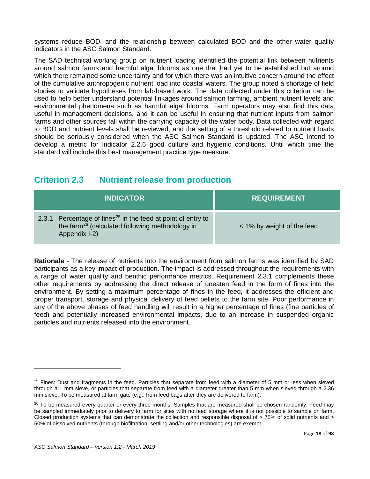systems reduce BOD, and the relationship between calculated BOD and the other water quality indicators in the ASC Salmon Standard.

The SAD technical working group on nutrient loading identified the potential link between nutrients around salmon farms and harmful algal blooms as one that had yet to be established but around which there remained some uncertainty and for which there was an intuitive concern around the effect of the cumulative anthropogenic nutrient load into coastal waters. The group noted a shortage of field studies to validate hypotheses from lab-based work. The data collected under this criterion can be used to help better understand potential linkages around salmon farming, ambient nutrient levels and environmental phenomena such as harmful algal blooms. Farm operators may also find this data useful in management decisions, and it can be useful in ensuring that nutrient inputs from salmon farms and other sources fall within the carrying capacity of the water body. Data collected with regard to BOD and nutrient levels shall be reviewed, and the setting of a threshold related to nutrient loads should be seriously considered when the ASC Salmon Standard is updated. The ASC intend to develop a metric for indicator 2.2.6 good culture and hygienic conditions. Until which time the standard will include this best management practice type measure.

# <span id="page-17-0"></span>**Criterion 2.3 Nutrient release from production**

| <b>INDICATOR</b>                                                                                                                                         | <b>REQUIREMENT</b>         |
|----------------------------------------------------------------------------------------------------------------------------------------------------------|----------------------------|
| 2.3.1 Percentage of fines <sup>25</sup> in the feed at point of entry to<br>the farm <sup>26</sup> (calculated following methodology in<br>Appendix I-2) | < 1% by weight of the feed |

**Rationale** - The release of nutrients into the environment from salmon farms was identified by SAD participants as a key impact of production. The impact is addressed throughout the requirements with a range of water quality and benthic performance metrics. Requirement 2.3.1 complements these other requirements by addressing the direct release of uneaten feed in the form of fines into the environment. By setting a maximum percentage of fines in the feed, it addresses the efficient and proper transport, storage and physical delivery of feed pellets to the farm site. Poor performance in any of the above phases of feed handling will result in a higher percentage of fines (fine particles of feed) and potentially increased environmental impacts, due to an increase in suspended organic particles and nutrients released into the environment.

 $\overline{a}$ 

<span id="page-17-1"></span> $25$  Fines: Dust and fragments in the feed. Particles that separate from feed with a diameter of 5 mm or less when sieved through a 1 mm sieve, or particles that separate from feed with a diameter greater than 5 mm when sieved through a 2.36 mm sieve. To be measured at farm gate (e.g., from feed bags after they are delivered to farm).

<span id="page-17-2"></span><sup>&</sup>lt;sup>26</sup> To be measured every quarter or every three months. Samples that are measured shall be chosen randomly. Feed may be sampled immediately prior to delivery to farm for sites with no feed storage where it is not possible to sample on farm. Closed production systems that can demonstrate the collection and responsible disposal of > 75% of solid nutrients and > 50% of dissolved nutrients (through biofiltration, settling and/or other technologies) are exempt.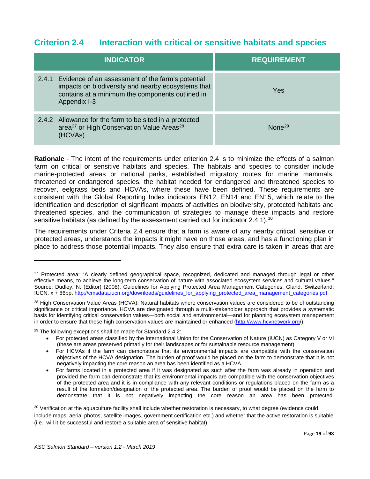### <span id="page-18-0"></span>**Criterion 2.4 Interaction with critical or sensitive habitats and species**

| <b>INDICATOR</b>                                                                                                                                                                  | <b>REQUIREMENT</b> |
|-----------------------------------------------------------------------------------------------------------------------------------------------------------------------------------|--------------------|
| 2.4.1 Evidence of an assessment of the farm's potential<br>impacts on biodiversity and nearby ecosystems that<br>contains at a minimum the components outlined in<br>Appendix I-3 | Yes                |
| 2.4.2 Allowance for the farm to be sited in a protected<br>area <sup>27</sup> or High Conservation Value Areas <sup>28</sup><br>(HCVAs)                                           | None <sup>29</sup> |

**Rationale** - The intent of the requirements under criterion 2.4 is to minimize the effects of a salmon farm on critical or sensitive habitats and species. The habitats and species to consider include marine-protected areas or national parks, established migratory routes for marine mammals, threatened or endangered species, the habitat needed for endangered and threatened species to recover, eelgrass beds and HCVAs, where these have been defined. These requirements are consistent with the Global Reporting Index indicators EN12, EN14 and EN15, which relate to the identification and description of significant impacts of activities on biodiversity, protected habitats and threatened species, and the communication of strategies to manage these impacts and restore sensitive habitats (as defined by the assessment carried out for indicator 2.4.1). $^{30}$  $^{30}$  $^{30}$ 

The requirements under Criteria 2.4 ensure that a farm is aware of any nearby critical, sensitive or protected areas, understands the impacts it might have on those areas, and has a functioning plan in place to address those potential impacts. They also ensure that extra care is taken in areas that are

<span id="page-18-3"></span><sup>29</sup> The following exceptions shall be made for Standard 2.4.2:

<span id="page-18-1"></span><sup>&</sup>lt;sup>27</sup> Protected area: "A clearly defined geographical space, recognized, dedicated and managed through legal or other effective means, to achieve the long-term conservation of nature with associated ecosystem services and cultural values." Source: Dudley, N. (Editor) (2008), Guidelines for Applying Protected Area Management Categories, Gland, Switzerland: IUCN. x + 86pp. [http://cmsdata.iucn.org/downloads/guidelines\\_for\\_applying\\_protected\\_area\\_management\\_categories.pdf](http://cmsdata.iucn.org/downloads/guidelines_for_applying_protected_area_management_categories.pdf)

<span id="page-18-2"></span><sup>&</sup>lt;sup>28</sup> High Conservation Value Areas (HCVA): Natural habitats where conservation values are considered to be of outstanding significance or critical importance. HCVA are designated through a multi-stakeholder approach that provides a systematic basis for identifying critical conservation values—both social and environmental—and for planning ecosystem management in order to ensure that these high conservation values are maintained or enhanced [\(http://www.hcvnetwork.org/\)](http://www.hcvnetwork.org/).

<sup>•</sup> For protected areas classified by the International Union for the Conservation of Nature (IUCN) as Category V or VI (these are areas preserved primarily for their landscapes or for sustainable resource management).

<sup>•</sup> For HCVAs if the farm can demonstrate that its environmental impacts are compatible with the conservation objectives of the HCVA designation. The burden of proof would be placed on the farm to demonstrate that it is not negatively impacting the core reason an area has been identified as a HCVA.

<sup>•</sup> For farms located in a protected area if it was designated as such after the farm was already in operation and provided the farm can demonstrate that its environmental impacts are compatible with the conservation objectives of the protected area and it is in compliance with any relevant conditions or regulations placed on the farm as a result of the formation/designation of the protected area. The burden of proof would be placed on the farm to demonstrate that it is not negatively impacting the core reason an area has been protected.

<span id="page-18-4"></span><sup>30</sup> Verification at the aquaculture facility shall include whether restoration is necessary, to what degree (evidence could include maps, aerial photos, satellite images, government certification etc.) and whether that the active restoration is suitable (i.e., will it be successful and restore a suitable area of sensitive habitat).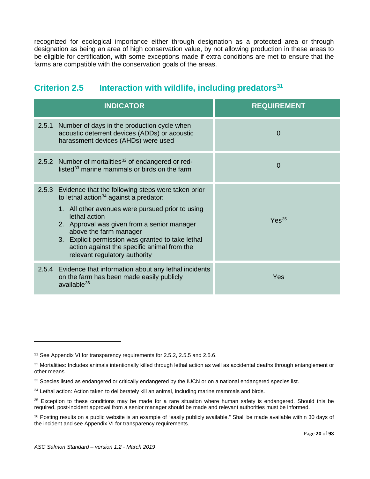recognized for ecological importance either through designation as a protected area or through designation as being an area of high conservation value, by not allowing production in these areas to be eligible for certification, with some exceptions made if extra conditions are met to ensure that the farms are compatible with the conservation goals of the areas.

<span id="page-19-0"></span>

| <b>INDICATOR</b>                                                                                                                                                                                                                                                                                                                                                                         | <b>REQUIREMENT</b> |
|------------------------------------------------------------------------------------------------------------------------------------------------------------------------------------------------------------------------------------------------------------------------------------------------------------------------------------------------------------------------------------------|--------------------|
| 2.5.1 Number of days in the production cycle when<br>acoustic deterrent devices (ADDs) or acoustic<br>harassment devices (AHDs) were used                                                                                                                                                                                                                                                | 0                  |
| 2.5.2 Number of mortalities <sup>32</sup> of endangered or red-<br>listed <sup>33</sup> marine mammals or birds on the farm                                                                                                                                                                                                                                                              | 0                  |
| 2.5.3 Evidence that the following steps were taken prior<br>to lethal action $34$ against a predator:<br>1. All other avenues were pursued prior to using<br>lethal action<br>2. Approval was given from a senior manager<br>above the farm manager<br>3. Explicit permission was granted to take lethal<br>action against the specific animal from the<br>relevant regulatory authority | Yes <sup>35</sup>  |
| 2.5.4 Evidence that information about any lethal incidents<br>on the farm has been made easily publicly<br>available <sup>36</sup>                                                                                                                                                                                                                                                       | Yes                |

 $\overline{a}$ 

<span id="page-19-1"></span><sup>&</sup>lt;sup>31</sup> See Appendix VI for transparency requirements for 2.5.2, 2.5.5 and 2.5.6.

<span id="page-19-2"></span><sup>32</sup> Mortalities: Includes animals intentionally killed through lethal action as well as accidental deaths through entanglement or other means.

<span id="page-19-3"></span><sup>&</sup>lt;sup>33</sup> Species listed as endangered or critically endangered by the IUCN or on a national endangered species list.

<span id="page-19-4"></span><sup>&</sup>lt;sup>34</sup> Lethal action: Action taken to deliberately kill an animal, including marine mammals and birds.

<span id="page-19-5"></span><sup>&</sup>lt;sup>35</sup> Exception to these conditions may be made for a rare situation where human safety is endangered. Should this be required, post-incident approval from a senior manager should be made and relevant authorities must be informed.

<span id="page-19-6"></span><sup>&</sup>lt;sup>36</sup> Posting results on a public website is an example of "easily publicly available." Shall be made available within 30 days of the incident and see Appendix VI for transparency requirements.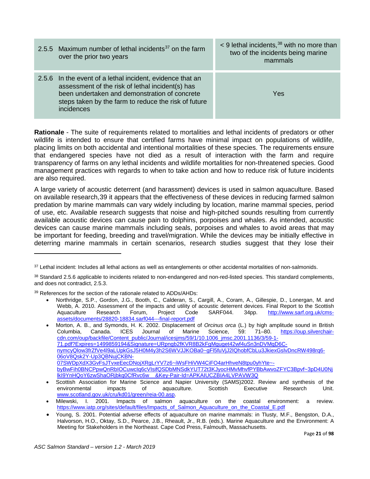| 2.5.5 Maximum number of lethal incidents $37$ on the farm<br>over the prior two years                                                                                                                                                | $\leq$ 9 lethal incidents, $38$ with no more than<br>two of the incidents being marine<br>mammals |
|--------------------------------------------------------------------------------------------------------------------------------------------------------------------------------------------------------------------------------------|---------------------------------------------------------------------------------------------------|
| 2.5.6 In the event of a lethal incident, evidence that an<br>assessment of the risk of lethal incident(s) has<br>been undertaken and demonstration of concrete<br>steps taken by the farm to reduce the risk of future<br>incidences | Yes                                                                                               |

**Rationale** - The suite of requirements related to mortalities and lethal incidents of predators or other wildlife is intended to ensure that certified farms have minimal impact on populations of wildlife, placing limits on both accidental and intentional mortalities of these species. The requirements ensure that endangered species have not died as a result of interaction with the farm and require transparency of farms on any lethal incidents and wildlife mortalities for non-threatened species. Good management practices with regards to when to take action and how to reduce risk of future incidents are also required.

A large variety of acoustic deterrent (and harassment) devices is used in salmon aquaculture. Based on available research,[39](#page-20-2) it appears that the effectiveness of these devices in reducing farmed salmon predation by marine mammals can vary widely including by location, marine mammal species, period of use, etc. Available research suggests that noise and high-pitched sounds resulting from currently available acoustic devices can cause pain to dolphins, porpoises and whales. As intended, acoustic devices can cause marine mammals including seals, porpoises and whales to avoid areas that may be important for feeding, breeding and travel/migration. While the devices may be initially effective in deterring marine mammals in certain scenarios, research studies suggest that they lose their

<span id="page-20-2"></span>39 References for the section of the rationale related to ADDs/AHDs:

l

• Northridge, S.P., Gordon, J.G., Booth, C., Calderan, S., Cargill, A., Coram, A., Gillespie, D., Lonergan, M. and Webb, A. 2010. Assessment of the impacts and utility of acoustic deterrent devices. Final Report to the Scottish Aquaculture Research Forum, Project Code SARF044. 34pp. http://www.sarf.org.uk/cms-Aquaculture Research Forum, Project Code SARF044. 34pp. [http://www.sarf.org.uk/cms](http://www.sarf.org.uk/cms-assets/documents/28820-18834.sarf044---final-report.pdf)[assets/documents/28820-18834.sarf044---final-report.pdf](http://www.sarf.org.uk/cms-assets/documents/28820-18834.sarf044---final-report.pdf)

• Morton, A. B., and Symonds, H. K. 2002. Displacement of *Orcinus orca* (L.) by high amplitude sound in British Columbia, Canada. ICES Journal of Marine Science, 59: 71–80. [https://oup.silverchair](https://oup.silverchair-cdn.com/oup/backfile/Content_public/Journal/icesjms/59/1/10.1006_jmsc.2001.1136/3/59-1-71.pdf?Expires=1499859194&Signature=URpngb2fKVR8B2kFgMguget42wf4uSn3nDVMqD6C-nymcyQlow3frZfVe4l9aLUpkGsJ5H0M4y3h2S6WVJJKOBa0%7EgFl5fuVjJ2lQhobfCbLu3JkiexGslvDncRW498rq6-06oV8Qsk2Y-Up3QBNujCKBN-07SWDpXdX3GvFsJTvxeEecDNojXRgLrYV7z6%7EiWsFHiVW4CiFO4arHhveN8tpu0yhYte%7E-byBwFih0BNCPpwQnRbIOCuwcIq6cVIsifQSDbMNSdkYUT72t3KJyocHMvMhvfPYBbAwvoZFYC3Bpvf%7E3pD4U0NjlkI9YnHQoY6zwShaORjbkq0CfRvc6w__&Key-Pair-Id=APKAIUCZBIA4LVPAVW3Q)[cdn.com/oup/backfile/Content\\_public/Journal/icesjms/59/1/10.1006\\_jmsc.2001.1136/3/59-1-](https://oup.silverchair-cdn.com/oup/backfile/Content_public/Journal/icesjms/59/1/10.1006_jmsc.2001.1136/3/59-1-71.pdf?Expires=1499859194&Signature=URpngb2fKVR8B2kFgMguget42wf4uSn3nDVMqD6C-nymcyQlow3frZfVe4l9aLUpkGsJ5H0M4y3h2S6WVJJKOBa0%7EgFl5fuVjJ2lQhobfCbLu3JkiexGslvDncRW498rq6-06oV8Qsk2Y-Up3QBNujCKBN-07SWDpXdX3GvFsJTvxeEecDNojXRgLrYV7z6%7EiWsFHiVW4CiFO4arHhveN8tpu0yhYte%7E-byBwFih0BNCPpwQnRbIOCuwcIq6cVIsifQSDbMNSdkYUT72t3KJyocHMvMhvfPYBbAwvoZFYC3Bpvf%7E3pD4U0NjlkI9YnHQoY6zwShaORjbkq0CfRvc6w__&Key-Pair-Id=APKAIUCZBIA4LVPAVW3Q) [71.pdf?Expires=1499859194&Signature=URpngb2fKVR8B2kFgMguget42wf4uSn3nDVMqD6C](https://oup.silverchair-cdn.com/oup/backfile/Content_public/Journal/icesjms/59/1/10.1006_jmsc.2001.1136/3/59-1-71.pdf?Expires=1499859194&Signature=URpngb2fKVR8B2kFgMguget42wf4uSn3nDVMqD6C-nymcyQlow3frZfVe4l9aLUpkGsJ5H0M4y3h2S6WVJJKOBa0%7EgFl5fuVjJ2lQhobfCbLu3JkiexGslvDncRW498rq6-06oV8Qsk2Y-Up3QBNujCKBN-07SWDpXdX3GvFsJTvxeEecDNojXRgLrYV7z6%7EiWsFHiVW4CiFO4arHhveN8tpu0yhYte%7E-byBwFih0BNCPpwQnRbIOCuwcIq6cVIsifQSDbMNSdkYUT72t3KJyocHMvMhvfPYBbAwvoZFYC3Bpvf%7E3pD4U0NjlkI9YnHQoY6zwShaORjbkq0CfRvc6w__&Key-Pair-Id=APKAIUCZBIA4LVPAVW3Q)[nymcyQlow3frZfVe4l9aLUpkGsJ5H0M4y3h2S6WVJJKOBa0~gFl5fuVjJ2lQhobfCbLu3JkiexGslvDncRW498rq6-](https://oup.silverchair-cdn.com/oup/backfile/Content_public/Journal/icesjms/59/1/10.1006_jmsc.2001.1136/3/59-1-71.pdf?Expires=1499859194&Signature=URpngb2fKVR8B2kFgMguget42wf4uSn3nDVMqD6C-nymcyQlow3frZfVe4l9aLUpkGsJ5H0M4y3h2S6WVJJKOBa0%7EgFl5fuVjJ2lQhobfCbLu3JkiexGslvDncRW498rq6-06oV8Qsk2Y-Up3QBNujCKBN-07SWDpXdX3GvFsJTvxeEecDNojXRgLrYV7z6%7EiWsFHiVW4CiFO4arHhveN8tpu0yhYte%7E-byBwFih0BNCPpwQnRbIOCuwcIq6cVIsifQSDbMNSdkYUT72t3KJyocHMvMhvfPYBbAwvoZFYC3Bpvf%7E3pD4U0NjlkI9YnHQoY6zwShaORjbkq0CfRvc6w__&Key-Pair-Id=APKAIUCZBIA4LVPAVW3Q) [06oV8Qsk2Y-Up3QBNujCKBN-](https://oup.silverchair-cdn.com/oup/backfile/Content_public/Journal/icesjms/59/1/10.1006_jmsc.2001.1136/3/59-1-71.pdf?Expires=1499859194&Signature=URpngb2fKVR8B2kFgMguget42wf4uSn3nDVMqD6C-nymcyQlow3frZfVe4l9aLUpkGsJ5H0M4y3h2S6WVJJKOBa0%7EgFl5fuVjJ2lQhobfCbLu3JkiexGslvDncRW498rq6-06oV8Qsk2Y-Up3QBNujCKBN-07SWDpXdX3GvFsJTvxeEecDNojXRgLrYV7z6%7EiWsFHiVW4CiFO4arHhveN8tpu0yhYte%7E-byBwFih0BNCPpwQnRbIOCuwcIq6cVIsifQSDbMNSdkYUT72t3KJyocHMvMhvfPYBbAwvoZFYC3Bpvf%7E3pD4U0NjlkI9YnHQoY6zwShaORjbkq0CfRvc6w__&Key-Pair-Id=APKAIUCZBIA4LVPAVW3Q)[07SWDpXdX3GvFsJTvxeEecDNojXRgLrYV7z6~iWsFHiVW4CiFO4arHhveN8tpu0yhYte~](https://oup.silverchair-cdn.com/oup/backfile/Content_public/Journal/icesjms/59/1/10.1006_jmsc.2001.1136/3/59-1-71.pdf?Expires=1499859194&Signature=URpngb2fKVR8B2kFgMguget42wf4uSn3nDVMqD6C-nymcyQlow3frZfVe4l9aLUpkGsJ5H0M4y3h2S6WVJJKOBa0%7EgFl5fuVjJ2lQhobfCbLu3JkiexGslvDncRW498rq6-06oV8Qsk2Y-Up3QBNujCKBN-07SWDpXdX3GvFsJTvxeEecDNojXRgLrYV7z6%7EiWsFHiVW4CiFO4arHhveN8tpu0yhYte%7E-byBwFih0BNCPpwQnRbIOCuwcIq6cVIsifQSDbMNSdkYUT72t3KJyocHMvMhvfPYBbAwvoZFYC3Bpvf%7E3pD4U0NjlkI9YnHQoY6zwShaORjbkq0CfRvc6w__&Key-Pair-Id=APKAIUCZBIA4LVPAVW3Q) [byBwFih0BNCPpwQnRbIOCuwcIq6cVIsifQSDbMNSdkYUT72t3KJyocHMvMhvfPYBbAwvoZFYC3Bpvf~3pD4U0Nj](https://oup.silverchair-cdn.com/oup/backfile/Content_public/Journal/icesjms/59/1/10.1006_jmsc.2001.1136/3/59-1-71.pdf?Expires=1499859194&Signature=URpngb2fKVR8B2kFgMguget42wf4uSn3nDVMqD6C-nymcyQlow3frZfVe4l9aLUpkGsJ5H0M4y3h2S6WVJJKOBa0%7EgFl5fuVjJ2lQhobfCbLu3JkiexGslvDncRW498rq6-06oV8Qsk2Y-Up3QBNujCKBN-07SWDpXdX3GvFsJTvxeEecDNojXRgLrYV7z6%7EiWsFHiVW4CiFO4arHhveN8tpu0yhYte%7E-byBwFih0BNCPpwQnRbIOCuwcIq6cVIsifQSDbMNSdkYUT72t3KJyocHMvMhvfPYBbAwvoZFYC3Bpvf%7E3pD4U0NjlkI9YnHQoY6zwShaORjbkq0CfRvc6w__&Key-Pair-Id=APKAIUCZBIA4LVPAVW3Q) [lkI9YnHQoY6zwShaORjbkq0CfRvc6w\\_\\_&Key-Pair-Id=APKAIUCZBIA4LVPAVW3Q](https://oup.silverchair-cdn.com/oup/backfile/Content_public/Journal/icesjms/59/1/10.1006_jmsc.2001.1136/3/59-1-71.pdf?Expires=1499859194&Signature=URpngb2fKVR8B2kFgMguget42wf4uSn3nDVMqD6C-nymcyQlow3frZfVe4l9aLUpkGsJ5H0M4y3h2S6WVJJKOBa0%7EgFl5fuVjJ2lQhobfCbLu3JkiexGslvDncRW498rq6-06oV8Qsk2Y-Up3QBNujCKBN-07SWDpXdX3GvFsJTvxeEecDNojXRgLrYV7z6%7EiWsFHiVW4CiFO4arHhveN8tpu0yhYte%7E-byBwFih0BNCPpwQnRbIOCuwcIq6cVIsifQSDbMNSdkYUT72t3KJyocHMvMhvfPYBbAwvoZFYC3Bpvf%7E3pD4U0NjlkI9YnHQoY6zwShaORjbkq0CfRvc6w__&Key-Pair-Id=APKAIUCZBIA4LVPAVW3Q)

<span id="page-20-0"></span><sup>37</sup> Lethal incident: Includes all lethal actions as well as entanglements or other accidental mortalities of non-salmonids.

<span id="page-20-1"></span><sup>38</sup> Standard 2.5.6 applicable to incidents related to non-endangered and non-red-listed species. This standard complements, and does not contradict, 2.5.3.

<sup>•</sup> Scottish Association for Marine Science and Napier University (SAMS)2002. Review and synthesis of the environmental impacts of aquaculture. Scottish Executive Research Unit. [www.scotland.gov.uk/cru/kd01/green/reia-00.asp.](http://www.scotland.gov.uk/cru/kd01/green/reia-00.asp)

<sup>•</sup> Milewski, I. 2001. Impacts of salmon aquaculture on the coastal environment: a review. [https://www.iatp.org/sites/default/files/Impacts\\_of\\_Salmon\\_Aquaculture\\_on\\_the\\_Coastal\\_E.pdf](https://www.iatp.org/sites/default/files/Impacts_of_Salmon_Aquaculture_on_the_Coastal_E.pdf)

<sup>•</sup> Young, S. 2001. Potential adverse effects of aquaculture on marine mammals: in Tlusty, M.F., Bengston, D.A., Halvorson, H.O., Oktay, S.D., Pearce, J.B., Rheault, Jr., R.B. (eds.). Marine Aquaculture and the Environment: A Meeting for Stakeholders in the Northeast. Cape Cod Press, Falmouth, Massachusetts.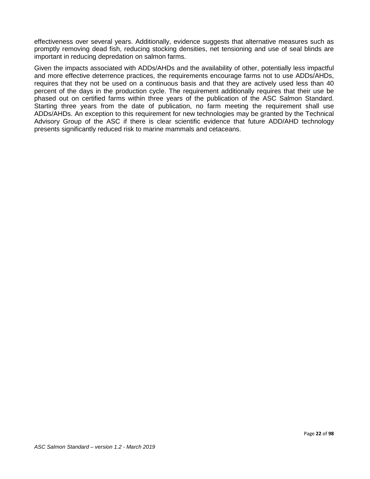effectiveness over several years. Additionally, evidence suggests that alternative measures such as promptly removing dead fish, reducing stocking densities, net tensioning and use of seal blinds are important in reducing depredation on salmon farms.

Given the impacts associated with ADDs/AHDs and the availability of other, potentially less impactful and more effective deterrence practices, the requirements encourage farms not to use ADDs/AHDs, requires that they not be used on a continuous basis and that they are actively used less than 40 percent of the days in the production cycle. The requirement additionally requires that their use be phased out on certified farms within three years of the publication of the ASC Salmon Standard. Starting three years from the date of publication, no farm meeting the requirement shall use ADDs/AHDs. An exception to this requirement for new technologies may be granted by the Technical Advisory Group of the ASC if there is clear scientific evidence that future ADD/AHD technology presents significantly reduced risk to marine mammals and cetaceans.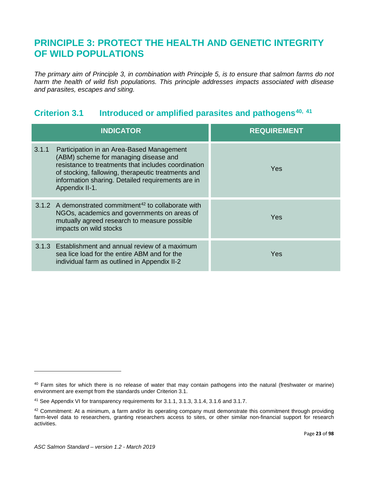# <span id="page-22-0"></span>**PRINCIPLE 3: PROTECT THE HEALTH AND GENETIC INTEGRITY OF WILD POPULATIONS**

*The primary aim of Principle 3, in combination with Principle 5, is to ensure that salmon farms do not harm the health of wild fish populations. This principle addresses impacts associated with disease and parasites, escapes and siting.* 

# <span id="page-22-1"></span>**Criterion 3.1 Introduced or amplified parasites and pathogens[40,](#page-22-2) [41](#page-22-3)**

|       | <b>INDICATOR</b>                                                                                                                                                                                                                                                       | <b>REQUIREMENT</b> |
|-------|------------------------------------------------------------------------------------------------------------------------------------------------------------------------------------------------------------------------------------------------------------------------|--------------------|
| 3.1.1 | Participation in an Area-Based Management<br>(ABM) scheme for managing disease and<br>resistance to treatments that includes coordination<br>of stocking, fallowing, therapeutic treatments and<br>information sharing. Detailed requirements are in<br>Appendix II-1. | Yes                |
|       | 3.1.2 A demonstrated commitment <sup>42</sup> to collaborate with<br>NGOs, academics and governments on areas of<br>mutually agreed research to measure possible<br>impacts on wild stocks                                                                             | Yes                |
|       | 3.1.3 Establishment and annual review of a maximum<br>sea lice load for the entire ABM and for the<br>individual farm as outlined in Appendix II-2                                                                                                                     | Yes                |

<span id="page-22-2"></span><sup>&</sup>lt;sup>40</sup> Farm sites for which there is no release of water that may contain pathogens into the natural (freshwater or marine) environment are exempt from the standards under Criterion 3.1.

<span id="page-22-3"></span><sup>41</sup> See Appendix VI for transparency requirements for 3.1.1, 3.1.3, 3.1.4, 3.1.6 and 3.1.7.

<span id="page-22-4"></span><sup>&</sup>lt;sup>42</sup> Commitment: At a minimum, a farm and/or its operating company must demonstrate this commitment through providing farm-level data to researchers, granting researchers access to sites, or other similar non-financial support for research activities.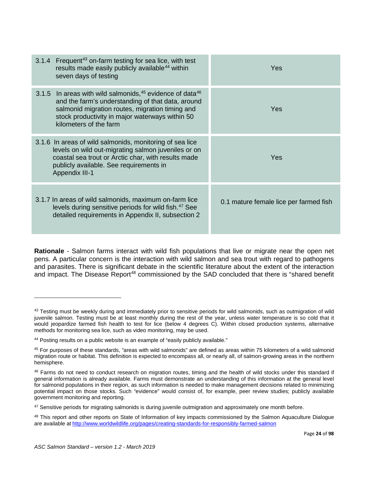| 3.1.4 Frequent <sup>43</sup> on-farm testing for sea lice, with test<br>results made easily publicly available <sup>44</sup> within<br>seven days of testing                                                                                        | Yes                                    |
|-----------------------------------------------------------------------------------------------------------------------------------------------------------------------------------------------------------------------------------------------------|----------------------------------------|
| 3.1.5 In areas with wild salmonids, $45$ evidence of data $46$<br>and the farm's understanding of that data, around<br>salmonid migration routes, migration timing and<br>stock productivity in major waterways within 50<br>kilometers of the farm | Yes                                    |
| 3.1.6 In areas of wild salmonids, monitoring of sea lice<br>levels on wild out-migrating salmon juveniles or on<br>coastal sea trout or Arctic char, with results made<br>publicly available. See requirements in<br><b>Appendix III-1</b>          | Yes                                    |
| 3.1.7 In areas of wild salmonids, maximum on-farm lice<br>levels during sensitive periods for wild fish. <sup>47</sup> See<br>detailed requirements in Appendix II, subsection 2                                                                    | 0.1 mature female lice per farmed fish |

**Rationale** - Salmon farms interact with wild fish populations that live or migrate near the open net pens. A particular concern is the interaction with wild salmon and sea trout with regard to pathogens and parasites. There is significant debate in the scientific literature about the extent of the interaction and impact. The Disease Report<sup>[48](#page-23-5)</sup> commissioned by the SAD concluded that there is "shared benefit

 $\overline{\phantom{a}}$ 

<span id="page-23-0"></span><sup>43</sup> Testing must be weekly during and immediately prior to sensitive periods for wild salmonids, such as outmigration of wild juvenile salmon. Testing must be at least monthly during the rest of the year, unless water temperature is so cold that it would jeopardize farmed fish health to test for lice (below 4 degrees C). Within closed production systems, alternative methods for monitoring sea lice, such as video monitoring, may be used.

<span id="page-23-1"></span><sup>44</sup> Posting results on a public website is an example of "easily publicly available."

<span id="page-23-2"></span><sup>45</sup> For purposes of these standards, "areas with wild salmonids" are defined as areas within 75 kilometers of a wild salmonid migration route or habitat. This definition is expected to encompass all, or nearly all, of salmon-growing areas in the northern hemisphere.

<span id="page-23-3"></span><sup>&</sup>lt;sup>46</sup> Farms do not need to conduct research on migration routes, timing and the health of wild stocks under this standard if general information is already available. Farms must demonstrate an understanding of this information at the general level for salmonid populations in their region, as such information is needed to make management decisions related to minimizing potential impact on those stocks. Such "evidence" would consist of, for example, peer review studies; publicly available government monitoring and reporting.

<span id="page-23-4"></span><sup>&</sup>lt;sup>47</sup> Sensitive periods for migrating salmonids is during juvenile outmigration and approximately one month before.

<span id="page-23-5"></span><sup>&</sup>lt;sup>48</sup> This report and other reports on State of Information of key impacts commissioned by the Salmon Aquaculture Dialogue are available at <http://www.worldwildlife.org/pages/creating-standards-for-responsibly-farmed-salmon>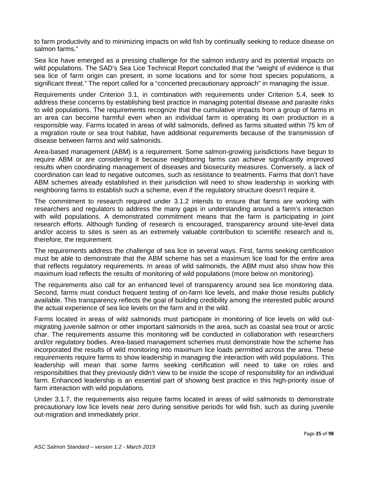to farm productivity and to minimizing impacts on wild fish by continually seeking to reduce disease on salmon farms."

Sea lice have emerged as a pressing challenge for the salmon industry and its potential impacts on wild populations. The SAD's Sea Lice Technical Report concluded that the "weight of evidence is that sea lice of farm origin can present, in some locations and for some host species populations, a significant threat." The report called for a "concerted precautionary approach" in managing the issue.

Requirements under Criterion 3.1, in combination with requirements under Criterion 5.4, seek to address these concerns by establishing best practice in managing potential disease and parasite risks to wild populations. The requirements recognize that the cumulative impacts from a group of farms in an area can become harmful even when an individual farm is operating its own production in a responsible way. Farms located in areas of wild salmonids, defined as farms situated within 75 km of a migration route or sea trout habitat, have additional requirements because of the transmission of disease between farms and wild salmonids.

Area-based management (ABM) is a requirement. Some salmon-growing jurisdictions have begun to require ABM or are considering it because neighboring farms can achieve significantly improved results when coordinating management of diseases and biosecurity measures. Conversely, a lack of coordination can lead to negative outcomes, such as resistance to treatments. Farms that don't have ABM schemes already established in their jurisdiction will need to show leadership in working with neighboring farms to establish such a scheme, even if the regulatory structure doesn't require it.

The commitment to research required under 3.1.2 intends to ensure that farms are working with researchers and regulators to address the many gaps in understanding around a farm's interaction with wild populations. A demonstrated commitment means that the farm is participating in joint research efforts. Although funding of research is encouraged, transparency around site-level data and/or access to sites is seen as an extremely valuable contribution to scientific research and is, therefore, the requirement.

The requirements address the challenge of sea lice in several ways. First, farms seeking certification must be able to demonstrate that the ABM scheme has set a maximum lice load for the entire area that reflects regulatory requirements. In areas of wild salmonids, the ABM must also show how this maximum load reflects the results of monitoring of wild populations (more below on monitoring).

The requirements also call for an enhanced level of transparency around sea lice monitoring data. Second, farms must conduct frequent testing of on-farm lice levels, and make those results publicly available. This transparency reflects the goal of building credibility among the interested public around the actual experience of sea lice levels on the farm and in the wild.

Farms located in areas of wild salmonids must participate in monitoring of lice levels on wild outmigrating juvenile salmon or other important salmonids in the area, such as coastal sea trout or arctic char. The requirements assume this monitoring will be conducted in collaboration with researchers and/or regulatory bodies. Area-based management schemes must demonstrate how the scheme has incorporated the results of wild monitoring into maximum lice loads permitted across the area. These requirements require farms to show leadership in managing the interaction with wild populations. This leadership will mean that some farms seeking certification will need to take on roles and responsibilities that they previously didn't view to be inside the scope of responsibility for an individual farm. Enhanced leadership is an essential part of showing best practice in this high-priority issue of farm interaction with wild populations.

Under 3.1.7, the requirements also require farms located in areas of wild salmonids to demonstrate precautionary low lice levels near zero during sensitive periods for wild fish, such as during juvenile out-migration and immediately prior.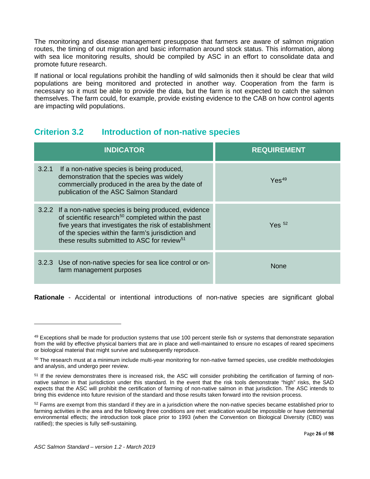The monitoring and disease management presuppose that farmers are aware of salmon migration routes, the timing of out migration and basic information around stock status. This information, along with sea lice monitoring results, should be compiled by ASC in an effort to consolidate data and promote future research.

If national or local regulations prohibit the handling of wild salmonids then it should be clear that wild populations are being monitored and protected in another way. Cooperation from the farm is necessary so it must be able to provide the data, but the farm is not expected to catch the salmon themselves. The farm could, for example, provide existing evidence to the CAB on how control agents are impacting wild populations.

# <span id="page-25-0"></span>**Criterion 3.2 Introduction of non-native species**

|       | <b>INDICATOR</b>                                                                                                                                                                                                                                                                                      | <b>REQUIREMENT</b> |
|-------|-------------------------------------------------------------------------------------------------------------------------------------------------------------------------------------------------------------------------------------------------------------------------------------------------------|--------------------|
| 3.2.1 | If a non-native species is being produced,<br>demonstration that the species was widely<br>commercially produced in the area by the date of<br>publication of the ASC Salmon Standard                                                                                                                 | Yes <sup>49</sup>  |
|       | 3.2.2 If a non-native species is being produced, evidence<br>of scientific research <sup>50</sup> completed within the past<br>five years that investigates the risk of establishment<br>of the species within the farm's jurisdiction and<br>these results submitted to ASC for review <sup>51</sup> | Yes $52$           |
|       | 3.2.3 Use of non-native species for sea lice control or on-<br>farm management purposes                                                                                                                                                                                                               | None               |

**Rationale** - Accidental or intentional introductions of non-native species are significant global

<span id="page-25-1"></span><sup>&</sup>lt;sup>49</sup> Exceptions shall be made for production systems that use 100 percent sterile fish or systems that demonstrate separation from the wild by effective physical barriers that are in place and well-maintained to ensure no escapes of reared specimens or biological material that might survive and subsequently reproduce.

<span id="page-25-2"></span><sup>&</sup>lt;sup>50</sup> The research must at a minimum include multi-year monitoring for non-native farmed species, use credible methodologies and analysis, and undergo peer review.

<span id="page-25-3"></span><sup>&</sup>lt;sup>51</sup> If the review demonstrates there is increased risk, the ASC will consider prohibiting the certification of farming of nonnative salmon in that jurisdiction under this standard. In the event that the risk tools demonstrate "high" risks, the SAD expects that the ASC will prohibit the certification of farming of non-native salmon in that jurisdiction. The ASC intends to bring this evidence into future revision of the standard and those results taken forward into the revision process.

<span id="page-25-4"></span> $52$  Farms are exempt from this standard if they are in a jurisdiction where the non-native species became established prior to farming activities in the area and the following three conditions are met: eradication would be impossible or have detrimental environmental effects; the introduction took place prior to 1993 (when the Convention on Biological Diversity (CBD) was ratified); the species is fully self-sustaining.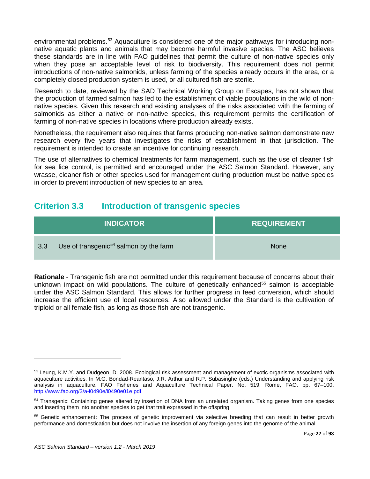environmental problems.<sup>[53](#page-26-1)</sup> Aquaculture is considered one of the major pathways for introducing nonnative aquatic plants and animals that may become harmful invasive species. The ASC believes these standards are in line with FAO guidelines that permit the culture of non-native species only when they pose an acceptable level of risk to biodiversity. This requirement does not permit introductions of non-native salmonids, unless farming of the species already occurs in the area, or a completely closed production system is used, or all cultured fish are sterile.

Research to date, reviewed by the SAD Technical Working Group on Escapes, has not shown that the production of farmed salmon has led to the establishment of viable populations in the wild of nonnative species. Given this research and existing analyses of the risks associated with the farming of salmonids as either a native or non-native species, this requirement permits the certification of farming of non-native species in locations where production already exists.

Nonetheless, the requirement also requires that farms producing non-native salmon demonstrate new research every five years that investigates the risks of establishment in that jurisdiction. The requirement is intended to create an incentive for continuing research.

The use of alternatives to chemical treatments for farm management, such as the use of cleaner fish for sea lice control, is permitted and encouraged under the ASC Salmon Standard. However, any wrasse, cleaner fish or other species used for management during production must be native species in order to prevent introduction of new species to an area.

### <span id="page-26-0"></span>**Criterion 3.3 Introduction of transgenic species**

|     | <b>INDICATOR</b>                                   | <b>REQUIREMENT</b> |
|-----|----------------------------------------------------|--------------------|
| 3.3 | Use of transgenic <sup>54</sup> salmon by the farm | <b>None</b>        |

**Rationale** - Transgenic fish are not permitted under this requirement because of concerns about their unknown impact on wild populations. The culture of genetically enhanced<sup>[55](#page-26-3)</sup> salmon is acceptable under the ASC Salmon Standard. This allows for further progress in feed conversion, which should increase the efficient use of local resources. Also allowed under the Standard is the cultivation of triploid or all female fish, as long as those fish are not transgenic.

<span id="page-26-1"></span><sup>53</sup> Leung, K.M.Y. and Dudgeon, D. 2008. Ecological risk assessment and management of exotic organisms associated with aquaculture activities. In M.G. Bondad-Reantaso, J.R. Arthur and R.P. Subasinghe (eds.) Understanding and applying risk analysis in aquaculture. FAO Fisheries and Aquaculture Technical Paper. No. 519. Rome, FAO. pp. 67–100. <http://www.fao.org/3/a-i0490e/i0490e01e.pdf>

<span id="page-26-2"></span><sup>54</sup> Transgenic: Containing genes altered by insertion of DNA from an unrelated organism. Taking genes from one species and inserting them into another species to get that trait expressed in the offspring

<span id="page-26-3"></span><sup>55</sup> Genetic enhancement**:** The process of genetic improvement via selective breeding that can result in better growth performance and domestication but does not involve the insertion of any foreign genes into the genome of the animal.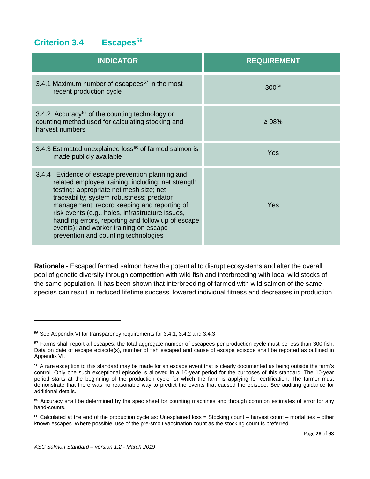# <span id="page-27-0"></span>**Criterion 3.4 Escapes[56](#page-27-1)**

| <b>INDICATOR</b>                                                                                                                                                                                                                                                                                                                                                                                                                          | <b>REQUIREMENT</b> |
|-------------------------------------------------------------------------------------------------------------------------------------------------------------------------------------------------------------------------------------------------------------------------------------------------------------------------------------------------------------------------------------------------------------------------------------------|--------------------|
| 3.4.1 Maximum number of escapees <sup>57</sup> in the most<br>recent production cycle                                                                                                                                                                                                                                                                                                                                                     | 30058              |
| 3.4.2 Accuracy <sup>59</sup> of the counting technology or<br>counting method used for calculating stocking and<br>harvest numbers                                                                                                                                                                                                                                                                                                        | $\geq 98\%$        |
| 3.4.3 Estimated unexplained loss <sup>60</sup> of farmed salmon is<br>made publicly available                                                                                                                                                                                                                                                                                                                                             | Yes                |
| 3.4.4 Evidence of escape prevention planning and<br>related employee training, including: net strength<br>testing; appropriate net mesh size; net<br>traceability; system robustness; predator<br>management; record keeping and reporting of<br>risk events (e.g., holes, infrastructure issues,<br>handling errors, reporting and follow up of escape<br>events); and worker training on escape<br>prevention and counting technologies | Yes                |

**Rationale** - Escaped farmed salmon have the potential to disrupt ecosystems and alter the overall pool of genetic diversity through competition with wild fish and interbreeding with local wild stocks of the same population. It has been shown that interbreeding of farmed with wild salmon of the same species can result in reduced lifetime success, lowered individual fitness and decreases in production

<span id="page-27-1"></span><sup>56</sup> See Appendix VI for transparency requirements for 3.4.1, 3.4.2 and 3.4.3.

<span id="page-27-2"></span><sup>&</sup>lt;sup>57</sup> Farms shall report all escapes; the total aggregate number of escapees per production cycle must be less than 300 fish. Data on date of escape episode(s), number of fish escaped and cause of escape episode shall be reported as outlined in Appendix VI.

<span id="page-27-3"></span><sup>58</sup> A rare exception to this standard may be made for an escape event that is clearly documented as being outside the farm's control. Only one such exceptional episode is allowed in a 10-year period for the purposes of this standard. The 10-year period starts at the beginning of the production cycle for which the farm is applying for certification. The farmer must demonstrate that there was no reasonable way to predict the events that caused the episode. See auditing guidance for additional details.

<span id="page-27-4"></span><sup>&</sup>lt;sup>59</sup> Accuracy shall be determined by the spec sheet for counting machines and through common estimates of error for any hand-counts.

<span id="page-27-5"></span> $60$  Calculated at the end of the production cycle as: Unexplained loss = Stocking count – harvest count – mortalities – other known escapes. Where possible, use of the pre-smolt vaccination count as the stocking count is preferred.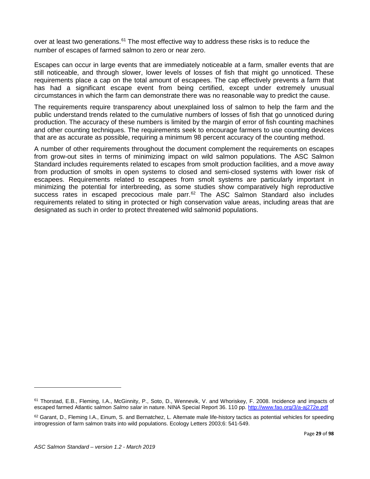over at least two generations.<sup>[61](#page-28-0)</sup> The most effective way to address these risks is to reduce the number of escapes of farmed salmon to zero or near zero.

Escapes can occur in large events that are immediately noticeable at a farm, smaller events that are still noticeable, and through slower, lower levels of losses of fish that might go unnoticed. These requirements place a cap on the total amount of escapees. The cap effectively prevents a farm that has had a significant escape event from being certified, except under extremely unusual circumstances in which the farm can demonstrate there was no reasonable way to predict the cause.

The requirements require transparency about unexplained loss of salmon to help the farm and the public understand trends related to the cumulative numbers of losses of fish that go unnoticed during production. The accuracy of these numbers is limited by the margin of error of fish counting machines and other counting techniques. The requirements seek to encourage farmers to use counting devices that are as accurate as possible, requiring a minimum 98 percent accuracy of the counting method.

A number of other requirements throughout the document complement the requirements on escapes from grow-out sites in terms of minimizing impact on wild salmon populations. The ASC Salmon Standard includes requirements related to escapes from smolt production facilities, and a move away from production of smolts in open systems to closed and semi-closed systems with lower risk of escapees. Requirements related to escapees from smolt systems are particularly important in minimizing the potential for interbreeding, as some studies show comparatively high reproductive success rates in escaped precocious male parr.<sup>[62](#page-28-1)</sup> The ASC Salmon Standard also includes requirements related to siting in protected or high conservation value areas, including areas that are designated as such in order to protect threatened wild salmonid populations.

 $\overline{\phantom{a}}$ 

<span id="page-28-0"></span><sup>&</sup>lt;sup>61</sup> Thorstad, E.B., Fleming, I.A., McGinnity, P., Soto, D., Wennevik, V. and Whoriskey, F. 2008. Incidence and impacts of escaped farmed Atlantic salmon *Salmo salar* in nature. NINA Special Report 36. 110 pp. <http://www.fao.org/3/a-aj272e.pdf>

<span id="page-28-1"></span> $62$  Garant, D., Fleming I.A., Einum, S. and Bernatchez, L. Alternate male life-history tactics as potential vehicles for speeding introgression of farm salmon traits into wild populations. Ecology Letters 2003;6: 541-549.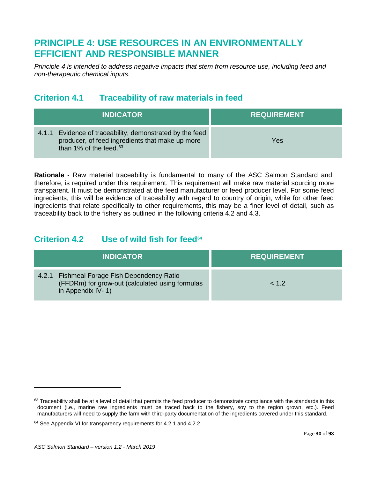# <span id="page-29-0"></span>**PRINCIPLE 4: USE RESOURCES IN AN ENVIRONMENTALLY EFFICIENT AND RESPONSIBLE MANNER**

*Principle 4 is intended to address negative impacts that stem from resource use, including feed and non-therapeutic chemical inputs.*

# <span id="page-29-1"></span>**Criterion 4.1 Traceability of raw materials in feed**

| <b>INDICATOR</b>                                                                                                                            | <b>REQUIREMENT</b> |
|---------------------------------------------------------------------------------------------------------------------------------------------|--------------------|
| Evidence of traceability, demonstrated by the feed<br>4.1.1<br>producer, of feed ingredients that make up more<br>than 1% of the feed. $63$ | Yes                |

**Rationale** - Raw material traceability is fundamental to many of the ASC Salmon Standard and, therefore, is required under this requirement. This requirement will make raw material sourcing more transparent. It must be demonstrated at the feed manufacturer or feed producer level. For some feed ingredients, this will be evidence of traceability with regard to country of origin, while for other feed ingredients that relate specifically to other requirements, this may be a finer level of detail, such as traceability back to the fishery as outlined in the following criteria 4.2 and 4.3.

# <span id="page-29-2"></span>**Criterion 4.2 Use of wild fish for feed[64](#page-29-4)**

| <b>INDICATOR</b>                                                                                                        | <b>REQUIREMENT</b> |
|-------------------------------------------------------------------------------------------------------------------------|--------------------|
| 4.2.1 Fishmeal Forage Fish Dependency Ratio<br>(FFDRm) for grow-out (calculated using formulas<br>in Appendix IV- $1$ ) | 1.2                |

 $\overline{\phantom{a}}$ 

<span id="page-29-3"></span> $63$  Traceability shall be at a level of detail that permits the feed producer to demonstrate compliance with the standards in this document (i.e., marine raw ingredients must be traced back to the fishery, soy to the region grown, etc.). Feed manufacturers will need to supply the farm with third-party documentation of the ingredients covered under this standard.

<span id="page-29-4"></span><sup>&</sup>lt;sup>64</sup> See Appendix VI for transparency requirements for 4.2.1 and 4.2.2.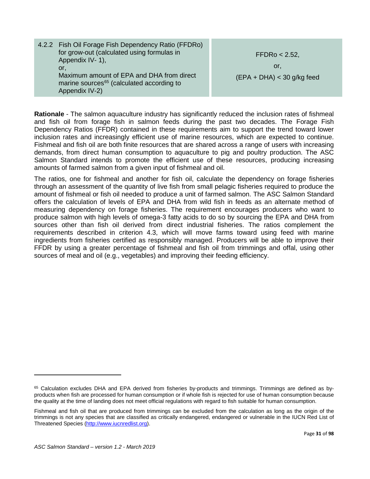| 4.2.2 Fish Oil Forage Fish Dependency Ratio (FFDRo)                                                                  |                              |
|----------------------------------------------------------------------------------------------------------------------|------------------------------|
| for grow-out (calculated using formulas in                                                                           | FFDRo < 2.52                 |
| Appendix IV- 1),                                                                                                     |                              |
| or.                                                                                                                  | or.                          |
| Maximum amount of EPA and DHA from direct<br>marine sources <sup>65</sup> (calculated according to<br>Appendix IV-2) | $(EPA + DHA) < 30$ g/kg feed |

**Rationale** - The salmon aquaculture industry has significantly reduced the inclusion rates of fishmeal and fish oil from forage fish in salmon feeds during the past two decades. The Forage Fish Dependency Ratios (FFDR) contained in these requirements aim to support the trend toward lower inclusion rates and increasingly efficient use of marine resources, which are expected to continue. Fishmeal and fish oil are both finite resources that are shared across a range of users with increasing demands, from direct human consumption to aquaculture to pig and poultry production. The ASC Salmon Standard intends to promote the efficient use of these resources, producing increasing amounts of farmed salmon from a given input of fishmeal and oil.

The ratios, one for fishmeal and another for fish oil, calculate the dependency on forage fisheries through an assessment of the quantity of live fish from small pelagic fisheries required to produce the amount of fishmeal or fish oil needed to produce a unit of farmed salmon. The ASC Salmon Standard offers the calculation of levels of EPA and DHA from wild fish in feeds as an alternate method of measuring dependency on forage fisheries. The requirement encourages producers who want to produce salmon with high levels of omega-3 fatty acids to do so by sourcing the EPA and DHA from sources other than fish oil derived from direct industrial fisheries. The ratios complement the requirements described in criterion 4.3, which will move farms toward using feed with marine ingredients from fisheries certified as responsibly managed. Producers will be able to improve their FFDR by using a greater percentage of fishmeal and fish oil from trimmings and offal, using other sources of meal and oil (e.g., vegetables) and improving their feeding efficiency.

<span id="page-30-0"></span><sup>65</sup> Calculation excludes DHA and EPA derived from fisheries by-products and trimmings. Trimmings are defined as byproducts when fish are processed for human consumption or if whole fish is rejected for use of human consumption because the quality at the time of landing does not meet official regulations with regard to fish suitable for human consumption.

Fishmeal and fish oil that are produced from trimmings can be excluded from the calculation as long as the origin of the trimmings is not any species that are classified as critically endangered, endangered or vulnerable in the IUCN Red List of Threatened Species [\(http://www.iucnredlist.org\)](http://www.iucnredlist.org/).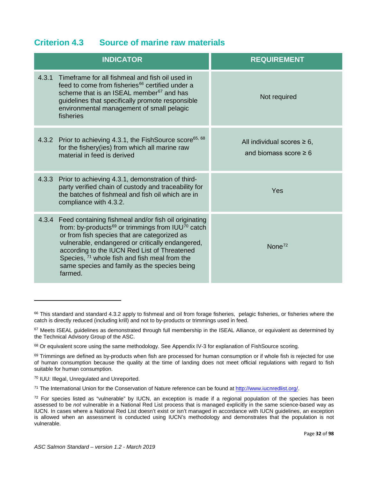### <span id="page-31-0"></span>**Criterion 4.3 Source of marine raw materials**

| <b>INDICATOR</b>                                                                                                                                                                                                                                                                                                                                                                                          | <b>REQUIREMENT</b>                                             |
|-----------------------------------------------------------------------------------------------------------------------------------------------------------------------------------------------------------------------------------------------------------------------------------------------------------------------------------------------------------------------------------------------------------|----------------------------------------------------------------|
| 4.3.1<br>Timeframe for all fishmeal and fish oil used in<br>feed to come from fisheries <sup>66</sup> certified under a<br>scheme that is an ISEAL member <sup>67</sup> and has<br>guidelines that specifically promote responsible<br>environmental management of small pelagic<br>fisheries                                                                                                             | Not required                                                   |
| 4.3.2 Prior to achieving 4.3.1, the FishSource score <sup>65, 68</sup><br>for the fishery(ies) from which all marine raw<br>material in feed is derived                                                                                                                                                                                                                                                   | All individual scores $\geq 6$ ,<br>and biomass score $\geq 6$ |
| 4.3.3<br>Prior to achieving 4.3.1, demonstration of third-<br>party verified chain of custody and traceability for<br>the batches of fishmeal and fish oil which are in<br>compliance with 4.3.2.                                                                                                                                                                                                         | Yes                                                            |
| 4.3.4 Feed containing fishmeal and/or fish oil originating<br>from: by-products <sup>69</sup> or trimmings from IUU <sup>70</sup> catch<br>or from fish species that are categorized as<br>vulnerable, endangered or critically endangered,<br>according to the IUCN Red List of Threatened<br>Species, $71$ whole fish and fish meal from the<br>same species and family as the species being<br>farmed. | None $72$                                                      |

<span id="page-31-5"></span><sup>70</sup> IUU: Illegal, Unregulated and Unreported.

l

<span id="page-31-6"></span><sup>71</sup> The International Union for the Conservation of Nature reference can be found at [http://www.iucnredlist.org/.](http://www.iucnredlist.org/)

<span id="page-31-1"></span><sup>66</sup> This standard and standard 4.3.2 apply to fishmeal and oil from forage fisheries, pelagic fisheries, or fisheries where the catch is directly reduced (including krill) and not to by-products or trimmings used in feed.

<span id="page-31-2"></span> $67$  Meets ISEAL guidelines as demonstrated through full membership in the ISEAL Alliance, or equivalent as determined by the Technical Advisory Group of the ASC.

<span id="page-31-3"></span><sup>68</sup> Or equivalent score using the same methodology. See Appendix IV-3 for explanation of FishSource scoring.

<span id="page-31-4"></span><sup>69</sup> Trimmings are defined as by-products when fish are processed for human consumption or if whole fish is rejected for use of human consumption because the quality at the time of landing does not meet official regulations with regard to fish suitable for human consumption.

<span id="page-31-7"></span> $72$  For species listed as "vulnerable" by IUCN, an exception is made if a regional population of the species has been assessed to be *not* vulnerable in a National Red List process that is managed explicitly in the same science-based way as IUCN. In cases where a National Red List doesn't exist or isn't managed in accordance with IUCN guidelines, an exception is allowed when an assessment is conducted using IUCN's methodology and demonstrates that the population is not vulnerable.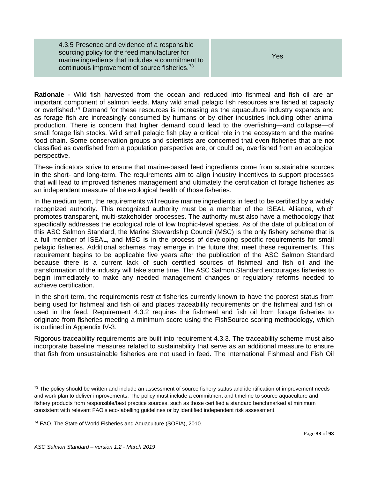4.3.5 Presence and evidence of a responsible sourcing policy for the feed manufacturer for marine ingredients that includes a commitment to continuous improvement of source fisheries.[73](#page-32-0)

Yes

**Rationale** - Wild fish harvested from the ocean and reduced into fishmeal and fish oil are an important component of salmon feeds. Many wild small pelagic fish resources are fished at capacity or overfished.<sup>[74](#page-32-1)</sup> Demand for these resources is increasing as the aquaculture industry expands and as forage fish are increasingly consumed by humans or by other industries including other animal production. There is concern that higher demand could lead to the overfishing—and collapse—of small forage fish stocks. Wild small pelagic fish play a critical role in the ecosystem and the marine food chain. Some conservation groups and scientists are concerned that even fisheries that are not classified as overfished from a population perspective are, or could be, overfished from an ecological perspective.

These indicators strive to ensure that marine-based feed ingredients come from sustainable sources in the short- and long-term. The requirements aim to align industry incentives to support processes that will lead to improved fisheries management and ultimately the certification of forage fisheries as an independent measure of the ecological health of those fisheries.

In the medium term, the requirements will require marine ingredients in feed to be certified by a widely recognized authority. This recognized authority must be a member of the ISEAL Alliance, which promotes transparent, multi-stakeholder processes. The authority must also have a methodology that specifically addresses the ecological role of low trophic-level species. As of the date of publication of this ASC Salmon Standard, the Marine Stewardship Council (MSC) is the only fishery scheme that is a full member of ISEAL, and MSC is in the process of developing specific requirements for small pelagic fisheries. Additional schemes may emerge in the future that meet these requirements. This requirement begins to be applicable five years after the publication of the ASC Salmon Standard because there is a current lack of such certified sources of fishmeal and fish oil and the transformation of the industry will take some time. The ASC Salmon Standard encourages fisheries to begin immediately to make any needed management changes or regulatory reforms needed to achieve certification.

In the short term, the requirements restrict fisheries currently known to have the poorest status from being used for fishmeal and fish oil and places traceability requirements on the fishmeal and fish oil used in the feed. Requirement 4.3.2 requires the fishmeal and fish oil from forage fisheries to originate from fisheries meeting a minimum score using the FishSource scoring methodology, which is outlined in Appendix IV-3.

Rigorous traceability requirements are built into requirement 4.3.3. The traceability scheme must also incorporate baseline measures related to sustainability that serve as an additional measure to ensure that fish from unsustainable fisheries are not used in feed. The International Fishmeal and Fish Oil

<span id="page-32-0"></span> $73$  The policy should be written and include an assessment of source fishery status and identification of improvement needs and work plan to deliver improvements. The policy must include a commitment and timeline to source aquaculture and fishery products from responsible/best practice sources, such as those certified a standard benchmarked at minimum consistent with relevant FAO's eco-labelling guidelines or by identified independent risk assessment.

<span id="page-32-1"></span><sup>74</sup> FAO, The State of World Fisheries and Aquaculture (SOFIA), 2010.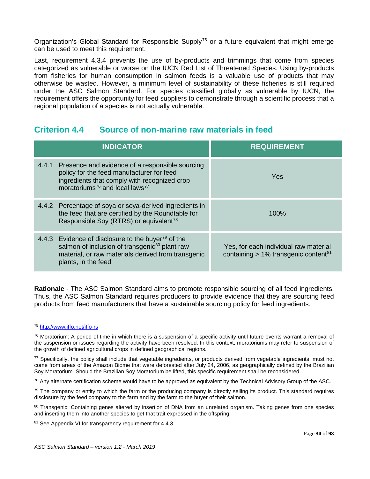Organization's Global Standard for Responsible Supply<sup>[75](#page-33-1)</sup> or a future equivalent that might emerge can be used to meet this requirement.

Last, requirement 4.3.4 prevents the use of by-products and trimmings that come from species categorized as vulnerable or worse on the IUCN Red List of Threatened Species. Using by-products from fisheries for human consumption in salmon feeds is a valuable use of products that may otherwise be wasted. However, a minimum level of sustainability of these fisheries is still required under the ASC Salmon Standard. For species classified globally as vulnerable by IUCN, the requirement offers the opportunity for feed suppliers to demonstrate through a scientific process that a regional population of a species is not actually vulnerable.

### <span id="page-33-0"></span>**Criterion 4.4 Source of non-marine raw materials in feed**

| <b>INDICATOR</b>                                                                                                                                                                                             | <b>REQUIREMENT</b>                                                                           |
|--------------------------------------------------------------------------------------------------------------------------------------------------------------------------------------------------------------|----------------------------------------------------------------------------------------------|
| 4.4.1 Presence and evidence of a responsible sourcing<br>policy for the feed manufacturer for feed<br>ingredients that comply with recognized crop<br>moratoriums <sup>76</sup> and local laws <sup>77</sup> | Yes                                                                                          |
| 4.4.2 Percentage of soya or soya-derived ingredients in<br>the feed that are certified by the Roundtable for<br>Responsible Soy (RTRS) or equivalent <sup>78</sup>                                           | $100\%$                                                                                      |
| 4.4.3 Evidence of disclosure to the buyer <sup>79</sup> of the<br>salmon of inclusion of transgenic <sup>80</sup> plant raw<br>material, or raw materials derived from transgenic<br>plants, in the feed     | Yes, for each individual raw material<br>containing $> 1\%$ transgenic content <sup>81</sup> |

**Rationale** - The ASC Salmon Standard aims to promote responsible sourcing of all feed ingredients. Thus, the ASC Salmon Standard requires producers to provide evidence that they are sourcing feed products from feed manufacturers that have a sustainable sourcing policy for feed ingredients.

l

<span id="page-33-3"></span><sup>77</sup> Specifically, the policy shall include that vegetable ingredients, or products derived from vegetable ingredients, must not come from areas of the Amazon Biome that were deforested after July 24, 2006, as geographically defined by the Brazilian Soy Moratorium. Should the Brazilian Soy Moratorium be lifted, this specific requirement shall be reconsidered.

<span id="page-33-4"></span> $78$  Any alternate certification scheme would have to be approved as equivalent by the Technical Advisory Group of the ASC.

<span id="page-33-5"></span> $79$  The company or entity to which the farm or the producing company is directly selling its product. This standard requires disclosure by the feed company to the farm and by the farm to the buyer of their salmon.

<span id="page-33-6"></span>80 Transgenic: Containing genes altered by insertion of DNA from an unrelated organism. Taking genes from one species and inserting them into another species to get that trait expressed in the offspring.

<span id="page-33-7"></span>81 See Appendix VI for transparency requirement for 4.4.3.

<span id="page-33-1"></span><sup>75</sup> <http://www.iffo.net/iffo-rs>

<span id="page-33-2"></span> $76$  Moratorium: A period of time in which there is a suspension of a specific activity until future events warrant a removal of the suspension or issues regarding the activity have been resolved. In this context, moratoriums may refer to suspension of the growth of defined agricultural crops in defined geographical regions.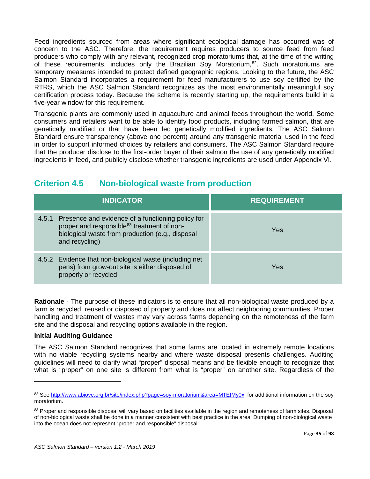Feed ingredients sourced from areas where significant ecological damage has occurred was of concern to the ASC. Therefore, the requirement requires producers to source feed from feed producers who comply with any relevant, recognized crop moratoriums that, at the time of the writing of these requirements, includes only the Brazilian Soy Moratorium,<sup>82</sup>. Such moratoriums are temporary measures intended to protect defined geographic regions. Looking to the future, the ASC Salmon Standard incorporates a requirement for feed manufacturers to use soy certified by the RTRS, which the ASC Salmon Standard recognizes as the most environmentally meaningful soy certification process today. Because the scheme is recently starting up, the requirements build in a five-year window for this requirement.

Transgenic plants are commonly used in aquaculture and animal feeds throughout the world. Some consumers and retailers want to be able to identify food products, including farmed salmon, that are genetically modified or that have been fed genetically modified ingredients. The ASC Salmon Standard ensure transparency (above one percent) around any transgenic material used in the feed in order to support informed choices by retailers and consumers. The ASC Salmon Standard require that the producer disclose to the first-order buyer of their salmon the use of any genetically modified ingredients in feed, and publicly disclose whether transgenic ingredients are used under Appendix VI.

# <span id="page-34-0"></span>**Criterion 4.5 Non-biological waste from production**

| <b>INDICATOR</b>                                                                                                                                                                        | <b>REQUIREMENT</b> |
|-----------------------------------------------------------------------------------------------------------------------------------------------------------------------------------------|--------------------|
| 4.5.1 Presence and evidence of a functioning policy for<br>proper and responsible <sup>83</sup> treatment of non-<br>biological waste from production (e.g., disposal<br>and recycling) | <b>Yes</b>         |
| 4.5.2 Evidence that non-biological waste (including net<br>pens) from grow-out site is either disposed of<br>properly or recycled                                                       | Yes                |

**Rationale** - The purpose of these indicators is to ensure that all non-biological waste produced by a farm is recycled, reused or disposed of properly and does not affect neighboring communities. Proper handling and treatment of wastes may vary across farms depending on the remoteness of the farm site and the disposal and recycling options available in the region.

### **Initial Auditing Guidance**

l

The ASC Salmon Standard recognizes that some farms are located in extremely remote locations with no viable recycling systems nearby and where waste disposal presents challenges. Auditing guidelines will need to clarify what "proper" disposal means and be flexible enough to recognize that what is "proper" on one site is different from what is "proper" on another site. Regardless of the

<span id="page-34-1"></span><sup>82</sup> See<http://www.abiove.org.br/site/index.php?page=soy-moratorium&area=MTEtMy0x> for additional information on the soy moratorium.

<span id="page-34-2"></span><sup>83</sup> Proper and responsible disposal will vary based on facilities available in the region and remoteness of farm sites. Disposal of non-biological waste shall be done in a manner consistent with best practice in the area. Dumping of non-biological waste into the ocean does not represent "proper and responsible" disposal.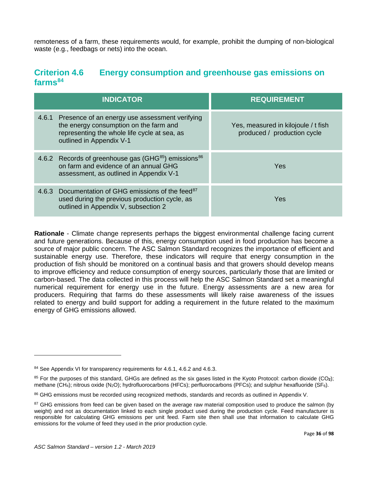remoteness of a farm, these requirements would, for example, prohibit the dumping of non-biological waste (e.g., feedbags or nets) into the ocean.

### <span id="page-35-0"></span>**Criterion 4.6 Energy consumption and greenhouse gas emissions on farms[84](#page-35-2)**

| <b>INDICATOR</b>                                                                                                                                                           | <b>REQUIREMENT</b>                                                 |
|----------------------------------------------------------------------------------------------------------------------------------------------------------------------------|--------------------------------------------------------------------|
| 4.6.1 Presence of an energy use assessment verifying<br>the energy consumption on the farm and<br>representing the whole life cycle at sea, as<br>outlined in Appendix V-1 | Yes, measured in kilojoule / t fish<br>produced / production cycle |
| 4.6.2 Records of greenhouse gas (GHG <sup>85</sup> ) emissions <sup>86</sup><br>on farm and evidence of an annual GHG<br>assessment, as outlined in Appendix V-1           | Yes                                                                |
| 4.6.3 Documentation of GHG emissions of the feed <sup>87</sup><br>used during the previous production cycle, as<br>outlined in Appendix V, subsection 2                    | Yes                                                                |

**Rationale** - Climate change represents perhaps the biggest environmental challenge facing current and future generations. Because of this, energy consumption used in food production has become a source of major public concern. The ASC Salmon Standard recognizes the importance of efficient and sustainable energy use. Therefore, these indicators will require that energy consumption in the production of fish should be monitored on a continual basis and that growers should develop means to improve efficiency and reduce consumption of energy sources, particularly those that are limited or carbon-based. The data collected in this process will help the ASC Salmon Standard set a meaningful numerical requirement for energy use in the future. Energy assessments are a new area for producers. Requiring that farms do these assessments will likely raise awareness of the issues related to energy and build support for adding a requirement in the future related to the maximum energy of GHG emissions allowed.

<span id="page-35-2"></span><span id="page-35-1"></span><sup>84</sup> See Appendix VI for transparency requirements for 4.6.1, 4.6.2 and 4.6.3.

<span id="page-35-3"></span><sup>85</sup> For the purposes of this standard, GHGs are defined as the six gases listed in the Kyoto Protocol: carbon dioxide (CO**2**); methane (CH4); nitrous oxide (N2O); hydrofluorocarbons (HFCs); perfluorocarbons (PFCs); and sulphur hexafluoride (SF6).

<span id="page-35-4"></span><sup>86</sup> GHG emissions must be recorded using recognized methods, standards and records as outlined in Appendix V.

<span id="page-35-5"></span><sup>&</sup>lt;sup>87</sup> GHG emissions from feed can be given based on the average raw material composition used to produce the salmon (by weight) and not as documentation linked to each single product used during the production cycle. Feed manufacturer is responsible for calculating GHG emissions per unit feed. Farm site then shall use that information to calculate GHG emissions for the volume of feed they used in the prior production cycle.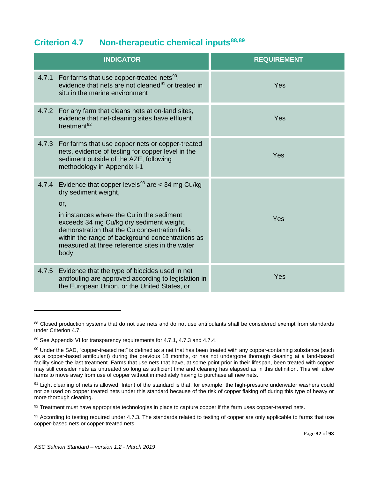## **Criterion 4.7 Non-therapeutic chemical inputs[88](#page-36-0),[89](#page-36-1)**

|       | <b>INDICATOR</b>                                                                                                                                                                                                                                                                                                                                           | <b>REQUIREMENT</b> |
|-------|------------------------------------------------------------------------------------------------------------------------------------------------------------------------------------------------------------------------------------------------------------------------------------------------------------------------------------------------------------|--------------------|
|       | 4.7.1 For farms that use copper-treated nets <sup>90</sup> ,<br>evidence that nets are not cleaned <sup>91</sup> or treated in<br>situ in the marine environment                                                                                                                                                                                           | Yes                |
|       | 4.7.2 For any farm that cleans nets at on-land sites,<br>evidence that net-cleaning sites have effluent<br>treatment <sup>92</sup>                                                                                                                                                                                                                         | Yes                |
|       | 4.7.3 For farms that use copper nets or copper-treated<br>nets, evidence of testing for copper level in the<br>sediment outside of the AZE, following<br>methodology in Appendix I-1                                                                                                                                                                       | Yes                |
|       | 4.7.4 Evidence that copper levels <sup>93</sup> are $<$ 34 mg Cu/kg<br>dry sediment weight,<br>or,<br>in instances where the Cu in the sediment<br>exceeds 34 mg Cu/kg dry sediment weight,<br>demonstration that the Cu concentration falls<br>within the range of background concentrations as<br>measured at three reference sites in the water<br>body | Yes                |
| 4.7.5 | Evidence that the type of biocides used in net<br>antifouling are approved according to legislation in<br>the European Union, or the United States, or                                                                                                                                                                                                     | Yes                |

<span id="page-36-0"></span><sup>88</sup> Closed production systems that do not use nets and do not use antifoulants shall be considered exempt from standards under Criterion 4.7.

<span id="page-36-1"></span><sup>89</sup> See Appendix VI for transparency requirements for 4.7.1, 4.7.3 and 4.7.4.

<span id="page-36-2"></span><sup>90</sup> Under the SAD, "copper-treated net" is defined as a net that has been treated with any copper-containing substance (such as a copper-based antifoulant) during the previous 18 months, or has not undergone thorough cleaning at a land-based facility since the last treatment. Farms that use nets that have, at some point prior in their lifespan, been treated with copper may still consider nets as untreated so long as sufficient time and cleaning has elapsed as in this definition. This will allow farms to move away from use of copper without immediately having to purchase all new nets.

<span id="page-36-3"></span><sup>91</sup> Light cleaning of nets is allowed. Intent of the standard is that, for example, the high-pressure underwater washers could not be used on copper treated nets under this standard because of the risk of copper flaking off during this type of heavy or more thorough cleaning.

<span id="page-36-4"></span><sup>92</sup> Treatment must have appropriate technologies in place to capture copper if the farm uses copper-treated nets.

<span id="page-36-5"></span><sup>93</sup> According to testing required under 4.7.3. The standards related to testing of copper are only applicable to farms that use copper-based nets or copper-treated nets.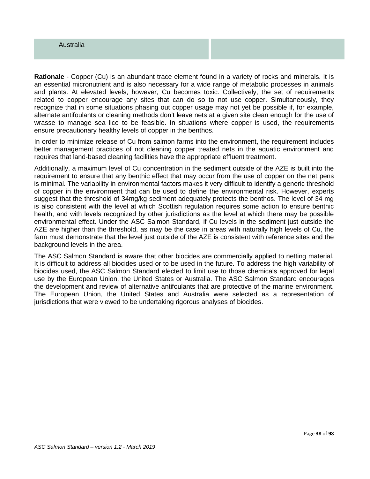#### Australia

**Rationale** - Copper (Cu) is an abundant trace element found in a variety of rocks and minerals. It is an essential micronutrient and is also necessary for a wide range of metabolic processes in animals and plants. At elevated levels, however, Cu becomes toxic. Collectively, the set of requirements related to copper encourage any sites that can do so to not use copper. Simultaneously, they recognize that in some situations phasing out copper usage may not yet be possible if, for example, alternate antifoulants or cleaning methods don't leave nets at a given site clean enough for the use of wrasse to manage sea lice to be feasible. In situations where copper is used, the requirements ensure precautionary healthy levels of copper in the benthos.

In order to minimize release of Cu from salmon farms into the environment, the requirement includes better management practices of not cleaning copper treated nets in the aquatic environment and requires that land-based cleaning facilities have the appropriate effluent treatment.

Additionally, a maximum level of Cu concentration in the sediment outside of the AZE is built into the requirement to ensure that any benthic effect that may occur from the use of copper on the net pens is minimal. The variability in environmental factors makes it very difficult to identify a generic threshold of copper in the environment that can be used to define the environmental risk. However, experts suggest that the threshold of 34mg/kg sediment adequately protects the benthos. The level of 34 mg is also consistent with the level at which Scottish regulation requires some action to ensure benthic health, and with levels recognized by other jurisdictions as the level at which there may be possible environmental effect. Under the ASC Salmon Standard, if Cu levels in the sediment just outside the AZE are higher than the threshold, as may be the case in areas with naturally high levels of Cu, the farm must demonstrate that the level just outside of the AZE is consistent with reference sites and the background levels in the area.

The ASC Salmon Standard is aware that other biocides are commercially applied to netting material. It is difficult to address all biocides used or to be used in the future. To address the high variability of biocides used, the ASC Salmon Standard elected to limit use to those chemicals approved for legal use by the European Union, the United States or Australia. The ASC Salmon Standard encourages the development and review of alternative antifoulants that are protective of the marine environment. The European Union, the United States and Australia were selected as a representation of jurisdictions that were viewed to be undertaking rigorous analyses of biocides.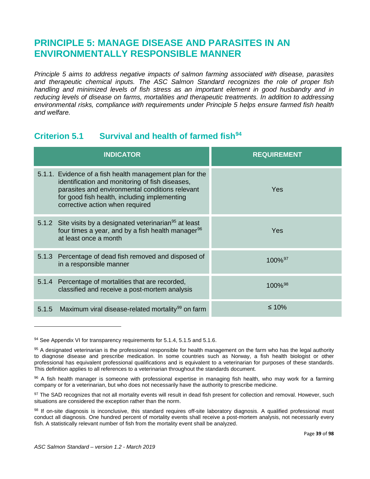# **PRINCIPLE 5: MANAGE DISEASE AND PARASITES IN AN ENVIRONMENTALLY RESPONSIBLE MANNER**

*Principle 5 aims to address negative impacts of salmon farming associated with disease, parasites and therapeutic chemical inputs. The ASC Salmon Standard recognizes the role of proper fish handling and minimized levels of fish stress as an important element in good husbandry and in reducing levels of disease on farms, mortalities and therapeutic treatments. In addition to addressing environmental risks, compliance with requirements under Principle 5 helps ensure farmed fish health and welfare.*

## **Criterion 5.1 Survival and health of farmed fish[94](#page-38-0)**

| <b>INDICATOR</b>                                                                                                                                                                                                                                  | <b>REQUIREMENT</b>    |
|---------------------------------------------------------------------------------------------------------------------------------------------------------------------------------------------------------------------------------------------------|-----------------------|
| 5.1.1. Evidence of a fish health management plan for the<br>identification and monitoring of fish diseases,<br>parasites and environmental conditions relevant<br>for good fish health, including implementing<br>corrective action when required | Yes                   |
| 5.1.2 Site visits by a designated veterinarian <sup>95</sup> at least<br>four times a year, and by a fish health manager <sup>96</sup><br>at least once a month                                                                                   | Yes                   |
| 5.1.3 Percentage of dead fish removed and disposed of<br>in a responsible manner                                                                                                                                                                  | 100%97                |
| 5.1.4 Percentage of mortalities that are recorded,<br>classified and receive a post-mortem analysis                                                                                                                                               | $100\%$ <sup>98</sup> |
| Maximum viral disease-related mortality <sup>99</sup> on farm<br>5.1.5                                                                                                                                                                            | $\leq 10\%$           |

<span id="page-38-0"></span><sup>94</sup> See Appendix VI for transparency requirements for 5.1.4, 5.1.5 and 5.1.6.

<span id="page-38-1"></span><sup>95</sup> A designated veterinarian is the professional responsible for health management on the farm who has the legal authority to diagnose disease and prescribe medication. In some countries such as Norway, a fish health biologist or other professional has equivalent professional qualifications and is equivalent to a veterinarian for purposes of these standards. This definition applies to all references to a veterinarian throughout the standards document.

<span id="page-38-2"></span><sup>96</sup> A fish health manager is someone with professional expertise in managing fish health, who may work for a farming company or for a veterinarian, but who does not necessarily have the authority to prescribe medicine.

<span id="page-38-3"></span><sup>97</sup> The SAD recognizes that not all mortality events will result in dead fish present for collection and removal. However, such situations are considered the exception rather than the norm.

<span id="page-38-5"></span><span id="page-38-4"></span><sup>98</sup> If on-site diagnosis is inconclusive, this standard requires off-site laboratory diagnosis. A qualified professional must conduct all diagnosis. One hundred percent of mortality events shall receive a post-mortem analysis, not necessarily every fish. A statistically relevant number of fish from the mortality event shall be analyzed.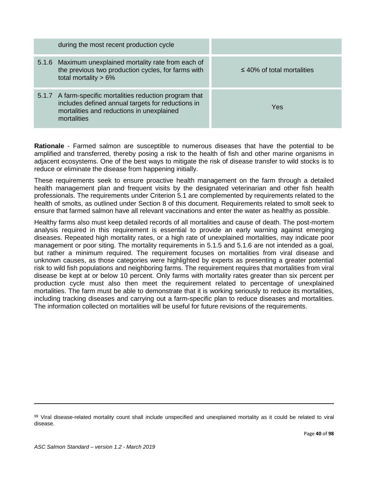| during the most recent production cycle                                                                                                                                   |                                 |
|---------------------------------------------------------------------------------------------------------------------------------------------------------------------------|---------------------------------|
| 5.1.6 Maximum unexplained mortality rate from each of<br>the previous two production cycles, for farms with<br>total mortality $> 6\%$                                    | $\leq$ 40% of total mortalities |
| 5.1.7 A farm-specific mortalities reduction program that<br>includes defined annual targets for reductions in<br>mortalities and reductions in unexplained<br>mortalities | Yes                             |

**Rationale** - Farmed salmon are susceptible to numerous diseases that have the potential to be amplified and transferred, thereby posing a risk to the health of fish and other marine organisms in adjacent ecosystems. One of the best ways to mitigate the risk of disease transfer to wild stocks is to reduce or eliminate the disease from happening initially.

These requirements seek to ensure proactive health management on the farm through a detailed health management plan and frequent visits by the designated veterinarian and other fish health professionals. The requirements under Criterion 5.1 are complemented by requirements related to the health of smolts, as outlined under Section 8 of this document. Requirements related to smolt seek to ensure that farmed salmon have all relevant vaccinations and enter the water as healthy as possible.

Healthy farms also must keep detailed records of all mortalities and cause of death. The post-mortem analysis required in this requirement is essential to provide an early warning against emerging diseases. Repeated high mortality rates, or a high rate of unexplained mortalities, may indicate poor management or poor siting. The mortality requirements in 5.1.5 and 5.1.6 are not intended as a goal, but rather a minimum required. The requirement focuses on mortalities from viral disease and unknown causes, as those categories were highlighted by experts as presenting a greater potential risk to wild fish populations and neighboring farms. The requirement requires that mortalities from viral disease be kept at or below 10 percent. Only farms with mortality rates greater than six percent per production cycle must also then meet the requirement related to percentage of unexplained mortalities. The farm must be able to demonstrate that it is working seriously to reduce its mortalities, including tracking diseases and carrying out a farm-specific plan to reduce diseases and mortalities. The information collected on mortalities will be useful for future revisions of the requirements.

<sup>99</sup> Viral disease-related mortality count shall include unspecified and unexplained mortality as it could be related to viral disease.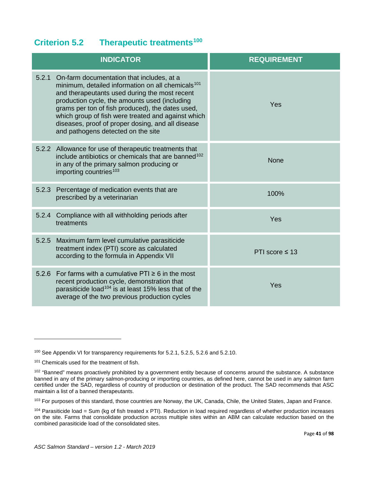## **Criterion 5.2 Therapeutic treatments[100](#page-40-0)**

|       | <b>INDICATOR</b>                                                                                                                                                                                                                                                                                                                                                                                                        | <b>REQUIREMENT</b>  |
|-------|-------------------------------------------------------------------------------------------------------------------------------------------------------------------------------------------------------------------------------------------------------------------------------------------------------------------------------------------------------------------------------------------------------------------------|---------------------|
|       | 5.2.1 On-farm documentation that includes, at a<br>minimum, detailed information on all chemicals <sup>101</sup><br>and therapeutants used during the most recent<br>production cycle, the amounts used (including<br>grams per ton of fish produced), the dates used,<br>which group of fish were treated and against which<br>diseases, proof of proper dosing, and all disease<br>and pathogens detected on the site | Yes                 |
|       | 5.2.2 Allowance for use of therapeutic treatments that<br>include antibiotics or chemicals that are banned <sup>102</sup><br>in any of the primary salmon producing or<br>importing countries <sup>103</sup>                                                                                                                                                                                                            | <b>None</b>         |
| 5.2.3 | Percentage of medication events that are<br>prescribed by a veterinarian                                                                                                                                                                                                                                                                                                                                                | 100%                |
| 5.2.4 | Compliance with all withholding periods after<br>treatments                                                                                                                                                                                                                                                                                                                                                             | Yes                 |
| 5.2.5 | Maximum farm level cumulative parasiticide<br>treatment index (PTI) score as calculated<br>according to the formula in Appendix VII                                                                                                                                                                                                                                                                                     | PTI score $\leq$ 13 |
| 5.2.6 | For farms with a cumulative PTI $\geq 6$ in the most<br>recent production cycle, demonstration that<br>parasiticide load <sup>104</sup> is at least 15% less that of the<br>average of the two previous production cycles                                                                                                                                                                                               | Yes                 |

<span id="page-40-0"></span><sup>100</sup> See Appendix VI for transparency requirements for 5.2.1, 5.2.5, 5.2.6 and 5.2.10.

<span id="page-40-1"></span><sup>101</sup> Chemicals used for the treatment of fish.

<span id="page-40-2"></span><sup>102 &</sup>quot;Banned" means proactively prohibited by a government entity because of concerns around the substance. A substance banned in any of the primary salmon-producing or importing countries, as defined here, cannot be used in any salmon farm certified under the SAD, regardless of country of production or destination of the product. The SAD recommends that ASC maintain a list of a banned therapeutants.

<span id="page-40-3"></span><sup>103</sup> For purposes of this standard, those countries are Norway, the UK, Canada, Chile, the United States, Japan and France.

<span id="page-40-4"></span> $104$  Parasiticide load = Sum (kg of fish treated x PTI). Reduction in load required regardless of whether production increases on the site. Farms that consolidate production across multiple sites within an ABM can calculate reduction based on the combined parasiticide load of the consolidated sites.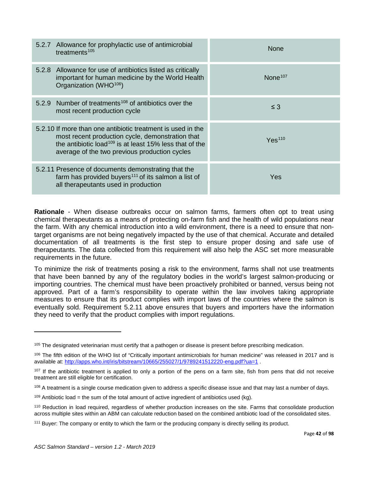| 5.2.7 Allowance for prophylactic use of antimicrobial<br>treatments <sup>105</sup>                                                                                                                                                      | <b>None</b>         |
|-----------------------------------------------------------------------------------------------------------------------------------------------------------------------------------------------------------------------------------------|---------------------|
| 5.2.8 Allowance for use of antibiotics listed as critically<br>important for human medicine by the World Health<br>Organization (WHO <sup>106</sup> )                                                                                   | None <sup>107</sup> |
| 5.2.9 Number of treatments <sup>108</sup> of antibiotics over the<br>most recent production cycle                                                                                                                                       | $\leq$ 3            |
| 5.2.10 If more than one antibiotic treatment is used in the<br>most recent production cycle, demonstration that<br>the antibiotic load <sup>109</sup> is at least 15% less that of the<br>average of the two previous production cycles | Yes <sup>110</sup>  |
| 5.2.11 Presence of documents demonstrating that the<br>farm has provided buyers <sup>111</sup> of its salmon a list of<br>all therapeutants used in production                                                                          | Yes                 |

**Rationale** - When disease outbreaks occur on salmon farms, farmers often opt to treat using chemical therapeutants as a means of protecting on-farm fish and the health of wild populations near the farm. With any chemical introduction into a wild environment, there is a need to ensure that nontarget organisms are not being negatively impacted by the use of that chemical. Accurate and detailed documentation of all treatments is the first step to ensure proper dosing and safe use of therapeutants. The data collected from this requirement will also help the ASC set more measurable requirements in the future.

To minimize the risk of treatments posing a risk to the environment, farms shall not use treatments that have been banned by any of the regulatory bodies in the world's largest salmon-producing or importing countries. The chemical must have been proactively prohibited or banned, versus being not approved. Part of a farm's responsibility to operate within the law involves taking appropriate measures to ensure that its product complies with import laws of the countries where the salmon is eventually sold. Requirement 5.2.11 above ensures that buyers and importers have the information they need to verify that the product complies with import regulations.

<span id="page-41-0"></span><sup>&</sup>lt;sup>105</sup> The designated veterinarian must certify that a pathogen or disease is present before prescribing medication.

<span id="page-41-1"></span><sup>&</sup>lt;sup>106</sup> The fifth edition of the WHO list of "Critically important antimicrobials for human medicine" was released in 2017 and is available at:<http://apps.who.int/iris/bitstream/10665/255027/1/9789241512220-eng.pdf?ua=1>.

<span id="page-41-2"></span><sup>&</sup>lt;sup>107</sup> If the antibiotic treatment is applied to only a portion of the pens on a farm site, fish from pens that did not receive treatment are still eligible for certification.

<span id="page-41-3"></span><sup>&</sup>lt;sup>108</sup> A treatment is a single course medication given to address a specific disease issue and that may last a number of days.

<span id="page-41-4"></span> $109$  Antibiotic load = the sum of the total amount of active ingredient of antibiotics used (kg).

<span id="page-41-5"></span><sup>110</sup> Reduction in load required, regardless of whether production increases on the site. Farms that consolidate production across multiple sites within an ABM can calculate reduction based on the combined antibiotic load of the consolidated sites.

<span id="page-41-6"></span><sup>&</sup>lt;sup>111</sup> Buyer: The company or entity to which the farm or the producing company is directly selling its product.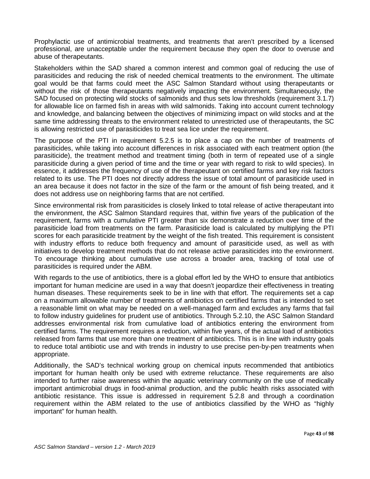Prophylactic use of antimicrobial treatments, and treatments that aren't prescribed by a licensed professional, are unacceptable under the requirement because they open the door to overuse and abuse of therapeutants.

Stakeholders within the SAD shared a common interest and common goal of reducing the use of parasiticides and reducing the risk of needed chemical treatments to the environment. The ultimate goal would be that farms could meet the ASC Salmon Standard without using therapeutants or without the risk of those therapeutants negatively impacting the environment. Simultaneously, the SAD focused on protecting wild stocks of salmonids and thus sets low thresholds (requirement 3.1.7) for allowable lice on farmed fish in areas with wild salmonids. Taking into account current technology and knowledge, and balancing between the objectives of minimizing impact on wild stocks and at the same time addressing threats to the environment related to unrestricted use of therapeutants, the SC is allowing restricted use of parasiticides to treat sea lice under the requirement.

The purpose of the PTI in requirement 5.2.5 is to place a cap on the number of treatments of parasiticides, while taking into account differences in risk associated with each treatment option (the parasiticide), the treatment method and treatment timing (both in term of repeated use of a single parasiticide during a given period of time and the time or year with regard to risk to wild species). In essence, it addresses the frequency of use of the therapeutant on certified farms and key risk factors related to its use. The PTI does not directly address the issue of total amount of parasiticide used in an area because it does not factor in the size of the farm or the amount of fish being treated, and it does not address use on neighboring farms that are not certified.

Since environmental risk from parasiticides is closely linked to total release of active therapeutant into the environment, the ASC Salmon Standard requires that, within five years of the publication of the requirement, farms with a cumulative PTI greater than six demonstrate a reduction over time of the parasiticide load from treatments on the farm. Parasiticide load is calculated by multiplying the PTI scores for each parasiticide treatment by the weight of the fish treated. This requirement is consistent with industry efforts to reduce both frequency and amount of parasiticide used, as well as with initiatives to develop treatment methods that do not release active parasiticides into the environment. To encourage thinking about cumulative use across a broader area, tracking of total use of parasiticides is required under the ABM.

With regards to the use of antibiotics, there is a global effort led by the WHO to ensure that antibiotics important for human medicine are used in a way that doesn't jeopardize their effectiveness in treating human diseases. These requirements seek to be in line with that effort. The requirements set a cap on a maximum allowable number of treatments of antibiotics on certified farms that is intended to set a reasonable limit on what may be needed on a well-managed farm and excludes any farms that fail to follow industry guidelines for prudent use of antibiotics. Through 5.2.10, the ASC Salmon Standard addresses environmental risk from cumulative load of antibiotics entering the environment from certified farms. The requirement requires a reduction, within five years, of the actual load of antibiotics released from farms that use more than one treatment of antibiotics. This is in line with industry goals to reduce total antibiotic use and with trends in industry to use precise pen-by-pen treatments when appropriate.

Additionally, the SAD's technical working group on chemical inputs recommended that antibiotics important for human health only be used with extreme reluctance. These requirements are also intended to further raise awareness within the aquatic veterinary community on the use of medically important antimicrobial drugs in food-animal production, and the public health risks associated with antibiotic resistance. This issue is addressed in requirement 5.2.8 and through a coordination requirement within the ABM related to the use of antibiotics classified by the WHO as "highly important" for human health.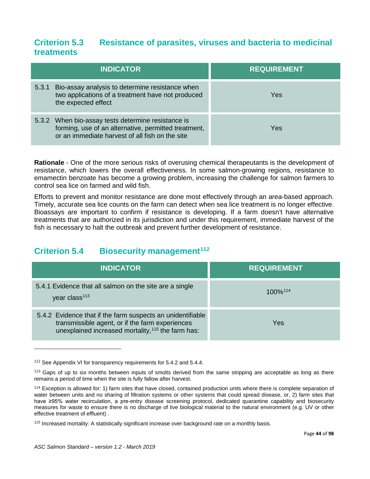## **Criterion 5.3 Resistance of parasites, viruses and bacteria to medicinal treatments**

|       | <b>INDICATOR</b>                                                                                                                                              | <b>REQUIREMENT</b> |
|-------|---------------------------------------------------------------------------------------------------------------------------------------------------------------|--------------------|
| 5.3.1 | Bio-assay analysis to determine resistance when<br>two applications of a treatment have not produced<br>the expected effect                                   | Yes                |
|       | 5.3.2 When bio-assay tests determine resistance is<br>forming, use of an alternative, permitted treatment,<br>or an immediate harvest of all fish on the site | Yes                |

**Rationale** - One of the more serious risks of overusing chemical therapeutants is the development of resistance, which lowers the overall effectiveness. In some salmon-growing regions, resistance to emamectin benzoate has become a growing problem, increasing the challenge for salmon farmers to control sea lice on farmed and wild fish.

Efforts to prevent and monitor resistance are done most effectively through an area-based approach. Timely, accurate sea lice counts on the farm can detect when sea lice treatment is no longer effective. Bioassays are important to confirm if resistance is developing. If a farm doesn't have alternative treatments that are authorized in its jurisdiction and under this requirement, immediate harvest of the fish is necessary to halt the outbreak and prevent further development of resistance.

## **Criterion 5.4 Biosecurity management[112](#page-43-0)**

| <b>INDICATOR</b>                                                                                                                                                    | <b>REQUIREMENT</b>  |
|---------------------------------------------------------------------------------------------------------------------------------------------------------------------|---------------------|
| 5.4.1 Evidence that all salmon on the site are a single<br>year class <sup>113</sup>                                                                                | 100% <sup>114</sup> |
| 5.4.2 Evidence that if the farm suspects an unidentifiable<br>transmissible agent, or if the farm experiences<br>unexplained increased mortality, 115 the farm has: | Yes                 |

<span id="page-43-0"></span><sup>&</sup>lt;sup>112</sup> See Appendix VI for transparency requirements for 5.4.2 and 5.4.4.

<span id="page-43-1"></span><sup>&</sup>lt;sup>113</sup> Gaps of up to six months between inputs of smolts derived from the same stripping are acceptable as long as there remains a period of time when the site is fully fallow after harvest.

<span id="page-43-2"></span><sup>114</sup> Exception is allowed for: 1) farm sites that have closed, contained production units where there is complete separation of water between units and no sharing of filtration systems or other systems that could spread disease, or, 2) farm sites that have ≥95% water recirculation, a pre-entry disease screening protocol, dedicated quarantine capability and biosecurity measures for waste to ensure there is no discharge of live biological material to the natural environment (e.g. UV or other effective treatment of effluent) .

<span id="page-43-3"></span><sup>&</sup>lt;sup>115</sup> Increased mortality: A statistically significant increase over background rate on a monthly basis.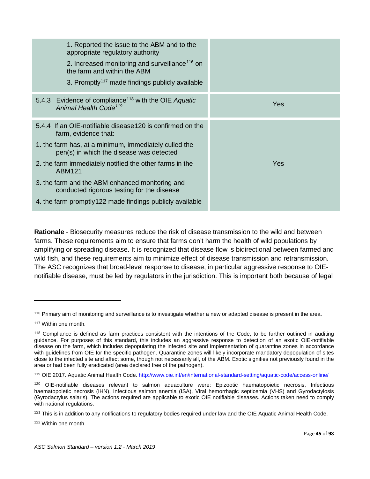| 1. Reported the issue to the ABM and to the<br>appropriate regulatory authority<br>2. Increased monitoring and surveillance <sup>116</sup> on<br>the farm and within the ABM<br>3. Promptly <sup>117</sup> made findings publicly available                                                                                                                                                                               |     |
|---------------------------------------------------------------------------------------------------------------------------------------------------------------------------------------------------------------------------------------------------------------------------------------------------------------------------------------------------------------------------------------------------------------------------|-----|
| 5.4.3 Evidence of compliance <sup>118</sup> with the OIE Aquatic<br>Animal Health Code <sup>119</sup>                                                                                                                                                                                                                                                                                                                     | Yes |
| 5.4.4 If an OIE-notifiable disease120 is confirmed on the<br>farm, evidence that:<br>1. the farm has, at a minimum, immediately culled the<br>pen(s) in which the disease was detected<br>2. the farm immediately notified the other farms in the<br>ABM121<br>3. the farm and the ABM enhanced monitoring and<br>conducted rigorous testing for the disease<br>4. the farm promptly 122 made findings publicly available | Yes |

**Rationale** - Biosecurity measures reduce the risk of disease transmission to the wild and between farms. These requirements aim to ensure that farms don't harm the health of wild populations by amplifying or spreading disease. It is recognized that disease flow is bidirectional between farmed and wild fish, and these requirements aim to minimize effect of disease transmission and retransmission. The ASC recognizes that broad-level response to disease, in particular aggressive response to OIEnotifiable disease, must be led by regulators in the jurisdiction. This is important both because of legal

l

<span id="page-44-3"></span>119 OIE 2017. Aquatic Animal Health Code.<http://www.oie.int/en/international-standard-setting/aquatic-code/access-online/>

<span id="page-44-0"></span><sup>&</sup>lt;sup>116</sup> Primary aim of monitoring and surveillance is to investigate whether a new or adapted disease is present in the area.

<span id="page-44-1"></span><sup>117</sup> Within one month.

<span id="page-44-2"></span><sup>118</sup> Compliance is defined as farm practices consistent with the intentions of the Code, to be further outlined in auditing guidance. For purposes of this standard, this includes an aggressive response to detection of an exotic OIE-notifiable disease on the farm, which includes depopulating the infected site and implementation of quarantine zones in accordance with guidelines from OIE for the specific pathogen. Quarantine zones will likely incorporate mandatory depopulation of sites close to the infected site and affect some, though not necessarily all, of the ABM. Exotic signifies not previously found in the area or had been fully eradicated (area declared free of the pathogen).

<span id="page-44-4"></span><sup>120</sup> OIE-notifiable diseases relevant to salmon aquaculture were: Epizootic haematopoietic necrosis, Infectious haematopoietic necrosis (IHN), Infectious salmon anemia (ISA), Viral hemorrhagic septicemia (VHS) and Gyrodactylosis (Gyrodactylus salaris). The actions required are applicable to exotic OIE notifiable diseases. Actions taken need to comply with national regulations.

<span id="page-44-5"></span> $121$  This is in addition to any notifications to regulatory bodies required under law and the OIE Aquatic Animal Health Code.

<span id="page-44-6"></span><sup>122</sup> Within one month.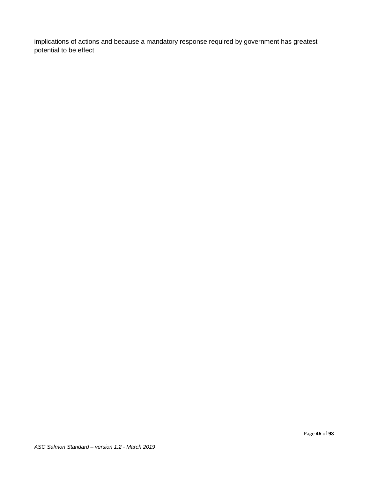implications of actions and because a mandatory response required by government has greatest potential to be effect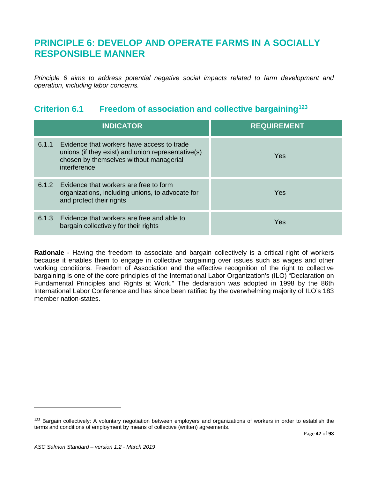# **PRINCIPLE 6: DEVELOP AND OPERATE FARMS IN A SOCIALLY RESPONSIBLE MANNER**

*Principle 6 aims to address potential negative social impacts related to farm development and operation, including labor concerns.*

## **Criterion 6.1 Freedom of association and collective bargaining[123](#page-46-0)**

|       | <b>INDICATOR</b>                                                                                                                                            | <b>REQUIREMENT</b> |
|-------|-------------------------------------------------------------------------------------------------------------------------------------------------------------|--------------------|
| 6.1.1 | Evidence that workers have access to trade<br>unions (if they exist) and union representative(s)<br>chosen by themselves without managerial<br>interference | Yes                |
|       | 6.1.2 Evidence that workers are free to form<br>organizations, including unions, to advocate for<br>and protect their rights                                | Yes                |
| 6.1.3 | Evidence that workers are free and able to<br>bargain collectively for their rights                                                                         | Yes                |

**Rationale** - Having the freedom to associate and bargain collectively is a critical right of workers because it enables them to engage in collective bargaining over issues such as wages and other working conditions. Freedom of Association and the effective recognition of the right to collective bargaining is one of the core principles of the International Labor Organization's (ILO) "Declaration on Fundamental Principles and Rights at Work." The declaration was adopted in 1998 by the 86th International Labor Conference and has since been ratified by the overwhelming majority of ILO's 183 member nation-states.

<span id="page-46-0"></span><sup>&</sup>lt;sup>123</sup> Bargain collectively: A voluntary negotiation between employers and organizations of workers in order to establish the terms and conditions of employment by means of collective (written) agreements.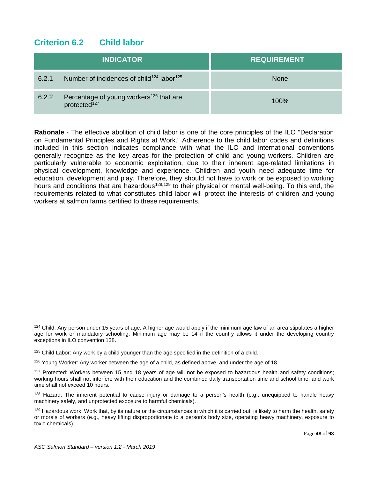## **Criterion 6.2 Child labor**

|       | <b>INDICATOR</b>                                                                | <b>REQUIREMENT</b> |
|-------|---------------------------------------------------------------------------------|--------------------|
| 6.2.1 | Number of incidences of child <sup>124</sup> labor <sup>125</sup>               | <b>None</b>        |
| 6.2.2 | Percentage of young workers <sup>126</sup> that are<br>protected <sup>127</sup> | 100%               |

**Rationale** - The effective abolition of child labor is one of the core principles of the ILO "Declaration on Fundamental Principles and Rights at Work." Adherence to the child labor codes and definitions included in this section indicates compliance with what the ILO and international conventions generally recognize as the key areas for the protection of child and young workers. Children are particularly vulnerable to economic exploitation, due to their inherent age-related limitations in physical development, knowledge and experience. Children and youth need adequate time for education, development and play. Therefore, they should not have to work or be exposed to working hours and conditions that are hazardous<sup>[128](#page-47-4),[129](#page-47-5)</sup> to their physical or mental well-being. To this end, the requirements related to what constitutes child labor will protect the interests of children and young workers at salmon farms certified to these requirements.

<span id="page-47-0"></span> $124$  Child: Any person under 15 years of age. A higher age would apply if the minimum age law of an area stipulates a higher age for work or mandatory schooling. Minimum age may be 14 if the country allows it under the developing country exceptions in ILO convention 138.

<span id="page-47-1"></span><sup>&</sup>lt;sup>125</sup> Child Labor: Any work by a child younger than the age specified in the definition of a child.

<span id="page-47-2"></span><sup>&</sup>lt;sup>126</sup> Young Worker: Any worker between the age of a child, as defined above, and under the age of 18.

<span id="page-47-3"></span> $127$  Protected: Workers between 15 and 18 years of age will not be exposed to hazardous health and safety conditions; working hours shall not interfere with their education and the combined daily transportation time and school time, and work time shall not exceed 10 hours.

<span id="page-47-4"></span><sup>&</sup>lt;sup>128</sup> Hazard: The inherent potential to cause injury or damage to a person's health (e.g., unequipped to handle heavy machinery safely, and unprotected exposure to harmful chemicals).

<span id="page-47-5"></span> $129$  Hazardous work: Work that, by its nature or the circumstances in which it is carried out, is likely to harm the health, safety or morals of workers (e.g., heavy lifting disproportionate to a person's body size, operating heavy machinery, exposure to toxic chemicals).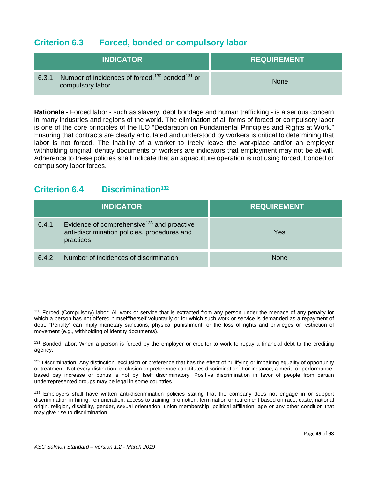#### **Criterion 6.3 Forced, bonded or compulsory labor**

| <b>INDICATOR \</b>                                                                                   | <b>REQUIREMENT</b> |
|------------------------------------------------------------------------------------------------------|--------------------|
| Number of incidences of forced, <sup>130</sup> bonded <sup>131</sup> or<br>6.3.1<br>compulsory labor | <b>None</b>        |

**Rationale** - Forced labor - such as slavery, debt bondage and human trafficking - is a serious concern in many industries and regions of the world. The elimination of all forms of forced or compulsory labor is one of the core principles of the ILO "Declaration on Fundamental Principles and Rights at Work." Ensuring that contracts are clearly articulated and understood by workers is critical to determining that labor is not forced. The inability of a worker to freely leave the workplace and/or an employer withholding original identity documents of workers are indicators that employment may not be at-will. Adherence to these policies shall indicate that an aquaculture operation is not using forced, bonded or compulsory labor forces.

## **Criterion 6.4 Discrimination[132](#page-48-2)**

|       | <b>INDICATOR</b>                                                                                                    | <b>REQUIREMENT</b> |
|-------|---------------------------------------------------------------------------------------------------------------------|--------------------|
| 6.4.1 | Evidence of comprehensive <sup>133</sup> and proactive<br>anti-discrimination policies, procedures and<br>practices | Yes                |
| 6.4.2 | Number of incidences of discrimination                                                                              | <b>None</b>        |

<span id="page-48-0"></span><sup>130</sup> Forced (Compulsory) labor: All work or service that is extracted from any person under the menace of any penalty for which a person has not offered himself/herself voluntarily or for which such work or service is demanded as a repayment of debt. "Penalty" can imply monetary sanctions, physical punishment, or the loss of rights and privileges or restriction of movement (e.g., withholding of identity documents).

<span id="page-48-1"></span><sup>&</sup>lt;sup>131</sup> Bonded labor: When a person is forced by the employer or creditor to work to repay a financial debt to the crediting agency.

<span id="page-48-2"></span><sup>&</sup>lt;sup>132</sup> Discrimination: Any distinction, exclusion or preference that has the effect of nullifying or impairing equality of opportunity or treatment. Not every distinction, exclusion or preference constitutes discrimination. For instance, a merit- or performancebased pay increase or bonus is not by itself discriminatory. Positive discrimination in favor of people from certain underrepresented groups may be legal in some countries.

<span id="page-48-3"></span><sup>&</sup>lt;sup>133</sup> Employers shall have written anti-discrimination policies stating that the company does not engage in or support discrimination in hiring, remuneration, access to training, promotion, termination or retirement based on race, caste, national origin, religion, disability, gender, sexual orientation, union membership, political affiliation, age or any other condition that may give rise to discrimination.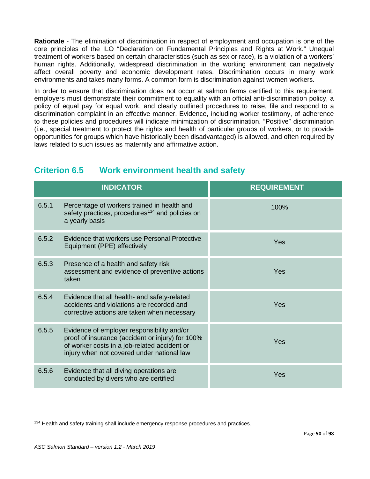**Rationale** - The elimination of discrimination in respect of employment and occupation is one of the core principles of the ILO "Declaration on Fundamental Principles and Rights at Work." Unequal treatment of workers based on certain characteristics (such as sex or race), is a violation of a workers' human rights. Additionally, widespread discrimination in the working environment can negatively affect overall poverty and economic development rates. Discrimination occurs in many work environments and takes many forms. A common form is discrimination against women workers.

In order to ensure that discrimination does not occur at salmon farms certified to this requirement, employers must demonstrate their commitment to equality with an official anti-discrimination policy, a policy of equal pay for equal work, and clearly outlined procedures to raise, file and respond to a discrimination complaint in an effective manner. Evidence, including worker testimony, of adherence to these policies and procedures will indicate minimization of discrimination. "Positive" discrimination (i.e., special treatment to protect the rights and health of particular groups of workers, or to provide opportunities for groups which have historically been disadvantaged) is allowed, and often required by laws related to such issues as maternity and affirmative action.

## **Criterion 6.5 Work environment health and safety**

|       | <b>INDICATOR</b>                                                                                                                                                                             | <b>REQUIREMENT</b> |
|-------|----------------------------------------------------------------------------------------------------------------------------------------------------------------------------------------------|--------------------|
| 6.5.1 | Percentage of workers trained in health and<br>safety practices, procedures <sup>134</sup> and policies on<br>a yearly basis                                                                 | 100%               |
| 6.5.2 | Evidence that workers use Personal Protective<br>Equipment (PPE) effectively                                                                                                                 | Yes                |
| 6.5.3 | Presence of a health and safety risk<br>assessment and evidence of preventive actions<br>taken                                                                                               | Yes                |
| 6.5.4 | Evidence that all health- and safety-related<br>accidents and violations are recorded and<br>corrective actions are taken when necessary                                                     | Yes                |
| 6.5.5 | Evidence of employer responsibility and/or<br>proof of insurance (accident or injury) for 100%<br>of worker costs in a job-related accident or<br>injury when not covered under national law | Yes                |
| 6.5.6 | Evidence that all diving operations are<br>conducted by divers who are certified                                                                                                             | Yes                |

<span id="page-49-0"></span><sup>&</sup>lt;sup>134</sup> Health and safety training shall include emergency response procedures and practices.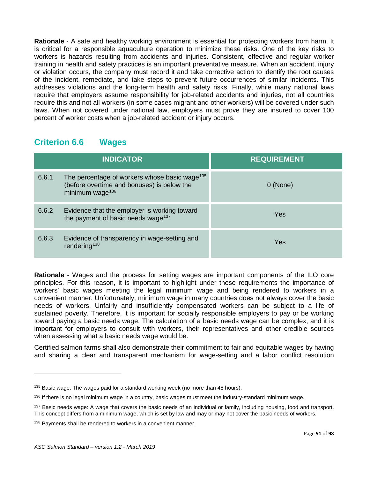**Rationale** - A safe and healthy working environment is essential for protecting workers from harm. It is critical for a responsible aquaculture operation to minimize these risks. One of the key risks to workers is hazards resulting from accidents and injuries. Consistent, effective and regular worker training in health and safety practices is an important preventative measure. When an accident, injury or violation occurs, the company must record it and take corrective action to identify the root causes of the incident, remediate, and take steps to prevent future occurrences of similar incidents. This addresses violations and the long-term health and safety risks. Finally, while many national laws require that employers assume responsibility for job-related accidents and injuries, not all countries require this and not all workers (in some cases migrant and other workers) will be covered under such laws. When not covered under national law, employers must prove they are insured to cover 100 percent of worker costs when a job-related accident or injury occurs.

## **Criterion 6.6 Wages**

|       | <b>INDICATOR</b>                                                                                                                       | <b>REQUIREMENT</b> |
|-------|----------------------------------------------------------------------------------------------------------------------------------------|--------------------|
| 6.6.1 | The percentage of workers whose basic wage <sup>135</sup><br>(before overtime and bonuses) is below the<br>minimum wage <sup>136</sup> | 0 (None)           |
| 6.6.2 | Evidence that the employer is working toward<br>the payment of basic needs wage <sup>137</sup>                                         | Yes                |
| 6.6.3 | Evidence of transparency in wage-setting and<br>rendering <sup>138</sup>                                                               | Yes                |

**Rationale** - Wages and the process for setting wages are important components of the ILO core principles. For this reason, it is important to highlight under these requirements the importance of workers' basic wages meeting the legal minimum wage and being rendered to workers in a convenient manner. Unfortunately, minimum wage in many countries does not always cover the basic needs of workers. Unfairly and insufficiently compensated workers can be subject to a life of sustained poverty. Therefore, it is important for socially responsible employers to pay or be working toward paying a basic needs wage. The calculation of a basic needs wage can be complex, and it is important for employers to consult with workers, their representatives and other credible sources when assessing what a basic needs wage would be.

Certified salmon farms shall also demonstrate their commitment to fair and equitable wages by having and sharing a clear and transparent mechanism for wage-setting and a labor conflict resolution

<span id="page-50-0"></span> $135$  Basic wage: The wages paid for a standard working week (no more than 48 hours).

<span id="page-50-1"></span><sup>&</sup>lt;sup>136</sup> If there is no legal minimum wage in a country, basic wages must meet the industry-standard minimum wage.

<span id="page-50-2"></span><sup>&</sup>lt;sup>137</sup> Basic needs wage: A wage that covers the basic needs of an individual or family, including housing, food and transport. This concept differs from a minimum wage, which is set by law and may or may not cover the basic needs of workers.

<span id="page-50-3"></span><sup>&</sup>lt;sup>138</sup> Payments shall be rendered to workers in a convenient manner.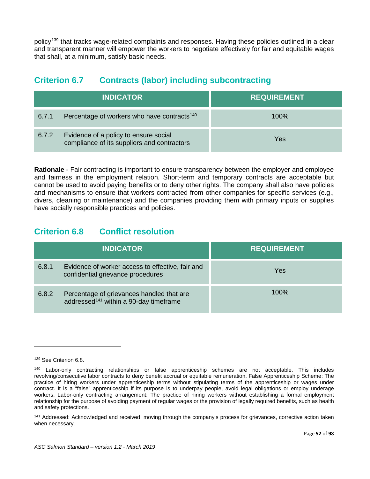policy[139](#page-51-0) that tracks wage-related complaints and responses. Having these policies outlined in a clear and transparent manner will empower the workers to negotiate effectively for fair and equitable wages that shall, at a minimum, satisfy basic needs.

## **Criterion 6.7 Contracts (labor) including subcontracting**

| <b>INDICATOR</b> |                                                                                      | <b>REQUIREMENT</b> |
|------------------|--------------------------------------------------------------------------------------|--------------------|
| 6.7.1            | Percentage of workers who have contracts <sup>140</sup>                              | $100\%$            |
| 6.7.2            | Evidence of a policy to ensure social<br>compliance of its suppliers and contractors | Yes                |

**Rationale** - Fair contracting is important to ensure transparency between the employer and employee and fairness in the employment relation. Short-term and temporary contracts are acceptable but cannot be used to avoid paying benefits or to deny other rights. The company shall also have policies and mechanisms to ensure that workers contracted from other companies for specific services (e.g., divers, cleaning or maintenance) and the companies providing them with primary inputs or supplies have socially responsible practices and policies.

## **Criterion 6.8 Conflict resolution**

|       | <b>INDICATOR</b>                                                                                | <b>REQUIREMENT</b> |
|-------|-------------------------------------------------------------------------------------------------|--------------------|
| 6.8.1 | Evidence of worker access to effective, fair and<br>confidential grievance procedures           | Yes                |
| 6.8.2 | Percentage of grievances handled that are<br>addressed <sup>141</sup> within a 90-day timeframe | $100\%$            |

<span id="page-51-0"></span><sup>&</sup>lt;sup>139</sup> See Criterion 6.8.

<span id="page-51-1"></span><sup>140</sup> Labor-only contracting relationships or false apprenticeship schemes are not acceptable. This includes revolving/consecutive labor contracts to deny benefit accrual or equitable remuneration. False Apprenticeship Scheme: The practice of hiring workers under apprenticeship terms without stipulating terms of the apprenticeship or wages under contract. It is a "false" apprenticeship if its purpose is to underpay people, avoid legal obligations or employ underage workers. Labor-only contracting arrangement: The practice of hiring workers without establishing a formal employment relationship for the purpose of avoiding payment of regular wages or the provision of legally required benefits, such as health and safety protections.

<span id="page-51-2"></span><sup>&</sup>lt;sup>141</sup> Addressed: Acknowledged and received, moving through the company's process for grievances, corrective action taken when necessary.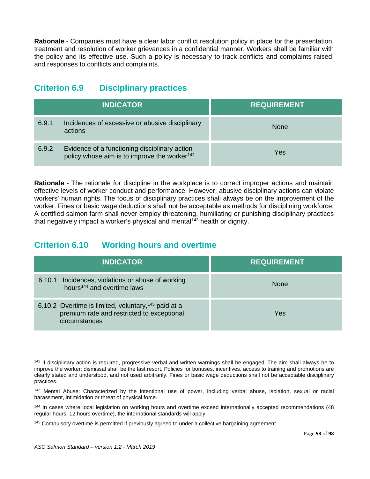**Rationale** - Companies must have a clear labor conflict resolution policy in place for the presentation, treatment and resolution of worker grievances in a confidential manner. Workers shall be familiar with the policy and its effective use. Such a policy is necessary to track conflicts and complaints raised, and responses to conflicts and complaints.

## **Criterion 6.9 Disciplinary practices**

| <b>INDICATOR</b> |                                                                                                           | <b>REQUIREMENT</b> |
|------------------|-----------------------------------------------------------------------------------------------------------|--------------------|
| 6.9.1            | Incidences of excessive or abusive disciplinary<br>actions                                                | <b>None</b>        |
| 6.9.2            | Evidence of a functioning disciplinary action<br>policy whose aim is to improve the worker <sup>142</sup> | Yes                |

**Rationale** - The rationale for discipline in the workplace is to correct improper actions and maintain effective levels of worker conduct and performance. However, abusive disciplinary actions can violate workers' human rights. The focus of disciplinary practices shall always be on the improvement of the worker. Fines or basic wage deductions shall not be acceptable as methods for disciplining workforce. A certified salmon farm shall never employ threatening, humiliating or punishing disciplinary practices that negatively impact a worker's physical and mental $143$  health or dignity.

## **Criterion 6.10 Working hours and overtime**

| <b>INDICATOR</b>                                                                                                               | <b>REQUIREMENT</b> |
|--------------------------------------------------------------------------------------------------------------------------------|--------------------|
| 6.10.1 Incidences, violations or abuse of working<br>hours <sup>144</sup> and overtime laws                                    | <b>None</b>        |
| 6.10.2 Overtime is limited, voluntary, <sup>145</sup> paid at a<br>premium rate and restricted to exceptional<br>circumstances | Yes                |

<span id="page-52-0"></span><sup>&</sup>lt;sup>142</sup> If disciplinary action is required, progressive verbal and written warnings shall be engaged. The aim shall always be to improve the worker; dismissal shall be the last resort. Policies for bonuses, incentives, access to training and promotions are clearly stated and understood, and not used arbitrarily. Fines or basic wage deductions shall not be acceptable disciplinary practices.

<span id="page-52-1"></span><sup>143</sup> Mental Abuse: Characterized by the intentional use of power, including verbal abuse, isolation, sexual or racial harassment, intimidation or threat of physical force.

<span id="page-52-2"></span><sup>144</sup> In cases where local legislation on working hours and overtime exceed internationally accepted recommendations (48 regular hours, 12 hours overtime), the international standards will apply.

<span id="page-52-3"></span><sup>&</sup>lt;sup>145</sup> Compulsory overtime is permitted if previously agreed to under a collective bargaining agreement.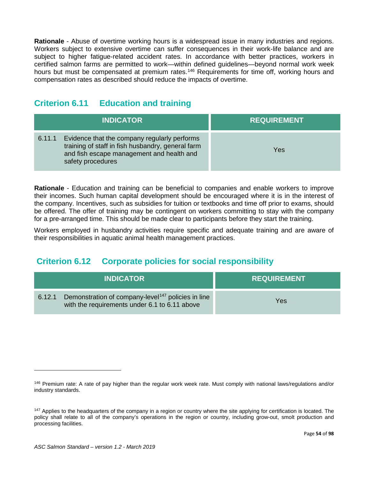**Rationale** - Abuse of overtime working hours is a widespread issue in many industries and regions. Workers subject to extensive overtime can suffer consequences in their work-life balance and are subject to higher fatigue-related accident rates. In accordance with better practices, workers in certified salmon farms are permitted to work—within defined guidelines—beyond normal work week hours but must be compensated at premium rates.<sup>[146](#page-53-0)</sup> Requirements for time off, working hours and compensation rates as described should reduce the impacts of overtime.

#### **Criterion 6.11 Education and training**

| <b>INDICATOR</b> |                                                                                                                                                                     | <b>REQUIREMENT</b> |
|------------------|---------------------------------------------------------------------------------------------------------------------------------------------------------------------|--------------------|
| 6.11.1           | Evidence that the company regularly performs<br>training of staff in fish husbandry, general farm<br>and fish escape management and health and<br>safety procedures | Yes                |

**Rationale** - Education and training can be beneficial to companies and enable workers to improve their incomes. Such human capital development should be encouraged where it is in the interest of the company. Incentives, such as subsidies for tuition or textbooks and time off prior to exams, should be offered. The offer of training may be contingent on workers committing to stay with the company for a pre-arranged time. This should be made clear to participants before they start the training.

Workers employed in husbandry activities require specific and adequate training and are aware of their responsibilities in aquatic animal health management practices.

## **Criterion 6.12 Corporate policies for social responsibility**

| <b>INDICATOR \</b> |                                                                                                                 | <b>REQUIREMENT</b> |
|--------------------|-----------------------------------------------------------------------------------------------------------------|--------------------|
| 6.12.1             | Demonstration of company-level <sup>147</sup> policies in line<br>with the requirements under 6.1 to 6.11 above | Yes                |

<span id="page-53-0"></span><sup>146</sup> Premium rate: A rate of pay higher than the regular work week rate. Must comply with national laws/regulations and/or industry standards.

<span id="page-53-1"></span><sup>&</sup>lt;sup>147</sup> Applies to the headquarters of the company in a region or country where the site applying for certification is located. The policy shall relate to all of the company's operations in the region or country, including grow-out, smolt production and processing facilities.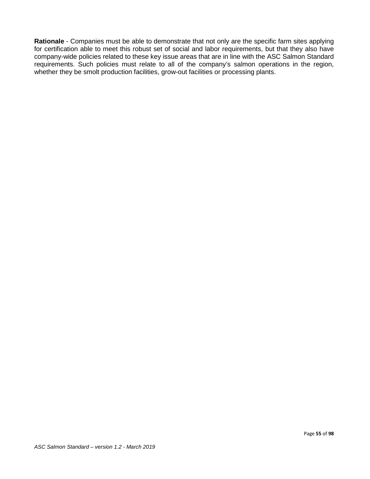**Rationale** - Companies must be able to demonstrate that not only are the specific farm sites applying for certification able to meet this robust set of social and labor requirements, but that they also have company-wide policies related to these key issue areas that are in line with the ASC Salmon Standard requirements. Such policies must relate to all of the company's salmon operations in the region, whether they be smolt production facilities, grow-out facilities or processing plants.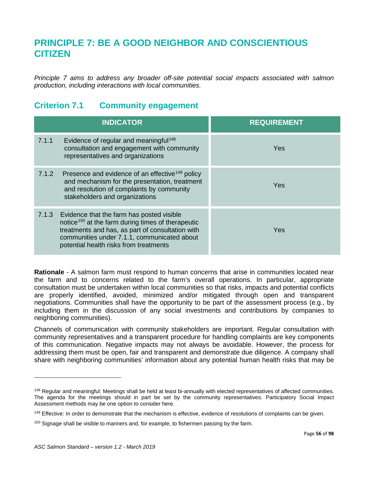# **PRINCIPLE 7: BE A GOOD NEIGHBOR AND CONSCIENTIOUS CITIZEN**

*Principle 7 aims to address any broader off-site potential social impacts associated with salmon production, including interactions with local communities.*

#### **Criterion 7.1 Community engagement**

|       | <b>INDICATOR</b>                                                                                                                                                                                                                                        | <b>REQUIREMENT</b> |
|-------|---------------------------------------------------------------------------------------------------------------------------------------------------------------------------------------------------------------------------------------------------------|--------------------|
| 7.1.1 | Evidence of regular and meaningful <sup>148</sup><br>consultation and engagement with community<br>representatives and organizations                                                                                                                    | <b>Yes</b>         |
| 7.1.2 | Presence and evidence of an effective <sup>149</sup> policy<br>and mechanism for the presentation, treatment<br>and resolution of complaints by community<br>stakeholders and organizations                                                             | Yes                |
| 7.1.3 | Evidence that the farm has posted visible<br>notice <sup>150</sup> at the farm during times of therapeutic<br>treatments and has, as part of consultation with<br>communities under 7.1.1, communicated about<br>potential health risks from treatments | Yes                |

**Rationale** - A salmon farm must respond to human concerns that arise in communities located near the farm and to concerns related to the farm's overall operations. In particular, appropriate consultation must be undertaken within local communities so that risks, impacts and potential conflicts are properly identified, avoided, minimized and/or mitigated through open and transparent negotiations. Communities shall have the opportunity to be part of the assessment process (e.g., by including them in the discussion of any social investments and contributions by companies to neighboring communities).

Channels of communication with community stakeholders are important. Regular consultation with community representatives and a transparent procedure for handling complaints are key components of this communication. Negative impacts may not always be avoidable. However, the process for addressing them must be open, fair and transparent and demonstrate due diligence. A company shall share with neighboring communities' information about any potential human health risks that may be

<span id="page-55-0"></span><sup>&</sup>lt;sup>148</sup> Regular and meaningful: Meetings shall be held at least bi-annually with elected representatives of affected communities. The agenda for the meetings should in part be set by the community representatives. Participatory Social Impact Assessment methods may be one option to consider here.

<span id="page-55-1"></span><sup>&</sup>lt;sup>149</sup> Effective: In order to demonstrate that the mechanism is effective, evidence of resolutions of complaints can be given.

<span id="page-55-2"></span><sup>&</sup>lt;sup>150</sup> Signage shall be visible to mariners and, for example, to fishermen passing by the farm.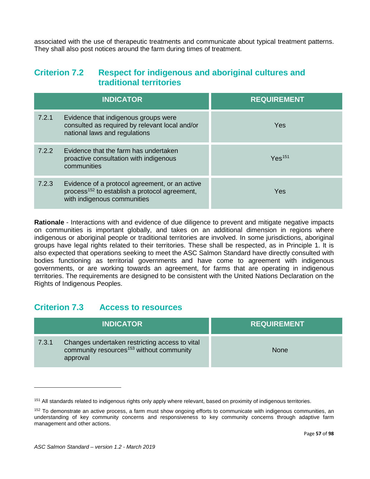associated with the use of therapeutic treatments and communicate about typical treatment patterns. They shall also post notices around the farm during times of treatment.

#### **Criterion 7.2 Respect for indigenous and aboriginal cultures and traditional territories**

| <b>INDICATOR</b> |                                                                                                                                            | <b>REQUIREMENT</b> |
|------------------|--------------------------------------------------------------------------------------------------------------------------------------------|--------------------|
| 7.2.1            | Evidence that indigenous groups were<br>consulted as required by relevant local and/or<br>national laws and regulations                    | Yes                |
| 7.2.2            | Evidence that the farm has undertaken<br>proactive consultation with indigenous<br>communities                                             | Yes <sup>151</sup> |
| 7.2.3            | Evidence of a protocol agreement, or an active<br>process <sup>152</sup> to establish a protocol agreement,<br>with indigenous communities | Yes                |

**Rationale** - Interactions with and evidence of due diligence to prevent and mitigate negative impacts on communities is important globally, and takes on an additional dimension in regions where indigenous or aboriginal people or traditional territories are involved. In some jurisdictions, aboriginal groups have legal rights related to their territories. These shall be respected, as in Principle 1. It is also expected that operations seeking to meet the ASC Salmon Standard have directly consulted with bodies functioning as territorial governments and have come to agreement with indigenous governments, or are working towards an agreement, for farms that are operating in indigenous territories. The requirements are designed to be consistent with the United Nations Declaration on the Rights of Indigenous Peoples.

#### **Criterion 7.3 Access to resources**

| <b>INDICATOR</b>  |                                                                                                        | <b>REQUIREMENT</b> |
|-------------------|--------------------------------------------------------------------------------------------------------|--------------------|
| 7.3.1<br>approval | Changes undertaken restricting access to vital<br>community resources <sup>153</sup> without community | <b>None</b>        |

<span id="page-56-2"></span><span id="page-56-0"></span><sup>&</sup>lt;sup>151</sup> All standards related to indigenous rights only apply where relevant, based on proximity of indigenous territories.

<span id="page-56-1"></span><sup>&</sup>lt;sup>152</sup> To demonstrate an active process, a farm must show ongoing efforts to communicate with indigenous communities, an understanding of key community concerns and responsiveness to key community concerns through adaptive farm management and other actions.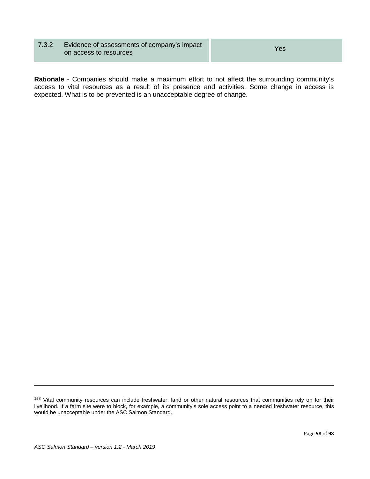#### 7.3.2 Evidence of assessments of company's impact Evidence of assessments of company's impact<br>on access to resources

**Rationale** - Companies should make a maximum effort to not affect the surrounding community's access to vital resources as a result of its presence and activities. Some change in access is expected. What is to be prevented is an unacceptable degree of change.

<sup>153</sup> Vital community resources can include freshwater, land or other natural resources that communities rely on for their livelihood. If a farm site were to block, for example, a community's sole access point to a needed freshwater resource, this would be unacceptable under the ASC Salmon Standard.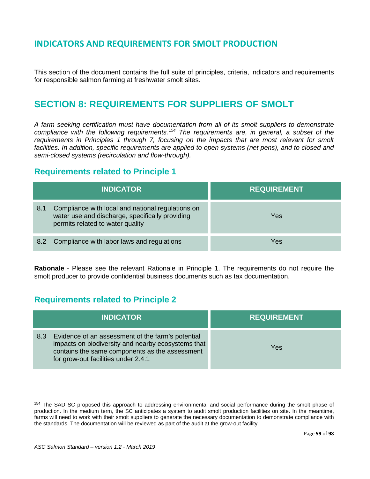## **INDICATORS AND REQUIREMENTS FOR SMOLT PRODUCTION**

This section of the document contains the full suite of principles, criteria, indicators and requirements for responsible salmon farming at freshwater smolt sites.

# **SECTION 8: REQUIREMENTS FOR SUPPLIERS OF SMOLT**

*A farm seeking certification must have documentation from all of its smolt suppliers to demonstrate compliance with the following requirements.[154](#page-58-0) The requirements are, in general, a subset of the requirements in Principles 1 through 7, focusing on the impacts that are most relevant for smolt*  facilities. In addition, specific requirements are applied to open systems (net pens), and to closed and *semi-closed systems (recirculation and flow-through).* 

#### **Requirements related to Principle 1**

|     | <b>INDICATOR</b>                                                                                                                         | <b>REQUIREMENT</b> |
|-----|------------------------------------------------------------------------------------------------------------------------------------------|--------------------|
| 8.1 | Compliance with local and national regulations on<br>water use and discharge, specifically providing<br>permits related to water quality | Yes                |
|     | 8.2 Compliance with labor laws and regulations                                                                                           | Yes                |

**Rationale** - Please see the relevant Rationale in Principle 1. The requirements do not require the smolt producer to provide confidential business documents such as tax documentation.

## **Requirements related to Principle 2**

|     | <b>INDICATOR</b>                                                                                                                                                                                 | <b>REQUIREMENT</b> |
|-----|--------------------------------------------------------------------------------------------------------------------------------------------------------------------------------------------------|--------------------|
| 8.3 | Evidence of an assessment of the farm's potential<br>impacts on biodiversity and nearby ecosystems that<br>contains the same components as the assessment<br>for grow-out facilities under 2.4.1 | Yes                |

<span id="page-58-0"></span><sup>&</sup>lt;sup>154</sup> The SAD SC proposed this approach to addressing environmental and social performance during the smolt phase of production. In the medium term, the SC anticipates a system to audit smolt production facilities on site. In the meantime, farms will need to work with their smolt suppliers to generate the necessary documentation to demonstrate compliance with the standards. The documentation will be reviewed as part of the audit at the grow-out facility.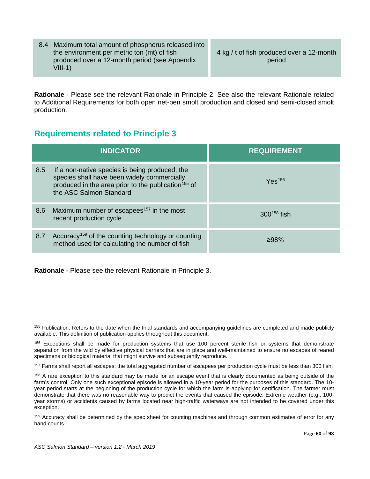| $VIII-1)$ | 4 kg / t of fish produced over a 12-month<br>period                                                                                                  |
|-----------|------------------------------------------------------------------------------------------------------------------------------------------------------|
|           |                                                                                                                                                      |
|           | 8.4 Maximum total amount of phosphorus released into<br>the environment per metric ton (mt) of fish<br>produced over a 12-month period (see Appendix |

**Rationale** - Please see the relevant Rationale in Principle 2. See also the relevant Rationale related to Additional Requirements for both open net-pen smolt production and closed and semi-closed smolt production.

## **Requirements related to Principle 3**

|     | <b>INDICATOR</b>                                                                                                                                                                            | <b>REQUIREMENT</b>    |
|-----|---------------------------------------------------------------------------------------------------------------------------------------------------------------------------------------------|-----------------------|
| 8.5 | If a non-native species is being produced, the<br>species shall have been widely commercially<br>produced in the area prior to the publication <sup>155</sup> of<br>the ASC Salmon Standard | $Y$ es <sup>156</sup> |
| 8.6 | Maximum number of escapees <sup>157</sup> in the most<br>recent production cycle                                                                                                            | $300^{158}$ fish      |
| 8.7 | Accuracy <sup>159</sup> of the counting technology or counting<br>method used for calculating the number of fish                                                                            | ≥98%                  |

**Rationale** - Please see the relevant Rationale in Principle 3.

<span id="page-59-0"></span><sup>155</sup> Publication: Refers to the date when the final standards and accompanying guidelines are completed and made publicly available. This definition of publication applies throughout this document.

<span id="page-59-1"></span><sup>&</sup>lt;sup>156</sup> Exceptions shall be made for production systems that use 100 percent sterile fish or systems that demonstrate separation from the wild by effective physical barriers that are in place and well-maintained to ensure no escapes of reared specimens or biological material that might survive and subsequently reproduce.

<span id="page-59-2"></span><sup>&</sup>lt;sup>157</sup> Farms shall report all escapes; the total aggregated number of escapees per production cycle must be less than 300 fish.

<span id="page-59-3"></span><sup>&</sup>lt;sup>158</sup> A rare exception to this standard may be made for an escape event that is clearly documented as being outside of the farm's control. Only one such exceptional episode is allowed in a 10-year period for the purposes of this standard. The 10 year period starts at the beginning of the production cycle for which the farm is applying for certification. The farmer must demonstrate that there was no reasonable way to predict the events that caused the episode. Extreme weather (e.g., 100 year storms) or accidents caused by farms located near high-traffic waterways are not intended to be covered under this exception.

<span id="page-59-4"></span><sup>&</sup>lt;sup>159</sup> Accuracy shall be determined by the spec sheet for counting machines and through common estimates of error for any hand counts.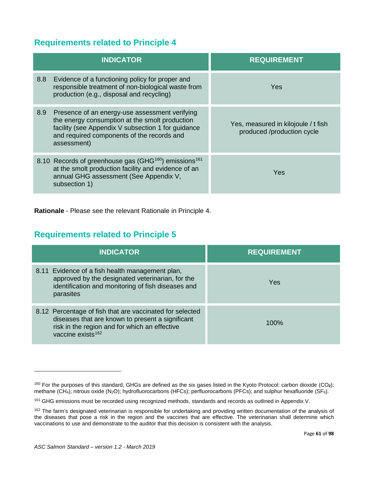## **Requirements related to Principle 4**

| <b>INDICATOR</b>                                                                                                                                                                                                           | <b>REQUIREMENT</b>                                                |
|----------------------------------------------------------------------------------------------------------------------------------------------------------------------------------------------------------------------------|-------------------------------------------------------------------|
| Evidence of a functioning policy for proper and<br>8.8 <sub>1</sub><br>responsible treatment of non-biological waste from<br>production (e.g., disposal and recycling)                                                     | Yes                                                               |
| 8.9<br>Presence of an energy-use assessment verifying<br>the energy consumption at the smolt production<br>facility (see Appendix V subsection 1 for guidance<br>and required components of the records and<br>assessment) | Yes, measured in kilojoule / t fish<br>produced /production cycle |
| 8.10 Records of greenhouse gas (GHG <sup>160</sup> ) emissions <sup>161</sup><br>at the smolt production facility and evidence of an<br>annual GHG assessment (See Appendix V,<br>subsection 1)                            | Yes                                                               |

**Rationale** - Please see the relevant Rationale in Principle 4.

## **Requirements related to Principle 5**

| <b>INDICATOR</b>                                                                                                                                                                               | <b>REQUIREMENT</b> |
|------------------------------------------------------------------------------------------------------------------------------------------------------------------------------------------------|--------------------|
| 8.11 Evidence of a fish health management plan,<br>approved by the designated veterinarian, for the<br>identification and monitoring of fish diseases and<br>parasites                         | Yes                |
| 8.12 Percentage of fish that are vaccinated for selected<br>diseases that are known to present a significant<br>risk in the region and for which an effective<br>vaccine exists <sup>162</sup> | 100%               |

<span id="page-60-0"></span><sup>160</sup> For the purposes of this standard, GHGs are defined as the six gases listed in the Kyoto Protocol: carbon dioxide (CO**2**); methane (CH4); nitrous oxide (N2O); hydrofluorocarbons (HFCs); perfluorocarbons (PFCs); and sulphur hexafluoride (SF6).

<span id="page-60-1"></span><sup>161</sup> GHG emissions must be recorded using recognized methods, standards and records as outlined in Appendix V.

<span id="page-60-2"></span><sup>&</sup>lt;sup>162</sup> The farm's designated veterinarian is responsible for undertaking and providing written documentation of the analysis of the diseases that pose a risk in the region and the vaccines that are effective. The veterinarian shall determine which vaccinations to use and demonstrate to the auditor that this decision is consistent with the analysis.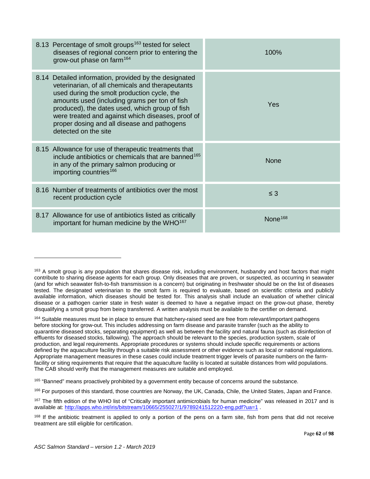| 8.13 Percentage of smolt groups <sup>163</sup> tested for select<br>diseases of regional concern prior to entering the<br>grow-out phase on farm <sup>164</sup>                                                                                                                                                                                                                         | 100%                |
|-----------------------------------------------------------------------------------------------------------------------------------------------------------------------------------------------------------------------------------------------------------------------------------------------------------------------------------------------------------------------------------------|---------------------|
| 8.14 Detailed information, provided by the designated<br>veterinarian, of all chemicals and therapeutants<br>used during the smolt production cycle, the<br>amounts used (including grams per ton of fish<br>produced), the dates used, which group of fish<br>were treated and against which diseases, proof of<br>proper dosing and all disease and pathogens<br>detected on the site | Yes                 |
| 8.15 Allowance for use of therapeutic treatments that<br>include antibiotics or chemicals that are banned <sup>165</sup><br>in any of the primary salmon producing or<br>importing countries <sup>166</sup>                                                                                                                                                                             | <b>None</b>         |
| 8.16 Number of treatments of antibiotics over the most<br>recent production cycle                                                                                                                                                                                                                                                                                                       | $\leq$ 3            |
| 8.17 Allowance for use of antibiotics listed as critically<br>important for human medicine by the WHO <sup>167</sup>                                                                                                                                                                                                                                                                    | None <sup>168</sup> |

<span id="page-61-2"></span><sup>165</sup> "Banned" means proactively prohibited by a government entity because of concerns around the substance.

<span id="page-61-3"></span><sup>166</sup> For purposes of this standard, those countries are Norway, the UK, Canada, Chile, the United States, Japan and France.

<span id="page-61-0"></span><sup>&</sup>lt;sup>163</sup> A smolt group is any population that shares disease risk, including environment, husbandry and host factors that might contribute to sharing disease agents for each group. Only diseases that are proven, or suspected, as occurring in seawater (and for which seawater fish-to-fish transmission is a concern) but originating in freshwater should be on the list of diseases tested. The designated veterinarian to the smolt farm is required to evaluate, based on scientific criteria and publicly available information, which diseases should be tested for. This analysis shall include an evaluation of whether clinical disease or a pathogen carrier state in fresh water is deemed to have a negative impact on the grow-out phase, thereby disqualifying a smolt group from being transferred. A written analysis must be available to the certifier on demand.

<span id="page-61-1"></span><sup>&</sup>lt;sup>164</sup> Suitable measures must be in place to ensure that hatchery-raised seed are free from relevant/important pathogens before stocking for grow-out. This includes addressing on farm disease and parasite transfer (such as the ability to quarantine diseased stocks, separating equipment) as well as between the facility and natural fauna (such as disinfection of effluents for diseased stocks, fallowing). The approach should be relevant to the species, production system, scale of production, and legal requirements. Appropriate procedures or systems should include specific requirements or actions defined by the aquaculture facility through a suitable risk assessment or other evidence such as local or national regulations. Appropriate management measures in these cases could include treatment trigger levels of parasite numbers on the farmfacility or siting requirements that require that the aquaculture facility is located at suitable distances from wild populations. The CAB should verify that the management measures are suitable and employed.

<span id="page-61-4"></span><sup>&</sup>lt;sup>167</sup> The fifth edition of the WHO list of "Critically important antimicrobials for human medicine" was released in 2017 and is available at:<http://apps.who.int/iris/bitstream/10665/255027/1/9789241512220-eng.pdf?ua=1>.

<span id="page-61-5"></span><sup>&</sup>lt;sup>168</sup> If the antibiotic treatment is applied to only a portion of the pens on a farm site, fish from pens that did not receive treatment are still eligible for certification.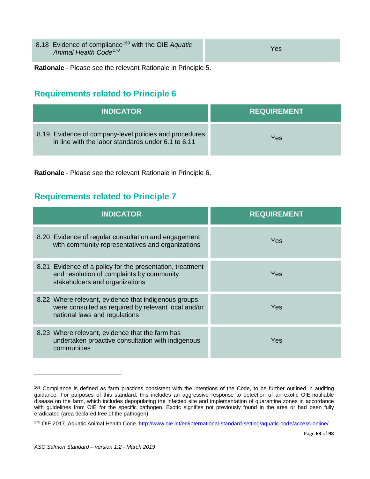| 8.18 Evidence of compliance <sup>169</sup> with the OIE Aquatic<br>Animal Health Code <sup>170</sup> | Yes |
|------------------------------------------------------------------------------------------------------|-----|
|                                                                                                      |     |

**Rationale** - Please see the relevant Rationale in Principle 5.

## **Requirements related to Principle 6**

| <b>INDICATOR</b>                                                                                             | <b>REQUIREMENT</b> |
|--------------------------------------------------------------------------------------------------------------|--------------------|
| 8.19 Evidence of company-level policies and procedures<br>in line with the labor standards under 6.1 to 6.11 | Yes                |

**Rationale** - Please see the relevant Rationale in Principle 6.

## **Requirements related to Principle 7**

| <b>INDICATOR</b>                                                                                                                             | <b>REQUIREMENT</b> |
|----------------------------------------------------------------------------------------------------------------------------------------------|--------------------|
| 8.20 Evidence of regular consultation and engagement<br>with community representatives and organizations                                     | <b>Yes</b>         |
| 8.21 Evidence of a policy for the presentation, treatment<br>and resolution of complaints by community<br>stakeholders and organizations     | Yes                |
| 8.22 Where relevant, evidence that indigenous groups<br>were consulted as required by relevant local and/or<br>national laws and regulations | Yes                |
| 8.23 Where relevant, evidence that the farm has<br>undertaken proactive consultation with indigenous<br>communities                          | Yes                |

<span id="page-62-0"></span><sup>169</sup> Compliance is defined as farm practices consistent with the intentions of the Code, to be further outlined in auditing guidance. For purposes of this standard, this includes an aggressive response to detection of an exotic OIE-notifiable disease on the farm, which includes depopulating the infected site and implementation of quarantine zones in accordance with guidelines from OIE for the specific pathogen. Exotic signifies not previously found in the area or had been fully eradicated (area declared free of the pathogen).

<span id="page-62-1"></span><sup>170</sup> OIE 2017. Aquatic Animal Health Code. <http://www.oie.int/en/international-standard-setting/aquatic-code/access-online/>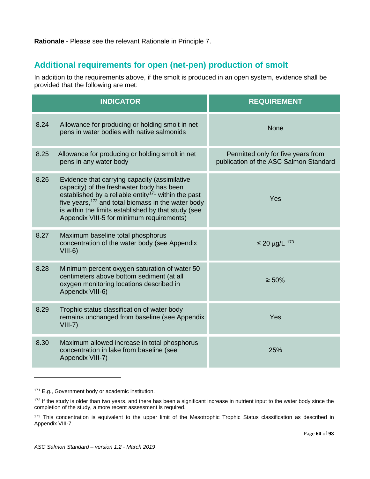#### **Rationale** - Please see the relevant Rationale in Principle 7.

## **Additional requirements for open (net-pen) production of smolt**

In addition to the requirements above, if the smolt is produced in an open system, evidence shall be provided that the following are met:

|      | <b>INDICATOR</b>                                                                                                                                                                                                                                                                                                                    | <b>REQUIREMENT</b>                                                           |
|------|-------------------------------------------------------------------------------------------------------------------------------------------------------------------------------------------------------------------------------------------------------------------------------------------------------------------------------------|------------------------------------------------------------------------------|
| 8.24 | Allowance for producing or holding smolt in net<br>pens in water bodies with native salmonids                                                                                                                                                                                                                                       | <b>None</b>                                                                  |
| 8.25 | Allowance for producing or holding smolt in net<br>pens in any water body                                                                                                                                                                                                                                                           | Permitted only for five years from<br>publication of the ASC Salmon Standard |
| 8.26 | Evidence that carrying capacity (assimilative<br>capacity) of the freshwater body has been<br>established by a reliable entity <sup>171</sup> within the past<br>five years, <sup>172</sup> and total biomass in the water body<br>is within the limits established by that study (see<br>Appendix VIII-5 for minimum requirements) | Yes                                                                          |
| 8.27 | Maximum baseline total phosphorus<br>concentration of the water body (see Appendix<br>$VIII-6)$                                                                                                                                                                                                                                     | $≤$ 20 μg/L $173$                                                            |
| 8.28 | Minimum percent oxygen saturation of water 50<br>centimeters above bottom sediment (at all<br>oxygen monitoring locations described in<br>Appendix VIII-6)                                                                                                                                                                          | $\geq 50\%$                                                                  |
| 8.29 | Trophic status classification of water body<br>remains unchanged from baseline (see Appendix<br>$VIII-7)$                                                                                                                                                                                                                           | Yes                                                                          |
| 8.30 | Maximum allowed increase in total phosphorus<br>concentration in lake from baseline (see<br>Appendix VIII-7)                                                                                                                                                                                                                        | 25%                                                                          |

<span id="page-63-0"></span><sup>171</sup> E.g., Government body or academic institution.

<span id="page-63-1"></span><sup>&</sup>lt;sup>172</sup> If the study is older than two years, and there has been a significant increase in nutrient input to the water body since the completion of the study, a more recent assessment is required.

<span id="page-63-2"></span><sup>173</sup> This concentration is equivalent to the upper limit of the Mesotrophic Trophic Status classification as described in Appendix VIII-7.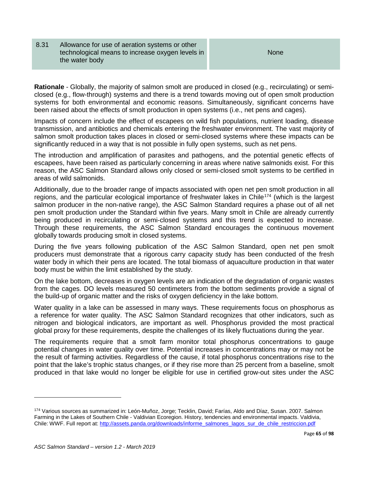8.31 Allowance for use of aeration systems or other technological means to increase oxygen levels in the water body

None

**Rationale** - Globally, the majority of salmon smolt are produced in closed (e.g., recirculating) or semiclosed (e.g., flow-through) systems and there is a trend towards moving out of open smolt production systems for both environmental and economic reasons. Simultaneously, significant concerns have been raised about the effects of smolt production in open systems (i.e., net pens and cages).

Impacts of concern include the effect of escapees on wild fish populations, nutrient loading, disease transmission, and antibiotics and chemicals entering the freshwater environment. The vast majority of salmon smolt production takes places in closed or semi-closed systems where these impacts can be significantly reduced in a way that is not possible in fully open systems, such as net pens.

The introduction and amplification of parasites and pathogens, and the potential genetic effects of escapees, have been raised as particularly concerning in areas where native salmonids exist. For this reason, the ASC Salmon Standard allows only closed or semi-closed smolt systems to be certified in areas of wild salmonids.

Additionally, due to the broader range of impacts associated with open net pen smolt production in all regions, and the particular ecological importance of freshwater lakes in Chile<sup>[174](#page-64-0)</sup> (which is the largest salmon producer in the non-native range), the ASC Salmon Standard requires a phase out of all net pen smolt production under the Standard within five years. Many smolt in Chile are already currently being produced in recirculating or semi-closed systems and this trend is expected to increase. Through these requirements, the ASC Salmon Standard encourages the continuous movement globally towards producing smolt in closed systems.

During the five years following publication of the ASC Salmon Standard, open net pen smolt producers must demonstrate that a rigorous carry capacity study has been conducted of the fresh water body in which their pens are located. The total biomass of aquaculture production in that water body must be within the limit established by the study.

On the lake bottom, decreases in oxygen levels are an indication of the degradation of organic wastes from the cages. DO levels measured 50 centimeters from the bottom sediments provide a signal of the build-up of organic matter and the risks of oxygen deficiency in the lake bottom.

Water quality in a lake can be assessed in many ways. These requirements focus on phosphorus as a reference for water quality. The ASC Salmon Standard recognizes that other indicators, such as nitrogen and biological indicators, are important as well. Phosphorus provided the most practical global proxy for these requirements, despite the challenges of its likely fluctuations during the year.

The requirements require that a smolt farm monitor total phosphorus concentrations to gauge potential changes in water quality over time. Potential increases in concentrations may or may not be the result of farming activities. Regardless of the cause, if total phosphorus concentrations rise to the point that the lake's trophic status changes, or if they rise more than 25 percent from a baseline, smolt produced in that lake would no longer be eligible for use in certified grow-out sites under the ASC

<span id="page-64-0"></span><sup>174</sup> Various sources as summarized in: León-Muñoz, Jorge; Tecklin, David; Farías, Aldo and Díaz, Susan. 2007. Salmon Farming in the Lakes of Southern Chile - Valdivian Ecoregion. History, tendencies and environmental impacts. Valdivia, Chile: WWF. Full report at: http://assets.panda.org/downloads/informe\_salmones\_lagos\_sur\_de\_chile\_restriccion.pdf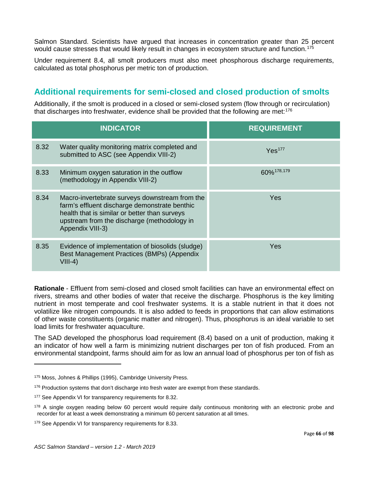Salmon Standard. Scientists have argued that increases in concentration greater than 25 percent would cause stresses that would likely result in changes in ecosystem structure and function.<sup>[175](#page-65-0)</sup>

Under requirement 8.4, all smolt producers must also meet phosphorous discharge requirements, calculated as total phosphorus per metric ton of production.

## **Additional requirements for semi-closed and closed production of smolts**

Additionally, if the smolt is produced in a closed or semi-closed system (flow through or recirculation) that discharges into freshwater, evidence shall be provided that the following are met: [176](#page-65-1) 

|      | <b>INDICATOR</b>                                                                                                                                                                                                    | <b>REQUIREMENT</b> |
|------|---------------------------------------------------------------------------------------------------------------------------------------------------------------------------------------------------------------------|--------------------|
| 8.32 | Water quality monitoring matrix completed and<br>submitted to ASC (see Appendix VIII-2)                                                                                                                             | Yes <sup>177</sup> |
| 8.33 | Minimum oxygen saturation in the outflow<br>(methodology in Appendix VIII-2)                                                                                                                                        | 60% 178, 179       |
| 8.34 | Macro-invertebrate surveys downstream from the<br>farm's effluent discharge demonstrate benthic<br>health that is similar or better than surveys<br>upstream from the discharge (methodology in<br>Appendix VIII-3) | <b>Yes</b>         |
| 8.35 | Evidence of implementation of biosolids (sludge)<br>Best Management Practices (BMPs) (Appendix<br>$VIII-4)$                                                                                                         | Yes                |

**Rationale** - Effluent from semi-closed and closed smolt facilities can have an environmental effect on rivers, streams and other bodies of water that receive the discharge. Phosphorus is the key limiting nutrient in most temperate and cool freshwater systems. It is a stable nutrient in that it does not volatilize like nitrogen compounds. It is also added to feeds in proportions that can allow estimations of other waste constituents (organic matter and nitrogen). Thus, phosphorus is an ideal variable to set load limits for freshwater aquaculture.

The SAD developed the phosphorus load requirement (8.4) based on a unit of production, making it an indicator of how well a farm is minimizing nutrient discharges per ton of fish produced. From an environmental standpoint, farms should aim for as low an annual load of phosphorus per ton of fish as

<span id="page-65-0"></span><sup>175</sup> Moss, Johnes & Phillips (1995), Cambridge University Press.

<span id="page-65-1"></span> $176$  Production systems that don't discharge into fresh water are exempt from these standards.

<span id="page-65-2"></span><sup>&</sup>lt;sup>177</sup> See Appendix VI for transparency requirements for 8.32.

<span id="page-65-3"></span><sup>&</sup>lt;sup>178</sup> A single oxygen reading below 60 percent would require daily continuous monitoring with an electronic probe and recorder for at least a week demonstrating a minimum 60 percent saturation at all times.

<span id="page-65-4"></span><sup>&</sup>lt;sup>179</sup> See Appendix VI for transparency requirements for 8.33.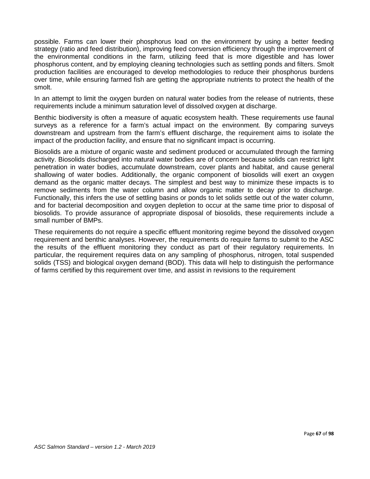possible. Farms can lower their phosphorus load on the environment by using a better feeding strategy (ratio and feed distribution), improving feed conversion efficiency through the improvement of the environmental conditions in the farm, utilizing feed that is more digestible and has lower phosphorus content, and by employing cleaning technologies such as settling ponds and filters. Smolt production facilities are encouraged to develop methodologies to reduce their phosphorus burdens over time, while ensuring farmed fish are getting the appropriate nutrients to protect the health of the smolt.

In an attempt to limit the oxygen burden on natural water bodies from the release of nutrients, these requirements include a minimum saturation level of dissolved oxygen at discharge.

Benthic biodiversity is often a measure of aquatic ecosystem health. These requirements use faunal surveys as a reference for a farm's actual impact on the environment. By comparing surveys downstream and upstream from the farm's effluent discharge, the requirement aims to isolate the impact of the production facility, and ensure that no significant impact is occurring.

Biosolids are a mixture of organic waste and sediment produced or accumulated through the farming activity. Biosolids discharged into natural water bodies are of concern because solids can restrict light penetration in water bodies, accumulate downstream, cover plants and habitat, and cause general shallowing of water bodies. Additionally, the organic component of biosolids will exert an oxygen demand as the organic matter decays. The simplest and best way to minimize these impacts is to remove sediments from the water column and allow organic matter to decay prior to discharge. Functionally, this infers the use of settling basins or ponds to let solids settle out of the water column, and for bacterial decomposition and oxygen depletion to occur at the same time prior to disposal of biosolids. To provide assurance of appropriate disposal of biosolids, these requirements include a small number of BMPs.

These requirements do not require a specific effluent monitoring regime beyond the dissolved oxygen requirement and benthic analyses. However, the requirements do require farms to submit to the ASC the results of the effluent monitoring they conduct as part of their regulatory requirements. In particular, the requirement requires data on any sampling of phosphorus, nitrogen, total suspended solids (TSS) and biological oxygen demand (BOD). This data will help to distinguish the performance of farms certified by this requirement over time, and assist in revisions to the requirement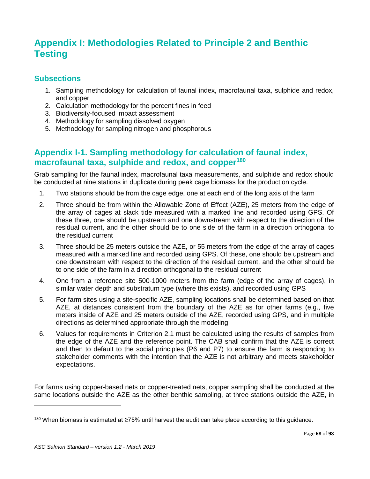# **Appendix I: Methodologies Related to Principle 2 and Benthic Testing**

#### **Subsections**

- 1. Sampling methodology for calculation of faunal index, macrofaunal taxa, sulphide and redox, and copper
- 2. Calculation methodology for the percent fines in feed
- 3. Biodiversity-focused impact assessment
- 4. Methodology for sampling dissolved oxygen
- 5. Methodology for sampling nitrogen and phosphorous

#### **Appendix I-1. Sampling methodology for calculation of faunal index, macrofaunal taxa, sulphide and redox, and copper[180](#page-67-0)**

Grab sampling for the faunal index, macrofaunal taxa measurements, and sulphide and redox should be conducted at nine stations in duplicate during peak cage biomass for the production cycle.

- 1. Two stations should be from the cage edge, one at each end of the long axis of the farm
- 2. Three should be from within the Allowable Zone of Effect (AZE), 25 meters from the edge of the array of cages at slack tide measured with a marked line and recorded using GPS. Of these three, one should be upstream and one downstream with respect to the direction of the residual current, and the other should be to one side of the farm in a direction orthogonal to the residual current
- 3. Three should be 25 meters outside the AZE, or 55 meters from the edge of the array of cages measured with a marked line and recorded using GPS. Of these, one should be upstream and one downstream with respect to the direction of the residual current, and the other should be to one side of the farm in a direction orthogonal to the residual current
- 4. One from a reference site 500-1000 meters from the farm (edge of the array of cages), in similar water depth and substratum type (where this exists), and recorded using GPS
- 5. For farm sites using a site-specific AZE, sampling locations shall be determined based on that AZE, at distances consistent from the boundary of the AZE as for other farms (e.g., five meters inside of AZE and 25 meters outside of the AZE, recorded using GPS, and in multiple directions as determined appropriate through the modeling
- 6. Values for requirements in Criterion 2.1 must be calculated using the results of samples from the edge of the AZE and the reference point. The CAB shall confirm that the AZE is correct and then to default to the social principles (P6 and P7) to ensure the farm is responding to stakeholder comments with the intention that the AZE is not arbitrary and meets stakeholder expectations.

For farms using copper-based nets or copper-treated nets, copper sampling shall be conducted at the same locations outside the AZE as the other benthic sampling, at three stations outside the AZE, in

<span id="page-67-0"></span><sup>180</sup> When biomass is estimated at ≥75% until harvest the audit can take place according to this guidance.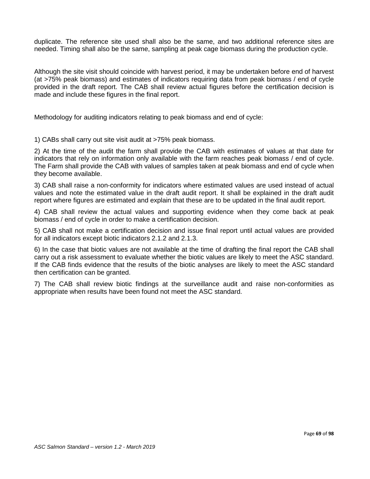duplicate. The reference site used shall also be the same, and two additional reference sites are needed. Timing shall also be the same, sampling at peak cage biomass during the production cycle.

Although the site visit should coincide with harvest period, it may be undertaken before end of harvest (at >75% peak biomass) and estimates of indicators requiring data from peak biomass / end of cycle provided in the draft report. The CAB shall review actual figures before the certification decision is made and include these figures in the final report.

Methodology for auditing indicators relating to peak biomass and end of cycle:

1) CABs shall carry out site visit audit at >75% peak biomass.

2) At the time of the audit the farm shall provide the CAB with estimates of values at that date for indicators that rely on information only available with the farm reaches peak biomass / end of cycle. The Farm shall provide the CAB with values of samples taken at peak biomass and end of cycle when they become available.

3) CAB shall raise a non-conformity for indicators where estimated values are used instead of actual values and note the estimated value in the draft audit report. It shall be explained in the draft audit report where figures are estimated and explain that these are to be updated in the final audit report.

4) CAB shall review the actual values and supporting evidence when they come back at peak biomass / end of cycle in order to make a certification decision.

5) CAB shall not make a certification decision and issue final report until actual values are provided for all indicators except biotic indicators 2.1.2 and 2.1.3.

6) In the case that biotic values are not available at the time of drafting the final report the CAB shall carry out a risk assessment to evaluate whether the biotic values are likely to meet the ASC standard. If the CAB finds evidence that the results of the biotic analyses are likely to meet the ASC standard then certification can be granted.

7) The CAB shall review biotic findings at the surveillance audit and raise non-conformities as appropriate when results have been found not meet the ASC standard.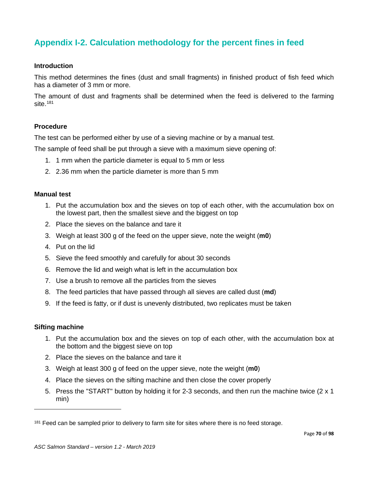## **Appendix I-2. Calculation methodology for the percent fines in feed**

#### **Introduction**

This method determines the fines (dust and small fragments) in finished product of fish feed which has a diameter of 3 mm or more.

The amount of dust and fragments shall be determined when the feed is delivered to the farming site. [181](#page-69-0)

#### **Procedure**

The test can be performed either by use of a sieving machine or by a manual test.

The sample of feed shall be put through a sieve with a maximum sieve opening of:

- 1. 1 mm when the particle diameter is equal to 5 mm or less
- 2. 2.36 mm when the particle diameter is more than 5 mm

#### **Manual test**

- 1. Put the accumulation box and the sieves on top of each other, with the accumulation box on the lowest part, then the smallest sieve and the biggest on top
- 2. Place the sieves on the balance and tare it
- 3. Weigh at least 300 g of the feed on the upper sieve, note the weight (**m0**)
- 4. Put on the lid
- 5. Sieve the feed smoothly and carefully for about 30 seconds
- 6. Remove the lid and weigh what is left in the accumulation box
- 7. Use a brush to remove all the particles from the sieves
- 8. The feed particles that have passed through all sieves are called dust (**md**)
- 9. If the feed is fatty, or if dust is unevenly distributed, two replicates must be taken

#### **Sifting machine**

- 1. Put the accumulation box and the sieves on top of each other, with the accumulation box at the bottom and the biggest sieve on top
- 2. Place the sieves on the balance and tare it
- 3. Weigh at least 300 g of feed on the upper sieve, note the weight (**m0**)
- 4. Place the sieves on the sifting machine and then close the cover properly
- 5. Press the "START" button by holding it for 2-3 seconds, and then run the machine twice (2 x 1 min)

<span id="page-69-0"></span><sup>&</sup>lt;sup>181</sup> Feed can be sampled prior to delivery to farm site for sites where there is no feed storage.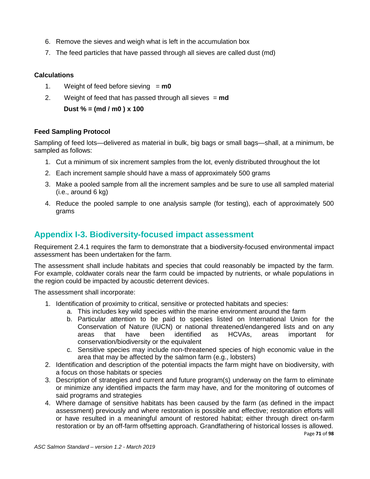- 6. Remove the sieves and weigh what is left in the accumulation box
- 7. The feed particles that have passed through all sieves are called dust (md)

#### **Calculations**

- 1. Weight of feed before sieving = **m0**
- 2. Weight of feed that has passed through all sieves = **md**

**Dust % = (md / m0 ) x 100** 

#### **Feed Sampling Protocol**

Sampling of feed lots—delivered as material in bulk, big bags or small bags—shall, at a minimum, be sampled as follows:

- 1. Cut a minimum of six increment samples from the lot, evenly distributed throughout the lot
- 2. Each increment sample should have a mass of approximately 500 grams
- 3. Make a pooled sample from all the increment samples and be sure to use all sampled material (i.e., around 6 kg)
- 4. Reduce the pooled sample to one analysis sample (for testing), each of approximately 500 grams

#### **Appendix I-3. Biodiversity-focused impact assessment**

Requirement 2.4.1 requires the farm to demonstrate that a biodiversity-focused environmental impact assessment has been undertaken for the farm.

The assessment shall include habitats and species that could reasonably be impacted by the farm. For example, coldwater corals near the farm could be impacted by nutrients, or whale populations in the region could be impacted by acoustic deterrent devices.

The assessment shall incorporate:

- 1. Identification of proximity to critical, sensitive or protected habitats and species:
	- a. This includes key wild species within the marine environment around the farm
	- b. Particular attention to be paid to species listed on International Union for the Conservation of Nature (IUCN) or national threatened/endangered lists and on any areas that have been identified as HCVAs, areas important for conservation/biodiversity or the equivalent
	- c. Sensitive species may include non-threatened species of high economic value in the area that may be affected by the salmon farm (e.g., lobsters)
- 2. Identification and description of the potential impacts the farm might have on biodiversity, with a focus on those habitats or species
- 3. Description of strategies and current and future program(s) underway on the farm to eliminate or minimize any identified impacts the farm may have, and for the monitoring of outcomes of said programs and strategies
- 4. Where damage of sensitive habitats has been caused by the farm (as defined in the impact assessment) previously and where restoration is possible and effective; restoration efforts will or have resulted in a meaningful amount of restored habitat; either through direct on-farm restoration or by an off-farm offsetting approach. Grandfathering of historical losses is allowed.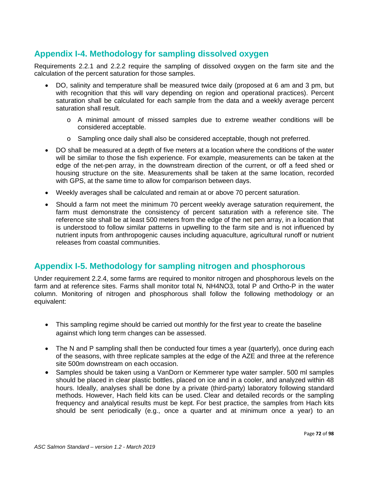## **Appendix I-4. Methodology for sampling dissolved oxygen**

Requirements 2.2.1 and 2.2.2 require the sampling of dissolved oxygen on the farm site and the calculation of the percent saturation for those samples.

- DO, salinity and temperature shall be measured twice daily (proposed at 6 am and 3 pm, but with recognition that this will vary depending on region and operational practices). Percent saturation shall be calculated for each sample from the data and a weekly average percent saturation shall result.
	- o A minimal amount of missed samples due to extreme weather conditions will be considered acceptable.
	- o Sampling once daily shall also be considered acceptable, though not preferred.
- DO shall be measured at a depth of five meters at a location where the conditions of the water will be similar to those the fish experience. For example, measurements can be taken at the edge of the net-pen array, in the downstream direction of the current, or off a feed shed or housing structure on the site. Measurements shall be taken at the same location, recorded with GPS, at the same time to allow for comparison between days.
- Weekly averages shall be calculated and remain at or above 70 percent saturation.
- Should a farm not meet the minimum 70 percent weekly average saturation requirement, the farm must demonstrate the consistency of percent saturation with a reference site. The reference site shall be at least 500 meters from the edge of the net pen array, in a location that is understood to follow similar patterns in upwelling to the farm site and is not influenced by nutrient inputs from anthropogenic causes including aquaculture, agricultural runoff or nutrient releases from coastal communities.

#### **Appendix I-5. Methodology for sampling nitrogen and phosphorous**

Under requirement 2.2.4, some farms are required to monitor nitrogen and phosphorous levels on the farm and at reference sites. Farms shall monitor total N, NH4NO3, total P and Ortho-P in the water column. Monitoring of nitrogen and phosphorous shall follow the following methodology or an equivalent:

- This sampling regime should be carried out monthly for the first year to create the baseline against which long term changes can be assessed.
- The N and P sampling shall then be conducted four times a year (quarterly), once during each of the seasons, with three replicate samples at the edge of the AZE and three at the reference site 500m downstream on each occasion.
- Samples should be taken using a VanDorn or Kemmerer type water sampler. 500 ml samples should be placed in clear plastic bottles, placed on ice and in a cooler, and analyzed within 48 hours. Ideally, analyses shall be done by a private (third-party) laboratory following standard methods. However, Hach field kits can be used. Clear and detailed records or the sampling frequency and analytical results must be kept. For best practice, the samples from Hach kits should be sent periodically (e.g., once a quarter and at minimum once a year) to an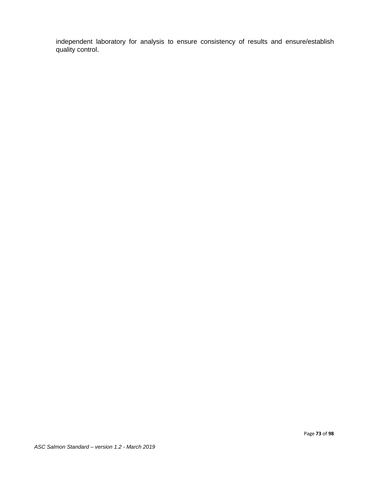independent laboratory for analysis to ensure consistency of results and ensure/establish quality control.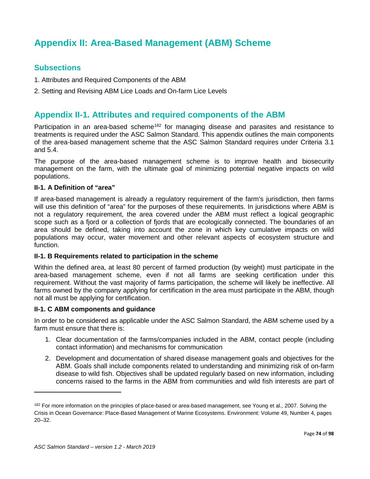# **Appendix II: Area-Based Management (ABM) Scheme**

## **Subsections**

- 1. Attributes and Required Components of the ABM
- 2. Setting and Revising ABM Lice Loads and On-farm Lice Levels

## **Appendix II-1. Attributes and required components of the ABM**

Participation in an area-based scheme<sup>182</sup> for managing disease and parasites and resistance to treatments is required under the ASC Salmon Standard. This appendix outlines the main components of the area-based management scheme that the ASC Salmon Standard requires under Criteria 3.1 and 5.4.

The purpose of the area-based management scheme is to improve health and biosecurity management on the farm, with the ultimate goal of minimizing potential negative impacts on wild populations.

#### **II-1. A Definition of "area"**

If area-based management is already a regulatory requirement of the farm's jurisdiction, then farms will use this definition of "area" for the purposes of these requirements. In jurisdictions where ABM is not a regulatory requirement, the area covered under the ABM must reflect a logical geographic scope such as a fjord or a collection of fjords that are ecologically connected. The boundaries of an area should be defined, taking into account the zone in which key cumulative impacts on wild populations may occur, water movement and other relevant aspects of ecosystem structure and function.

#### **II-1. B Requirements related to participation in the scheme**

Within the defined area, at least 80 percent of farmed production (by weight) must participate in the area-based management scheme, even if not all farms are seeking certification under this requirement. Without the vast majority of farms participation, the scheme will likely be ineffective. All farms owned by the company applying for certification in the area must participate in the ABM, though not all must be applying for certification.

#### **II-1. C ABM components and guidance**

In order to be considered as applicable under the ASC Salmon Standard, the ABM scheme used by a farm must ensure that there is:

- 1. Clear documentation of the farms/companies included in the ABM, contact people (including contact information) and mechanisms for communication
- 2. Development and documentation of shared disease management goals and objectives for the ABM. Goals shall include components related to understanding and minimizing risk of on-farm disease to wild fish. Objectives shall be updated regularly based on new information, including concerns raised to the farms in the ABM from communities and wild fish interests are part of

l

<span id="page-73-0"></span><sup>&</sup>lt;sup>182</sup> For more information on the principles of place-based or area-based management, see Young et al., 2007. Solving the Crisis in Ocean Governance: Place-Based Management of Marine Ecosystems. Environment: Volume 49, Number 4, pages 20–32.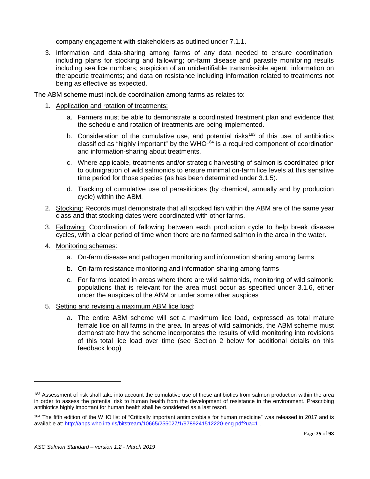company engagement with stakeholders as outlined under 7.1.1.

3. Information and data-sharing among farms of any data needed to ensure coordination, including plans for stocking and fallowing; on-farm disease and parasite monitoring results including sea lice numbers; suspicion of an unidentifiable transmissible agent, information on therapeutic treatments; and data on resistance including information related to treatments not being as effective as expected.

The ABM scheme must include coordination among farms as relates to:

- 1. Application and rotation of treatments:
	- a. Farmers must be able to demonstrate a coordinated treatment plan and evidence that the schedule and rotation of treatments are being implemented.
	- b. Consideration of the cumulative use, and potential risks<sup>183</sup> of this use, of antibiotics classified as "highly important" by the  $WHO^{184}$  is a required component of coordination and information-sharing about treatments.
	- c. Where applicable, treatments and/or strategic harvesting of salmon is coordinated prior to outmigration of wild salmonids to ensure minimal on-farm lice levels at this sensitive time period for those species (as has been determined under 3.1.5).
	- d. Tracking of cumulative use of parasiticides (by chemical, annually and by production cycle) within the ABM.
- 2. Stocking: Records must demonstrate that all stocked fish within the ABM are of the same year class and that stocking dates were coordinated with other farms.
- 3. Fallowing: Coordination of fallowing between each production cycle to help break disease cycles, with a clear period of time when there are no farmed salmon in the area in the water.
- 4. Monitoring schemes:
	- a. On-farm disease and pathogen monitoring and information sharing among farms
	- b. On-farm resistance monitoring and information sharing among farms
	- c. For farms located in areas where there are wild salmonids, monitoring of wild salmonid populations that is relevant for the area must occur as specified under 3.1.6, either under the auspices of the ABM or under some other auspices
- 5. Setting and revising a maximum ABM lice load:
	- a. The entire ABM scheme will set a maximum lice load, expressed as total mature female lice on all farms in the area. In areas of wild salmonids, the ABM scheme must demonstrate how the scheme incorporates the results of wild monitoring into revisions of this total lice load over time (see Section 2 below for additional details on this feedback loop)

l

<span id="page-74-0"></span><sup>&</sup>lt;sup>183</sup> Assessment of risk shall take into account the cumulative use of these antibiotics from salmon production within the area in order to assess the potential risk to human health from the development of resistance in the environment. Prescribing antibiotics highly important for human health shall be considered as a last resort.

<span id="page-74-1"></span><sup>184</sup> The fifth edition of the WHO list of "Critically important antimicrobials for human medicine" was released in 2017 and is available at:<http://apps.who.int/iris/bitstream/10665/255027/1/9789241512220-eng.pdf?ua=1>.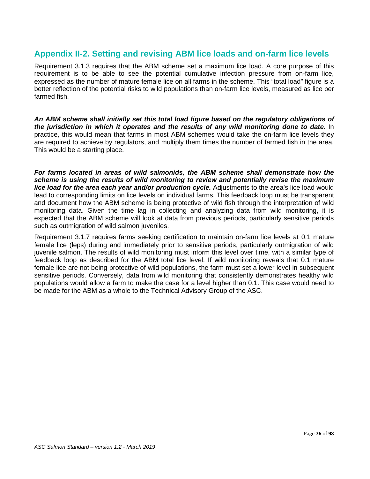## **Appendix II-2. Setting and revising ABM lice loads and on-farm lice levels**

Requirement 3.1.3 requires that the ABM scheme set a maximum lice load. A core purpose of this requirement is to be able to see the potential cumulative infection pressure from on-farm lice, expressed as the number of mature female lice on all farms in the scheme. This "total load" figure is a better reflection of the potential risks to wild populations than on-farm lice levels, measured as lice per farmed fish.

*An ABM scheme shall initially set this total load figure based on the regulatory obligations of the jurisdiction in which it operates and the results of any wild monitoring done to date.* In practice, this would mean that farms in most ABM schemes would take the on-farm lice levels they are required to achieve by regulators, and multiply them times the number of farmed fish in the area. This would be a starting place.

*For farms located in areas of wild salmonids, the ABM scheme shall demonstrate how the scheme is using the results of wild monitoring to review and potentially revise the maximum lice load for the area each year and/or production cycle.* Adjustments to the area's lice load would lead to corresponding limits on lice levels on individual farms. This feedback loop must be transparent and document how the ABM scheme is being protective of wild fish through the interpretation of wild monitoring data. Given the time lag in collecting and analyzing data from wild monitoring, it is expected that the ABM scheme will look at data from previous periods, particularly sensitive periods such as outmigration of wild salmon juveniles.

Requirement 3.1.7 requires farms seeking certification to maintain on-farm lice levels at 0.1 mature female lice (leps) during and immediately prior to sensitive periods, particularly outmigration of wild juvenile salmon. The results of wild monitoring must inform this level over time, with a similar type of feedback loop as described for the ABM total lice level. If wild monitoring reveals that 0.1 mature female lice are not being protective of wild populations, the farm must set a lower level in subsequent sensitive periods. Conversely, data from wild monitoring that consistently demonstrates healthy wild populations would allow a farm to make the case for a level higher than 0.1. This case would need to be made for the ABM as a whole to the Technical Advisory Group of the ASC.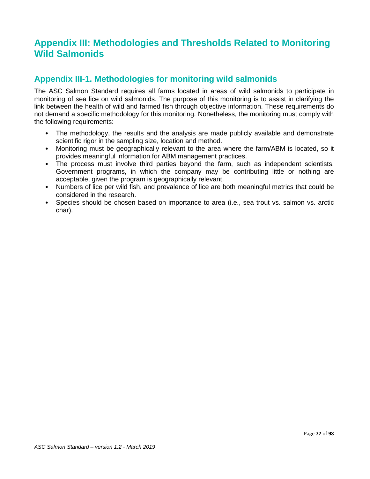# **Appendix III: Methodologies and Thresholds Related to Monitoring Wild Salmonids**

## **Appendix III-1. Methodologies for monitoring wild salmonids**

The ASC Salmon Standard requires all farms located in areas of wild salmonids to participate in monitoring of sea lice on wild salmonids. The purpose of this monitoring is to assist in clarifying the link between the health of wild and farmed fish through objective information. These requirements do not demand a specific methodology for this monitoring. Nonetheless, the monitoring must comply with the following requirements:

- The methodology, the results and the analysis are made publicly available and demonstrate scientific rigor in the sampling size, location and method.
- Monitoring must be geographically relevant to the area where the farm/ABM is located, so it provides meaningful information for ABM management practices.
- The process must involve third parties beyond the farm, such as independent scientists. Government programs, in which the company may be contributing little or nothing are acceptable, given the program is geographically relevant.
- Numbers of lice per wild fish, and prevalence of lice are both meaningful metrics that could be considered in the research.
- Species should be chosen based on importance to area (i.e., sea trout vs. salmon vs. arctic char).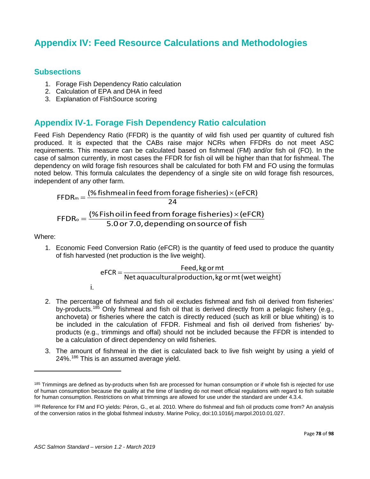# **Appendix IV: Feed Resource Calculations and Methodologies**

## **Subsections**

- 1. Forage Fish Dependency Ratio calculation
- 2. Calculation of EPA and DHA in feed
- 3. Explanation of FishSource scoring

## **Appendix IV-1. Forage Fish Dependency Ratio calculation**

Feed Fish Dependency Ratio (FFDR) is the quantity of wild fish used per quantity of cultured fish produced. It is expected that the CABs raise major NCRs when FFDRs do not meet ASC requirements. This measure can be calculated based on fishmeal (FM) and/or fish oil (FO). In the case of salmon currently, in most cases the FFDR for fish oil will be higher than that for fishmeal. The dependency on wild forage fish resources shall be calculated for both FM and FO using the formulas noted below. This formula calculates the dependency of a single site on wild forage fish resources, independent of any other farm.

$$
FFDR_m = \frac{\text{(*)} \text{fishmedian feed from forage fisheries)} \times \text{(eFCR)}}{24}
$$
\n
$$
FFDR_o = \frac{\text{(*)} \text{Fish oil in feed from forage fisheries)} \times \text{(eFCR)}}{5.0 \text{ or } 7.0, \text{depending on source of fish}}
$$

Where:

l

1. Economic Feed Conversion Ratio (eFCR) is the quantity of feed used to produce the quantity of fish harvested (net production is the live weight).

$$
eFCR = \frac{Feed, kg \text{ or } mt}{Net \text{ aquacultural production, } kg \text{ or } mt \text{ (wet weight)}}
$$

- i.
- 2. The percentage of fishmeal and fish oil excludes fishmeal and fish oil derived from fisheries' by-products.<sup>[185](#page-77-0)</sup> Only fishmeal and fish oil that is derived directly from a pelagic fishery (e.g., anchoveta) or fisheries where the catch is directly reduced (such as krill or blue whiting) is to be included in the calculation of FFDR. Fishmeal and fish oil derived from fisheries' byproducts (e.g., trimmings and offal) should not be included because the FFDR is intended to be a calculation of direct dependency on wild fisheries.
- 3. The amount of fishmeal in the diet is calculated back to live fish weight by using a yield of 24%. [186](#page-77-1) This is an assumed average yield.

<span id="page-77-0"></span><sup>&</sup>lt;sup>185</sup> Trimmings are defined as by-products when fish are processed for human consumption or if whole fish is rejected for use of human consumption because the quality at the time of landing do not meet official regulations with regard to fish suitable for human consumption. Restrictions on what trimmings are allowed for use under the standard are under 4.3.4.

<span id="page-77-1"></span><sup>186</sup> Reference for FM and FO yields: Péron, G., et al. 2010. Where do fishmeal and fish oil products come from? An analysis of the conversion ratios in the global fishmeal industry. Marine Policy, doi:10.1016/j.marpol.2010.01.027.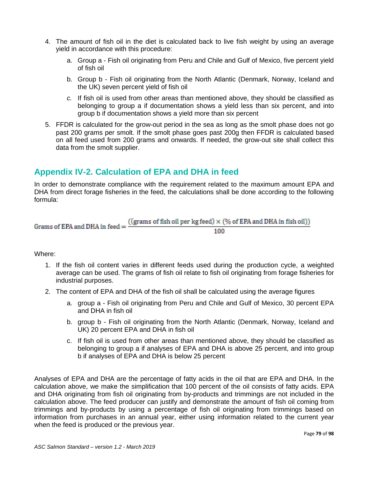- 4. The amount of fish oil in the diet is calculated back to live fish weight by using an average yield in accordance with this procedure:
	- a. Group a Fish oil originating from Peru and Chile and Gulf of Mexico, five percent yield of fish oil
	- b. Group b Fish oil originating from the North Atlantic (Denmark, Norway, Iceland and the UK) seven percent yield of fish oil
	- *c.* If fish oil is used from other areas than mentioned above, they should be classified as belonging to group a if documentation shows a yield less than six percent, and into group b if documentation shows a yield more than six percent
- 5. FFDR is calculated for the grow-out period in the sea as long as the smolt phase does not go past 200 grams per smolt. If the smolt phase goes past 200g then FFDR is calculated based on all feed used from 200 grams and onwards. If needed, the grow-out site shall collect this data from the smolt supplier.

# **Appendix IV-2. Calculation of EPA and DHA in feed**

In order to demonstrate compliance with the requirement related to the maximum amount EPA and DHA from direct forage fisheries in the feed, the calculations shall be done according to the following formula:

Grams of EPA and DHA in feed = 
$$
\frac{((grams of fish oil per kg feed) \times (\% of EPA and DHA in fish oil))}{100}
$$

## Where:

- 1. If the fish oil content varies in different feeds used during the production cycle, a weighted average can be used. The grams of fish oil relate to fish oil originating from forage fisheries for industrial purposes.
- 2. The content of EPA and DHA of the fish oil shall be calculated using the average figures
	- a. group a Fish oil originating from Peru and Chile and Gulf of Mexico, 30 percent EPA and DHA in fish oil
	- b. group b Fish oil originating from the North Atlantic (Denmark, Norway, Iceland and UK) 20 percent EPA and DHA in fish oil
	- c. If fish oil is used from other areas than mentioned above, they should be classified as belonging to group a if analyses of EPA and DHA is above 25 percent, and into group b if analyses of EPA and DHA is below 25 percent

Analyses of EPA and DHA are the percentage of fatty acids in the oil that are EPA and DHA. In the calculation above, we make the simplification that 100 percent of the oil consists of fatty acids. EPA and DHA originating from fish oil originating from by-products and trimmings are not included in the calculation above. The feed producer can justify and demonstrate the amount of fish oil coming from trimmings and by-products by using a percentage of fish oil originating from trimmings based on information from purchases in an annual year, either using information related to the current year when the feed is produced or the previous year.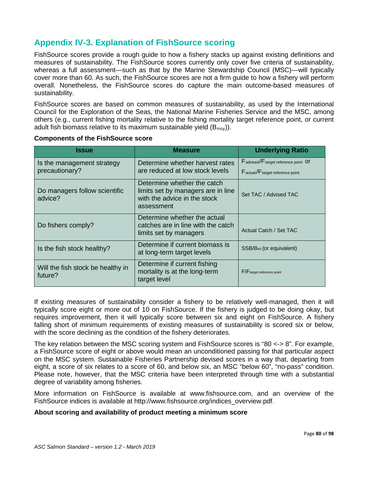# **Appendix IV-3. Explanation of FishSource scoring**

FishSource scores provide a rough guide to how a fishery stacks up against existing definitions and measures of sustainability. The FishSource scores currently only cover five criteria of sustainability, whereas a full assessment—such as that by the Marine Stewardship Council (MSC)—will typically cover more than 60. As such, the FishSource scores are not a firm guide to how a fishery will perform overall. Nonetheless, the FishSource scores do capture the main outcome-based measures of sustainability.

FishSource scores are based on common measures of sustainability, as used by the International Council for the Exploration of the Seas, the National Marine Fisheries Service and the MSC, among others (e.g., current fishing mortality relative to the fishing mortality target reference point, or current adult fish biomass relative to its maximum sustainable yield  $(B_{\text{msv}})$ .

| <b>Issue</b>                                 | <b>Measure</b>                                                                                                  | <b>Underlying Ratio</b>                                                 |
|----------------------------------------------|-----------------------------------------------------------------------------------------------------------------|-------------------------------------------------------------------------|
| Is the management strategy<br>precautionary? | Determine whether harvest rates<br>are reduced at low stock levels                                              | Fadvised/Ftarget reference point Of<br>Factual/F target reference point |
| Do managers follow scientific<br>advice?     | Determine whether the catch<br>limits set by managers are in line<br>with the advice in the stock<br>assessment | Set TAC / Advised TAC                                                   |
| Do fishers comply?                           | Determine whether the actual<br>catches are in line with the catch<br>limits set by managers                    | Actual Catch / Set TAC                                                  |
| Is the fish stock healthy?                   | Determine if current biomass is<br>at long-term target levels                                                   | SSB/B <sub>40</sub> (or equivalent)                                     |
| Will the fish stock be healthy in<br>future? | Determine if current fishing<br>mortality is at the long-term<br>target level                                   | F/Ftarget reference point                                               |

#### **Components of the FishSource score**

If existing measures of sustainability consider a fishery to be relatively well-managed, then it will typically score eight or more out of 10 on FishSource. If the fishery is judged to be doing okay, but requires improvement, then it will typically score between six and eight on FishSource. A fishery falling short of minimum requirements of existing measures of sustainability is scored six or below, with the score declining as the condition of the fishery deteriorates.

The key relation between the MSC scoring system and FishSource scores is "80 <-> 8". For example, a FishSource score of eight or above would mean an unconditioned passing for that particular aspect on the MSC system. Sustainable Fisheries Partnership devised scores in a way that, departing from eight, a score of six relates to a score of 60, and below six, an MSC "below 60", "no-pass" condition. Please note, however, that the MSC criteria have been interpreted through time with a substantial degree of variability among fisheries.

More information on FishSource is available at www.fishsource.com, and an overview of the FishSource indices is available at http://www.fishsource.org/indices\_overview.pdf.

## **About scoring and availability of product meeting a minimum score**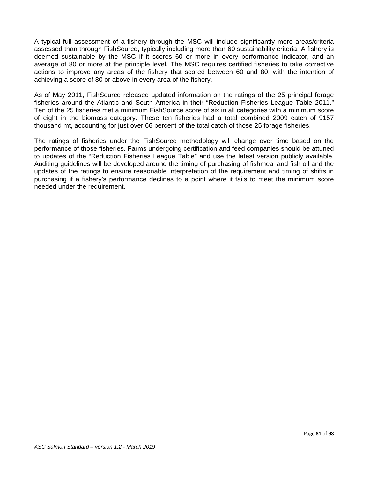A typical full assessment of a fishery through the MSC will include significantly more areas/criteria assessed than through FishSource, typically including more than 60 sustainability criteria. A fishery is deemed sustainable by the MSC if it scores 60 or more in every performance indicator, and an average of 80 or more at the principle level. The MSC requires certified fisheries to take corrective actions to improve any areas of the fishery that scored between 60 and 80, with the intention of achieving a score of 80 or above in every area of the fishery.

As of May 2011, FishSource released updated information on the ratings of the 25 principal forage fisheries around the Atlantic and South America in their "Reduction Fisheries League Table 2011." Ten of the 25 fisheries met a minimum FishSource score of six in all categories with a minimum score of eight in the biomass category. These ten fisheries had a total combined 2009 catch of 9157 thousand mt, accounting for just over 66 percent of the total catch of those 25 forage fisheries.

The ratings of fisheries under the FishSource methodology will change over time based on the performance of those fisheries. Farms undergoing certification and feed companies should be attuned to updates of the "Reduction Fisheries League Table" and use the latest version publicly available. Auditing guidelines will be developed around the timing of purchasing of fishmeal and fish oil and the updates of the ratings to ensure reasonable interpretation of the requirement and timing of shifts in purchasing if a fishery's performance declines to a point where it fails to meet the minimum score needed under the requirement.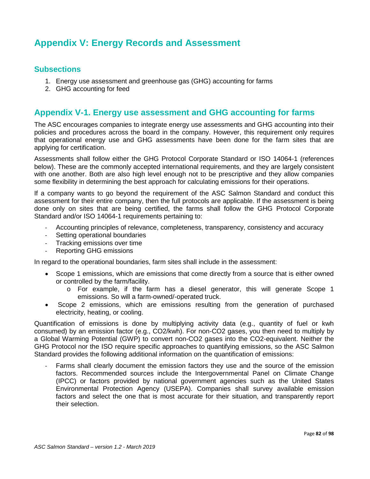# **Appendix V: Energy Records and Assessment**

## **Subsections**

- 1. Energy use assessment and greenhouse gas (GHG) accounting for farms
- 2. GHG accounting for feed

## **Appendix V-1. Energy use assessment and GHG accounting for farms**

The ASC encourages companies to integrate energy use assessments and GHG accounting into their policies and procedures across the board in the company. However, this requirement only requires that operational energy use and GHG assessments have been done for the farm sites that are applying for certification.

Assessments shall follow either the GHG Protocol Corporate Standard or ISO 14064-1 (references below). These are the commonly accepted international requirements, and they are largely consistent with one another. Both are also high level enough not to be prescriptive and they allow companies some flexibility in determining the best approach for calculating emissions for their operations.

If a company wants to go beyond the requirement of the ASC Salmon Standard and conduct this assessment for their entire company, then the full protocols are applicable. If the assessment is being done only on sites that are being certified, the farms shall follow the GHG Protocol Corporate Standard and/or ISO 14064-1 requirements pertaining to:

- Accounting principles of relevance, completeness, transparency, consistency and accuracy
- Setting operational boundaries
- Tracking emissions over time
- Reporting GHG emissions

In regard to the operational boundaries, farm sites shall include in the assessment:

- Scope 1 emissions, which are emissions that come directly from a source that is either owned or controlled by the farm/facility.
	- o For example, if the farm has a diesel generator, this will generate Scope 1 emissions. So will a farm-owned/-operated truck.
- Scope 2 emissions, which are emissions resulting from the generation of purchased electricity, heating, or cooling.

Quantification of emissions is done by multiplying activity data (e.g., quantity of fuel or kwh consumed) by an emission factor (e.g., CO2/kwh). For non-CO2 gases, you then need to multiply by a Global Warming Potential (GWP) to convert non-CO2 gases into the CO2-equivalent. Neither the GHG Protocol nor the ISO require specific approaches to quantifying emissions, so the ASC Salmon Standard provides the following additional information on the quantification of emissions:

Farms shall clearly document the emission factors they use and the source of the emission factors. Recommended sources include the Intergovernmental Panel on Climate Change (IPCC) or factors provided by national government agencies such as the United States Environmental Protection Agency (USEPA). Companies shall survey available emission factors and select the one that is most accurate for their situation, and transparently report their selection.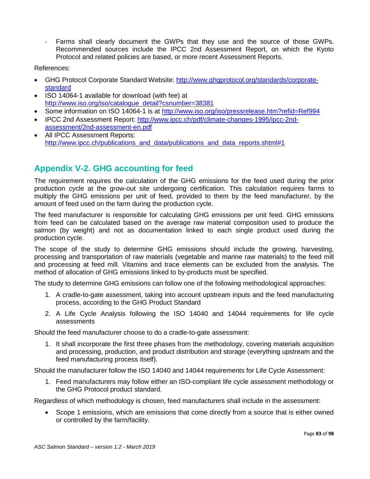- Farms shall clearly document the GWPs that they use and the source of those GWPs. Recommended sources include the IPCC 2nd Assessment Report, on which the Kyoto Protocol and related policies are based, or more recent Assessment Reports.

References:

- GHG Protocol Corporate Standard Website: [http://www.ghgprotocol.org/standards/corporate](http://www.ghgprotocol.org/standards/corporate-standard)[standard](http://www.ghgprotocol.org/standards/corporate-standard)
- ISO 14064-1 available for download (with fee) at [http://www.iso.org/iso/catalogue\\_detail?csnumber=38381](http://www.iso.org/iso/catalogue_detail?csnumber=38381)
- Some information on ISO 14064-1 is at<http://www.iso.org/iso/pressrelease.htm?refid=Ref994>
- IPCC 2nd Assessment Report: [http://www.ipcc.ch/pdf/climate-changes-1995/ipcc-2nd](http://www.ipcc.ch/pdf/climate-changes-1995/ipcc-2nd-assessment/2nd-assessment-en.pdf)[assessment/2nd-assessment-en.pdf](http://www.ipcc.ch/pdf/climate-changes-1995/ipcc-2nd-assessment/2nd-assessment-en.pdf)
- All IPCC Assessment Reports: [http://www.ipcc.ch/publications\\_and\\_data/publications\\_and\\_data\\_reports.shtml#1](http://www.ipcc.ch/publications_and_data/publications_and_data_reports.shtml#1)

# **Appendix V-2. GHG accounting for feed**

The requirement requires the calculation of the GHG emissions for the feed used during the prior production cycle at the grow-out site undergoing certification. This calculation requires farms to multiply the GHG emissions per unit of feed, provided to them by the feed manufacturer, by the amount of feed used on the farm during the production cycle.

The feed manufacturer is responsible for calculating GHG emissions per unit feed. GHG emissions from feed can be calculated based on the average raw material composition used to produce the salmon (by weight) and not as documentation linked to each single product used during the production cycle.

The scope of the study to determine GHG emissions should include the growing, harvesting, processing and transportation of raw materials (vegetable and marine raw materials) to the feed mill and processing at feed mill. Vitamins and trace elements can be excluded from the analysis. The method of allocation of GHG emissions linked to by-products must be specified.

The study to determine GHG emissions can follow one of the following methodological approaches:

- 1. A cradle-to-gate assessment, taking into account upstream inputs and the feed manufacturing process, according to the GHG Product Standard
- 2. A Life Cycle Analysis following the ISO 14040 and 14044 requirements for life cycle assessments

Should the feed manufacturer choose to do a cradle-to-gate assessment:

1. It shall incorporate the first three phases from the methodology, covering materials acquisition and processing, production, and product distribution and storage (everything upstream and the feed manufacturing process itself).

Should the manufacturer follow the ISO 14040 and 14044 requirements for Life Cycle Assessment:

1. Feed manufacturers may follow either an ISO-compliant life cycle assessment methodology or the GHG Protocol product standard.

Regardless of which methodology is chosen, feed manufacturers shall include in the assessment:

• Scope 1 emissions, which are emissions that come directly from a source that is either owned or controlled by the farm/facility.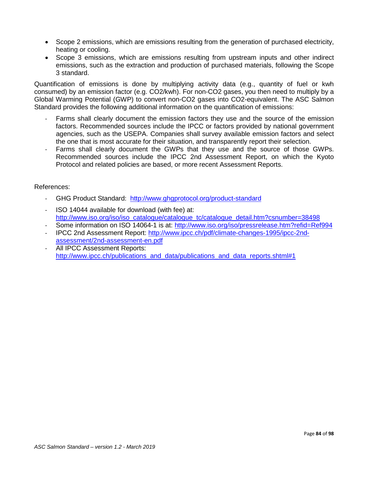- Scope 2 emissions, which are emissions resulting from the generation of purchased electricity, heating or cooling.
- Scope 3 emissions, which are emissions resulting from upstream inputs and other indirect emissions, such as the extraction and production of purchased materials, following the Scope 3 standard.

Quantification of emissions is done by multiplying activity data (e.g., quantity of fuel or kwh consumed) by an emission factor (e.g. CO2/kwh). For non-CO2 gases, you then need to multiply by a Global Warming Potential (GWP) to convert non-CO2 gases into CO2-equivalent. The ASC Salmon Standard provides the following additional information on the quantification of emissions:

- Farms shall clearly document the emission factors they use and the source of the emission factors. Recommended sources include the IPCC or factors provided by national government agencies, such as the USEPA. Companies shall survey available emission factors and select the one that is most accurate for their situation, and transparently report their selection.
- Farms shall clearly document the GWPs that they use and the source of those GWPs. Recommended sources include the IPCC 2nd Assessment Report, on which the Kyoto Protocol and related policies are based, or more recent Assessment Reports.

### References:

- GHG Product Standard: <http://www.ghgprotocol.org/product-standard>
- ISO 14044 available for download (with fee) at: [http://www.iso.org/iso/iso\\_catalogue/catalogue\\_tc/catalogue\\_detail.htm?csnumber=38498](http://www.iso.org/iso/iso_catalogue/catalogue_tc/catalogue_detail.htm?csnumber=38498)
- Some information on ISO 14064-1 is at: <http://www.iso.org/iso/pressrelease.htm?refid=Ref994>
- IPCC 2nd Assessment Report: [http://www.ipcc.ch/pdf/climate-changes-1995/ipcc-2nd](http://www.ipcc.ch/pdf/climate-changes-1995/ipcc-2nd-assessment/2nd-assessment-en.pdf)[assessment/2nd-assessment-en.pdf](http://www.ipcc.ch/pdf/climate-changes-1995/ipcc-2nd-assessment/2nd-assessment-en.pdf)
- All IPCC Assessment Reports: [http://www.ipcc.ch/publications\\_and\\_data/publications\\_and\\_data\\_reports.shtml#1](http://www.ipcc.ch/publications_and_data/publications_and_data_reports.shtml#1)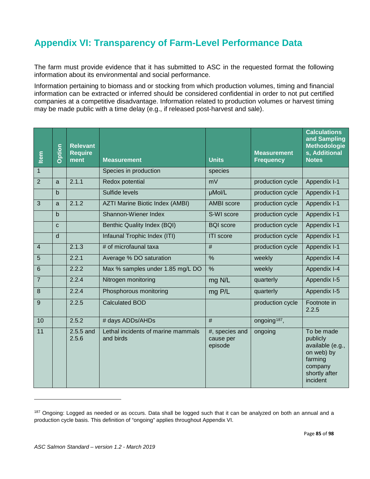# **Appendix VI: Transparency of Farm-Level Performance Data**

The farm must provide evidence that it has submitted to ASC in the requested format the following information about its environmental and social performance.

Information pertaining to biomass and or stocking from which production volumes, timing and financial information can be extracted or inferred should be considered confidential in order to not put certified companies at a competitive disadvantage. Information related to production volumes or harvest timing may be made public with a time delay (e.g., if released post-harvest and sale).

| Item             | Option       | <b>Relevant</b><br><b>Require</b><br>ment | <b>Measurement</b>                              | <b>Units</b>                           | <b>Measurement</b><br><b>Frequency</b> | <b>Calculations</b><br>and Sampling<br><b>Methodologie</b><br>s, Additional<br><b>Notes</b>                 |
|------------------|--------------|-------------------------------------------|-------------------------------------------------|----------------------------------------|----------------------------------------|-------------------------------------------------------------------------------------------------------------|
| $\mathbf{1}$     |              |                                           | Species in production                           | species                                |                                        |                                                                                                             |
| $\overline{2}$   | a            | 2.1.1                                     | Redox potential                                 | mV                                     | production cycle                       | Appendix I-1                                                                                                |
|                  | $b$          |                                           | Sulfide levels                                  | µMol/L                                 | production cycle                       | Appendix I-1                                                                                                |
| $\overline{3}$   | a            | 2.1.2                                     | <b>AZTI Marine Biotic Index (AMBI)</b>          | <b>AMBI</b> score                      | production cycle                       | Appendix I-1                                                                                                |
|                  | $\mathbf b$  |                                           | Shannon-Wiener Index                            | S-WI score                             | production cycle                       | Appendix I-1                                                                                                |
|                  | $\mathbf{C}$ |                                           | Benthic Quality Index (BQI)                     | <b>BQI</b> score                       | production cycle                       | Appendix I-1                                                                                                |
|                  | d            |                                           | Infaunal Trophic Index (ITI)                    | <b>ITI</b> score                       | production cycle                       | Appendix I-1                                                                                                |
| $\overline{4}$   |              | 2.1.3                                     | # of microfaunal taxa                           | $\#$                                   | production cycle                       | Appendix I-1                                                                                                |
| $\overline{5}$   |              | 2.2.1                                     | Average % DO saturation                         | $\frac{9}{6}$                          | weekly                                 | Appendix I-4                                                                                                |
| 6                |              | 2.2.2                                     | Max % samples under 1.85 mg/L DO                | $\frac{0}{0}$                          | weekly                                 | Appendix I-4                                                                                                |
| $\overline{7}$   |              | 2.2.4                                     | Nitrogen monitoring                             | mg N/L                                 | quarterly                              | Appendix I-5                                                                                                |
| $\boldsymbol{8}$ |              | 2.2.4                                     | Phosphorous monitoring                          | mg P/L                                 | quarterly                              | Appendix I-5                                                                                                |
| $\boldsymbol{9}$ |              | 2.2.5                                     | <b>Calculated BOD</b>                           |                                        | production cycle                       | Footnote in<br>2.2.5                                                                                        |
| 10               |              | 2.5.2                                     | # days ADDs/AHDs                                | $\overline{\#}$                        | ongoing <sup>187</sup> ,               |                                                                                                             |
| 11               |              | $2.5.5$ and<br>2.5.6                      | Lethal incidents of marine mammals<br>and birds | #, species and<br>cause per<br>episode | ongoing                                | To be made<br>publicly<br>available (e.g.,<br>on web) by<br>farming<br>company<br>shortly after<br>incident |

<span id="page-84-0"></span><sup>&</sup>lt;sup>187</sup> Ongoing: Logged as needed or as occurs. Data shall be logged such that it can be analyzed on both an annual and a production cycle basis. This definition of "ongoing" applies throughout Appendix VI.

 $\overline{a}$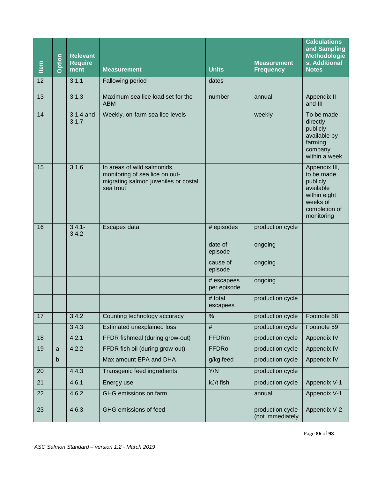| Item | Option       | <b>Relevant</b><br><b>Require</b><br>ment | <b>Measurement</b>                                                                                                 | <b>Units</b>              | <b>Measurement</b><br><b>Frequency</b> | <b>Calculations</b><br>and Sampling<br><b>Methodologie</b><br>s, Additional<br><b>Notes</b>                     |
|------|--------------|-------------------------------------------|--------------------------------------------------------------------------------------------------------------------|---------------------------|----------------------------------------|-----------------------------------------------------------------------------------------------------------------|
| 12   |              | 3.1.1                                     | Fallowing period                                                                                                   | dates                     |                                        |                                                                                                                 |
| 13   |              | 3.1.3                                     | Maximum sea lice load set for the<br><b>ABM</b>                                                                    | number                    | annual                                 | Appendix II<br>and III                                                                                          |
| 14   |              | 3.1.4 and<br>3.1.7                        | Weekly, on-farm sea lice levels                                                                                    |                           | weekly                                 | To be made<br>directly<br>publicly<br>available by<br>farming<br>company<br>within a week                       |
| 15   |              | 3.1.6                                     | In areas of wild salmonids,<br>monitoring of sea lice on out-<br>migrating salmon juveniles or costal<br>sea trout |                           |                                        | Appendix III,<br>to be made<br>publicly<br>available<br>within eight<br>weeks of<br>completion of<br>monitoring |
| 16   |              | $3.4.1 -$<br>3.4.2                        | Escapes data                                                                                                       | # episodes                | production cycle                       |                                                                                                                 |
|      |              |                                           |                                                                                                                    | date of<br>episode        | ongoing                                |                                                                                                                 |
|      |              |                                           |                                                                                                                    | cause of<br>episode       | ongoing                                |                                                                                                                 |
|      |              |                                           |                                                                                                                    | # escapees<br>per episode | ongoing                                |                                                                                                                 |
|      |              |                                           |                                                                                                                    | # total<br>escapees       | production cycle                       |                                                                                                                 |
| 17   |              | 3.4.2                                     | Counting technology accuracy                                                                                       | %                         | production cycle                       | Footnote 58                                                                                                     |
|      |              | 3.4.3                                     | Estimated unexplained loss                                                                                         | #                         | production cycle                       | Footnote 59                                                                                                     |
| 18   |              | 4.2.1                                     | FFDR fishmeal (during grow-out)                                                                                    | <b>FFDRm</b>              | production cycle                       | <b>Appendix IV</b>                                                                                              |
| 19   | a            | 4.2.2                                     | FFDR fish oil (during grow-out)                                                                                    | <b>FFDRo</b>              | production cycle                       | Appendix IV                                                                                                     |
|      | $\mathsf{b}$ |                                           | Max amount EPA and DHA                                                                                             | g/kg feed                 | production cycle                       | Appendix IV                                                                                                     |
| 20   |              | 4.4.3                                     | Transgenic feed ingredients                                                                                        | Y/N                       | production cycle                       |                                                                                                                 |
| 21   |              | 4.6.1                                     | Energy use                                                                                                         | kJ/t fish                 | production cycle                       | Appendix V-1                                                                                                    |
| 22   |              | 4.6.2                                     | GHG emissions on farm                                                                                              |                           | annual                                 | Appendix V-1                                                                                                    |
| 23   |              | 4.6.3                                     | GHG emissions of feed                                                                                              |                           | production cycle<br>(not immediately   | Appendix V-2                                                                                                    |
|      |              |                                           | ASC Salmon Standard - version 1.2 - March 2019                                                                     |                           |                                        | Page 86 of 98                                                                                                   |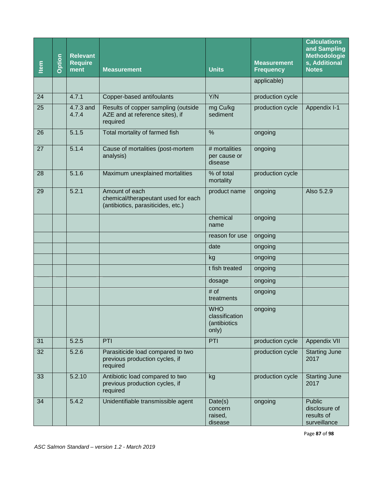| Item | Option | <b>Relevant</b><br><b>Require</b><br>ment | <b>Measurement</b>                                                                          | <b>Units</b>                                          | <b>Measurement</b><br><b>Frequency</b> | <b>Calculations</b><br>and Sampling<br><b>Methodologie</b><br>s, Additional<br><b>Notes</b> |
|------|--------|-------------------------------------------|---------------------------------------------------------------------------------------------|-------------------------------------------------------|----------------------------------------|---------------------------------------------------------------------------------------------|
|      |        |                                           |                                                                                             |                                                       | applicable)                            |                                                                                             |
| 24   |        | 4.7.1                                     | Copper-based antifoulants                                                                   | Y/N                                                   | production cycle                       |                                                                                             |
| 25   |        | 4.7.3 and<br>4.7.4                        | Results of copper sampling (outside<br>AZE and at reference sites), if<br>required          | mg Cu/kg<br>sediment                                  | production cycle                       | Appendix I-1                                                                                |
| 26   |        | 5.1.5                                     | Total mortality of farmed fish                                                              | $\frac{0}{0}$                                         | ongoing                                |                                                                                             |
| 27   |        | 5.1.4                                     | Cause of mortalities (post-mortem<br>analysis)                                              | # mortalities<br>per cause or<br>disease              | ongoing                                |                                                                                             |
| 28   |        | 5.1.6                                     | Maximum unexplained mortalities                                                             | % of total<br>mortality                               | production cycle                       |                                                                                             |
| 29   |        | 5.2.1                                     | Amount of each<br>chemical/therapeutant used for each<br>(antibiotics, parasiticides, etc.) | product name                                          | ongoing                                | Also 5.2.9                                                                                  |
|      |        |                                           |                                                                                             | chemical<br>name                                      | ongoing                                |                                                                                             |
|      |        |                                           |                                                                                             | reason for use                                        | ongoing                                |                                                                                             |
|      |        |                                           |                                                                                             | date                                                  | ongoing                                |                                                                                             |
|      |        |                                           |                                                                                             | kg                                                    | ongoing                                |                                                                                             |
|      |        |                                           |                                                                                             | t fish treated                                        | ongoing                                |                                                                                             |
|      |        |                                           |                                                                                             | dosage                                                | ongoing                                |                                                                                             |
|      |        |                                           |                                                                                             | # of<br>treatments                                    | ongoing                                |                                                                                             |
|      |        |                                           |                                                                                             | <b>WHO</b><br>classification<br>(antibiotics<br>only) | ongoing                                |                                                                                             |
| 31   |        | 5.2.5                                     | PTI                                                                                         | PTI                                                   | production cycle                       | Appendix VII                                                                                |
| 32   |        | 5.2.6                                     | Parasiticide load compared to two<br>previous production cycles, if<br>required             |                                                       | production cycle                       | <b>Starting June</b><br>2017                                                                |
| 33   |        | 5.2.10                                    | Antibiotic load compared to two<br>previous production cycles, if<br>required               | kg                                                    | production cycle                       | <b>Starting June</b><br>2017                                                                |
| 34   |        | 5.4.2                                     | Unidentifiable transmissible agent                                                          | Date(s)<br>concern<br>raised,<br>disease              | ongoing                                | <b>Public</b><br>disclosure of<br>results of<br>surveillance                                |
|      |        |                                           | ASC Salmon Standard - version 1.2 - March 2019                                              |                                                       |                                        | Page 87 of 98                                                                               |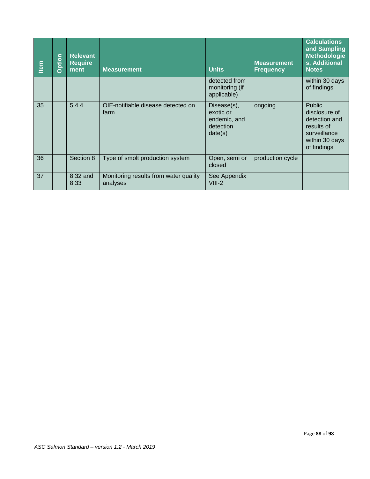| Item | Option                                                          | <b>Relevant</b><br><b>Require</b><br>ment | <b>Measurement</b>                                | <b>Units</b>                                                     | <b>Measurement</b><br><b>Frequency</b> | <b>Calculations</b><br>and Sampling<br><b>Methodologie</b><br>s, Additional<br><b>Notes</b>                    |  |
|------|-----------------------------------------------------------------|-------------------------------------------|---------------------------------------------------|------------------------------------------------------------------|----------------------------------------|----------------------------------------------------------------------------------------------------------------|--|
|      |                                                                 |                                           |                                                   | detected from<br>monitoring (if<br>applicable)                   |                                        | within 30 days<br>of findings                                                                                  |  |
| 35   |                                                                 | 5.4.4                                     | OIE-notifiable disease detected on<br>farm        | Disease(s),<br>exotic or<br>endemic, and<br>detection<br>date(s) | ongoing                                | <b>Public</b><br>disclosure of<br>detection and<br>results of<br>surveillance<br>within 30 days<br>of findings |  |
| 36   |                                                                 | Section 8                                 | Type of smolt production system                   | Open, semi or<br>closed                                          | production cycle                       |                                                                                                                |  |
| 37   |                                                                 | 8.32 and<br>8.33                          | Monitoring results from water quality<br>analyses | See Appendix<br>$VIII-2$                                         |                                        |                                                                                                                |  |
|      |                                                                 |                                           |                                                   |                                                                  |                                        |                                                                                                                |  |
|      | Page 88 of 98<br>ASC Salmon Standard - version 1.2 - March 2019 |                                           |                                                   |                                                                  |                                        |                                                                                                                |  |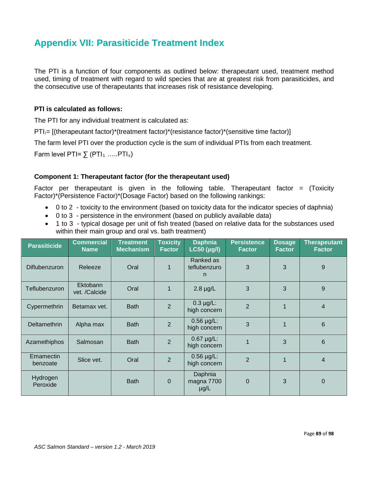# **Appendix VII: Parasiticide Treatment Index**

The PTI is a function of four components as outlined below: therapeutant used, treatment method used, timing of treatment with regard to wild species that are at greatest risk from parasiticides, and the consecutive use of therapeutants that increases risk of resistance developing.

### **PTI is calculated as follows:**

The PTI for any individual treatment is calculated as:

 $PT_{i}=$  [(therapeutant factor)\*(treatment factor)\*(resistance factor)\*(sensitive time factor)]

The farm level PTI over the production cycle is the sum of individual PTIs from each treatment.

Farm level PTI=  $\sum$  (PTI<sub>1</sub> ……PTI<sub>x</sub>)

## **Component 1: Therapeutant factor (for the therapeutant used)**

Factor per therapeutant is given in the following table. Therapeutant factor = (Toxicity Factor)\*(Persistence Factor)\*(Dosage Factor) based on the following rankings:

- 0 to 2 toxicity to the environment (based on toxicity data for the indicator species of daphnia)
- 0 to 3 persistence in the environment (based on publicly available data)
- 1 to 3 typical dosage per unit of fish treated (based on relative data for the substances used within their main group and oral vs. bath treatment)

| <b>Parasiticide</b>   | <b>Commercial</b><br><b>Name</b> | <b>Treatment</b><br><b>Mechanism</b> | <b>Toxicity</b><br><b>Factor</b> | <b>Daphnia</b><br>$LC50$ ( $\mu$ g/l) | <b>Persistence</b><br><b>Factor</b> | <b>Dosage</b><br><b>Factor</b> | <b>Therapeutant</b><br><b>Factor</b> |
|-----------------------|----------------------------------|--------------------------------------|----------------------------------|---------------------------------------|-------------------------------------|--------------------------------|--------------------------------------|
| <b>Diflubenzuron</b>  | Releeze                          | Oral                                 | 1                                | Ranked as<br>teflubenzuro<br>n        | 3                                   | 3                              | 9                                    |
| Teflubenzuron         | Ektobann<br>vet. /Calcide        | Oral                                 | 1                                | $2.8 \mu g/L$                         | 3                                   | 3                              | 9                                    |
| Cypermethrin          | Betamax vet.                     | <b>Bath</b>                          | $\overline{2}$                   | $0.3 \mu g/L$ :<br>high concern       | $\overline{2}$                      | 1                              | $\overline{4}$                       |
| Deltamethrin          | Alpha max                        | <b>Bath</b>                          | $\overline{2}$                   | $0.56 \mu g/L$ :<br>high concern      | 3                                   | 1                              | 6                                    |
| Azamethiphos          | Salmosan                         | <b>Bath</b>                          | $\overline{2}$                   | $0.67 \mu g/L$ :<br>high concern      |                                     | 3                              | $6\phantom{1}$                       |
| Emamectin<br>benzoate | Slice vet.                       | Oral                                 | $\overline{2}$                   | $0.56 \mu g/L$ :<br>high concern      | $\overline{2}$                      | $\overline{1}$                 | 4                                    |
| Hydrogen<br>Peroxide  |                                  | <b>Bath</b>                          | $\Omega$                         | Daphnia<br>magna 7700<br>$\mu$ g/L    | $\mathbf 0$                         | 3                              | $\overline{0}$                       |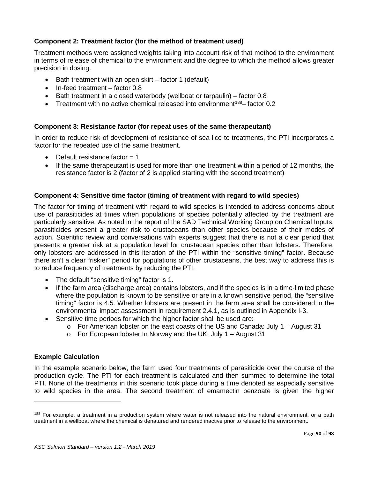## **Component 2: Treatment factor (for the method of treatment used)**

Treatment methods were assigned weights taking into account risk of that method to the environment in terms of release of chemical to the environment and the degree to which the method allows greater precision in dosing.

- Bath treatment with an open skirt factor 1 (default)
- In-feed treatment factor 0.8
- Bath treatment in a closed waterbody (wellboat or tarpaulin) factor 0.8
- Treatment with no active chemical released into environment<sup>188</sup> factor  $0.2$

## **Component 3: Resistance factor (for repeat uses of the same therapeutant)**

In order to reduce risk of development of resistance of sea lice to treatments, the PTI incorporates a factor for the repeated use of the same treatment.

- Default resistance factor  $= 1$
- If the same therapeutant is used for more than one treatment within a period of 12 months, the resistance factor is 2 (factor of 2 is applied starting with the second treatment)

## **Component 4: Sensitive time factor (timing of treatment with regard to wild species)**

The factor for timing of treatment with regard to wild species is intended to address concerns about use of parasiticides at times when populations of species potentially affected by the treatment are particularly sensitive. As noted in the report of the SAD Technical Working Group on Chemical Inputs, parasiticides present a greater risk to crustaceans than other species because of their modes of action. Scientific review and conversations with experts suggest that there is not a clear period that presents a greater risk at a population level for crustacean species other than lobsters. Therefore, only lobsters are addressed in this iteration of the PTI within the "sensitive timing" factor. Because there isn't a clear "riskier" period for populations of other crustaceans, the best way to address this is to reduce frequency of treatments by reducing the PTI.

- The default "sensitive timing" factor is 1.
- If the farm area (discharge area) contains lobsters, and if the species is in a time-limited phase where the population is known to be sensitive or are in a known sensitive period, the "sensitive timing" factor is 4.5. Whether lobsters are present in the farm area shall be considered in the environmental impact assessment in requirement 2.4.1, as is outlined in Appendix I-3.
- Sensitive time periods for which the higher factor shall be used are:
	- $\circ$  For American lobster on the east coasts of the US and Canada: July 1 August 31
	- o For European lobster In Norway and the UK: July 1 August 31

#### **Example Calculation**

l

In the example scenario below, the farm used four treatments of parasiticide over the course of the production cycle. The PTI for each treatment is calculated and then summed to determine the total PTI. None of the treatments in this scenario took place during a time denoted as especially sensitive to wild species in the area. The second treatment of emamectin benzoate is given the higher

<span id="page-89-0"></span><sup>&</sup>lt;sup>188</sup> For example, a treatment in a production system where water is not released into the natural environment, or a bath treatment in a wellboat where the chemical is denatured and rendered inactive prior to release to the environment.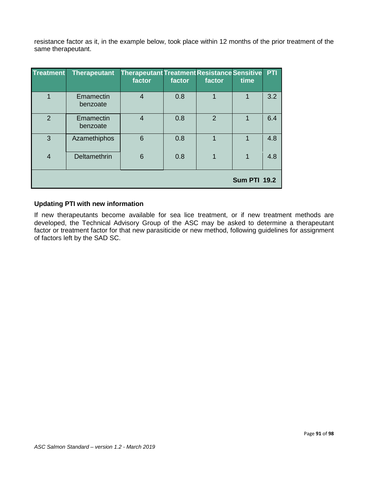resistance factor as it, in the example below, took place within 12 months of the prior treatment of the same therapeutant.

| <b>Treatment</b> | <b>Therapeutant</b>   | <b>Therapeutant Treatment Resistance Sensitive</b><br>factor | factor | factor         | time                | PTI |
|------------------|-----------------------|--------------------------------------------------------------|--------|----------------|---------------------|-----|
|                  | Emamectin<br>benzoate | $\overline{4}$                                               | 0.8    |                | 1                   | 3.2 |
| $\overline{2}$   | Emamectin<br>benzoate | $\overline{4}$                                               | 0.8    | $\overline{2}$ | 1                   | 6.4 |
| 3                | Azamethiphos          | 6                                                            | 0.8    |                | 1                   | 4.8 |
| $\overline{4}$   | Deltamethrin          | 6                                                            | 0.8    |                | 1                   | 4.8 |
|                  |                       |                                                              |        |                | <b>Sum PTI 19.2</b> |     |

## **Updating PTI with new information**

If new therapeutants become available for sea lice treatment, or if new treatment methods are developed, the Technical Advisory Group of the ASC may be asked to determine a therapeutant factor or treatment factor for that new parasiticide or new method, following guidelines for assignment of factors left by the SAD SC.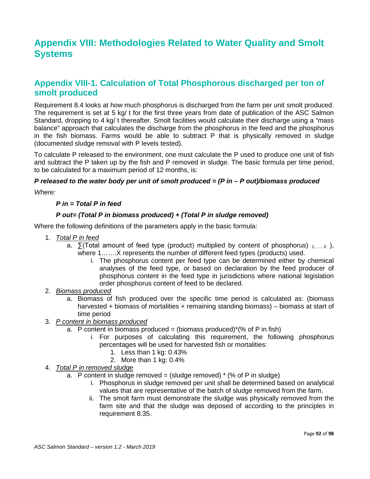# **Appendix VIII: Methodologies Related to Water Quality and Smolt Systems**

## **Appendix VIII-1. Calculation of Total Phosphorous discharged per ton of smolt produced**

Requirement 8.4 looks at how much phosphorus is discharged from the farm per unit smolt produced. The requirement is set at 5 kg/ t for the first three years from date of publication of the ASC Salmon Standard, dropping to 4 kg/ t thereafter. Smolt facilities would calculate their discharge using a "mass balance" approach that calculates the discharge from the phosphorus in the feed and the phosphorus in the fish biomass. Farms would be able to subtract P that is physically removed in sludge (documented sludge removal with P levels tested).

To calculate P released to the environment, one must calculate the P used to produce one unit of fish and subtract the P taken up by the fish and P removed in sludge. The basic formula per time period, to be calculated for a maximum period of 12 months, is:

### *P released to the water body per unit of smolt produced = (P in – P out)/biomass produced*

*Where:* 

### *P in = Total P in feed*

### *P out= (Total P in biomass produced) + (Total P in sludge removed)*

Where the following definitions of the parameters apply in the basic formula:

- 1. *Total P in feed* 
	- a.  $\sum$  (Total amount of feed type (product) multiplied by content of phosphorus)  $_{1,...,x}$ ), where 1…….X represents the number of different feed types (products) used.
		- i. The phosphorus content per feed type can be determined either by chemical analyses of the feed type, or based on declaration by the feed producer of phosphorus content in the feed type in jurisdictions where national legislation order phosphorus content of feed to be declared.
- 2. *Biomass produced* 
	- a. Biomass of fish produced over the specific time period is calculated as: (biomass harvested + biomass of mortalities + remaining standing biomass) – biomass at start of time period
- 3. *P content in biomass produced* 
	- a. P content in biomass produced = (biomass produced) $*(%$  of P in fish)
		- i. For purposes of calculating this requirement, the following phosphorus percentages will be used for harvested fish or mortalities:
			- 1. Less than 1 kg: 0.43%
			- 2. More than 1 kg: 0.4%
- 4. *Total P in removed sludge* 
	- a. P content in sludge removed = (sludge removed)  $*(\%$  of P in sludge)
		- i. Phosphorus in sludge removed per unit shall be determined based on analytical values that are representative of the batch of sludge removed from the farm.
		- ii. The smolt farm must demonstrate the sludge was physically removed from the farm site and that the sludge was deposed of according to the principles in requirement 8.35.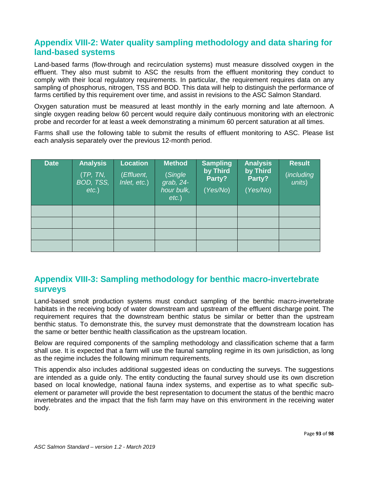# **Appendix VIII-2: Water quality sampling methodology and data sharing for land-based systems**

Land-based farms (flow-through and recirculation systems) must measure dissolved oxygen in the effluent. They also must submit to ASC the results from the effluent monitoring they conduct to comply with their local regulatory requirements. In particular, the requirement requires data on any sampling of phosphorus, nitrogen, TSS and BOD. This data will help to distinguish the performance of farms certified by this requirement over time, and assist in revisions to the ASC Salmon Standard.

Oxygen saturation must be measured at least monthly in the early morning and late afternoon. A single oxygen reading below 60 percent would require daily continuous monitoring with an electronic probe and recorder for at least a week demonstrating a minimum 60 percent saturation at all times.

Farms shall use the following table to submit the results of effluent monitoring to ASC. Please list each analysis separately over the previous 12-month period.

| <b>Date</b> | Analysis<br>(TP, TN, T)<br>BOD, TSS,<br>$etc.$ ) | Location<br>(Effluent,<br>Inlet, etc.) | <b>Method</b><br>(Single<br>$\vec{graph}$ , 24-<br>hour bulk,<br>$etc.$ ) | <b>Sampling</b><br>by Third<br>Party?<br>(Yes/No) | <b>Analysis</b><br>by Third<br>Party?<br>(Yes/No) | <b>Result</b><br>(including<br>units) |
|-------------|--------------------------------------------------|----------------------------------------|---------------------------------------------------------------------------|---------------------------------------------------|---------------------------------------------------|---------------------------------------|
|             |                                                  |                                        |                                                                           |                                                   |                                                   |                                       |
|             |                                                  |                                        |                                                                           |                                                   |                                                   |                                       |
|             |                                                  |                                        |                                                                           |                                                   |                                                   |                                       |
|             |                                                  |                                        |                                                                           |                                                   |                                                   |                                       |

# **Appendix VIII-3: Sampling methodology for benthic macro-invertebrate surveys**

Land-based smolt production systems must conduct sampling of the benthic macro-invertebrate habitats in the receiving body of water downstream and upstream of the effluent discharge point. The requirement requires that the downstream benthic status be similar or better than the upstream benthic status. To demonstrate this, the survey must demonstrate that the downstream location has the same or better benthic health classification as the upstream location.

Below are required components of the sampling methodology and classification scheme that a farm shall use. It is expected that a farm will use the faunal sampling regime in its own jurisdiction, as long as the regime includes the following minimum requirements.

This appendix also includes additional suggested ideas on conducting the surveys. The suggestions are intended as a guide only. The entity conducting the faunal survey should use its own discretion based on local knowledge, national fauna index systems, and expertise as to what specific subelement or parameter will provide the best representation to document the status of the benthic macro invertebrates and the impact that the fish farm may have on this environment in the receiving water body.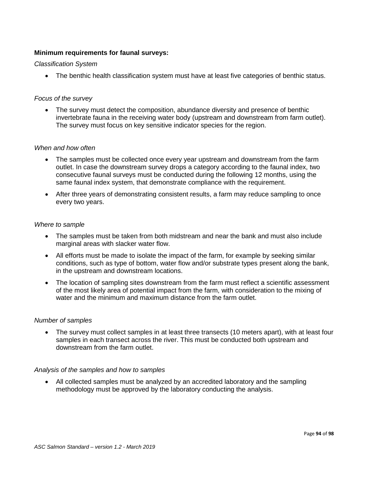### **Minimum requirements for faunal surveys:**

#### *Classification System*

• The benthic health classification system must have at least five categories of benthic status.

#### *Focus of the survey*

• The survey must detect the composition, abundance diversity and presence of benthic invertebrate fauna in the receiving water body (upstream and downstream from farm outlet). The survey must focus on key sensitive indicator species for the region.

#### *When and how often*

- The samples must be collected once every year upstream and downstream from the farm outlet. In case the downstream survey drops a category according to the faunal index, two consecutive faunal surveys must be conducted during the following 12 months, using the same faunal index system, that demonstrate compliance with the requirement.
- After three years of demonstrating consistent results, a farm may reduce sampling to once every two years.

#### *Where to sample*

- The samples must be taken from both midstream and near the bank and must also include marginal areas with slacker water flow.
- All efforts must be made to isolate the impact of the farm, for example by seeking similar conditions, such as type of bottom, water flow and/or substrate types present along the bank, in the upstream and downstream locations.
- The location of sampling sites downstream from the farm must reflect a scientific assessment of the most likely area of potential impact from the farm, with consideration to the mixing of water and the minimum and maximum distance from the farm outlet.

#### *Number of samples*

• The survey must collect samples in at least three transects (10 meters apart), with at least four samples in each transect across the river. This must be conducted both upstream and downstream from the farm outlet.

#### *Analysis of the samples and how to samples*

• All collected samples must be analyzed by an accredited laboratory and the sampling methodology must be approved by the laboratory conducting the analysis.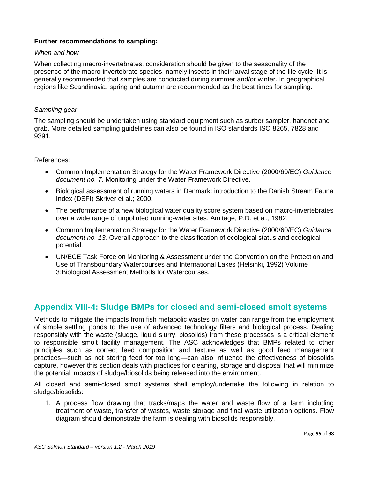## **Further recommendations to sampling:**

#### *When and how*

When collecting macro-invertebrates, consideration should be given to the seasonality of the presence of the macro-invertebrate species, namely insects in their larval stage of the life cycle. It is generally recommended that samples are conducted during summer and/or winter. In geographical regions like Scandinavia, spring and autumn are recommended as the best times for sampling.

#### *Sampling gear*

The sampling should be undertaken using standard equipment such as surber sampler, handnet and grab. More detailed sampling guidelines can also be found in ISO standards ISO 8265, 7828 and 9391.

#### References:

- Common Implementation Strategy for the Water Framework Directive (2000/60/EC) *Guidance document no. 7.* Monitoring under the Water Framework Directive.
- Biological assessment of running waters in Denmark: introduction to the Danish Stream Fauna Index (DSFI) Skriver et al.; 2000.
- The performance of a new biological water quality score system based on macro-invertebrates over a wide range of unpolluted running-water sites. Amitage, P.D. et al., 1982.
- Common Implementation Strategy for the Water Framework Directive (2000/60/EC) *Guidance document no. 13.* Overall approach to the classification of ecological status and ecological potential.
- UN/ECE Task Force on Monitoring & Assessment under the Convention on the Protection and Use of Transboundary Watercourses and International Lakes (Helsinki, 1992) Volume 3:Biological Assessment Methods for Watercourses.

## **Appendix VIII-4: Sludge BMPs for closed and semi-closed smolt systems**

Methods to mitigate the impacts from fish metabolic wastes on water can range from the employment of simple settling ponds to the use of advanced technology filters and biological process. Dealing responsibly with the waste (sludge, liquid slurry, biosolids) from these processes is a critical element to responsible smolt facility management. The ASC acknowledges that BMPs related to other principles such as correct feed composition and texture as well as good feed management practices—such as not storing feed for too long—can also influence the effectiveness of biosolids capture, however this section deals with practices for cleaning, storage and disposal that will minimize the potential impacts of sludge/biosolids being released into the environment.

All closed and semi-closed smolt systems shall employ/undertake the following in relation to sludge/biosolids:

1. A process flow drawing that tracks/maps the water and waste flow of a farm including treatment of waste, transfer of wastes, waste storage and final waste utilization options. Flow diagram should demonstrate the farm is dealing with biosolids responsibly.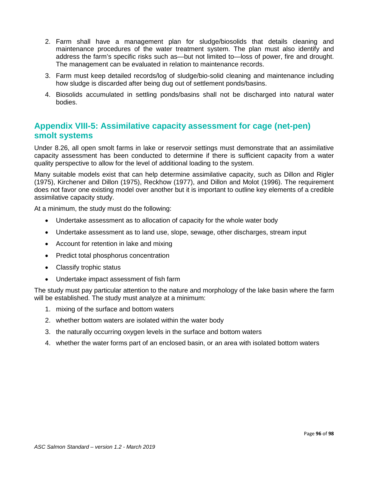- 2. Farm shall have a management plan for sludge/biosolids that details cleaning and maintenance procedures of the water treatment system. The plan must also identify and address the farm's specific risks such as—but not limited to—loss of power, fire and drought. The management can be evaluated in relation to maintenance records.
- 3. Farm must keep detailed records/log of sludge/bio-solid cleaning and maintenance including how sludge is discarded after being dug out of settlement ponds/basins.
- 4. Biosolids accumulated in settling ponds/basins shall not be discharged into natural water bodies.

# **Appendix VIII-5: Assimilative capacity assessment for cage (net-pen) smolt systems**

Under 8.26, all open smolt farms in lake or reservoir settings must demonstrate that an assimilative capacity assessment has been conducted to determine if there is sufficient capacity from a water quality perspective to allow for the level of additional loading to the system.

Many suitable models exist that can help determine assimilative capacity, such as Dillon and Rigler (1975), Kirchener and Dillon (1975), Reckhow (1977), and Dillon and Molot (1996). The requirement does not favor one existing model over another but it is important to outline key elements of a credible assimilative capacity study.

At a minimum, the study must do the following:

- Undertake assessment as to allocation of capacity for the whole water body
- Undertake assessment as to land use, slope, sewage, other discharges, stream input
- Account for retention in lake and mixing
- Predict total phosphorus concentration
- Classify trophic status
- Undertake impact assessment of fish farm

The study must pay particular attention to the nature and morphology of the lake basin where the farm will be established. The study must analyze at a minimum:

- 1. mixing of the surface and bottom waters
- 2. whether bottom waters are isolated within the water body
- 3. the naturally occurring oxygen levels in the surface and bottom waters
- 4. whether the water forms part of an enclosed basin, or an area with isolated bottom waters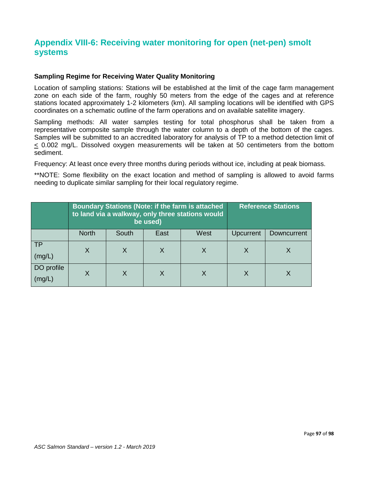# **Appendix VIII-6: Receiving water monitoring for open (net-pen) smolt systems**

### **Sampling Regime for Receiving Water Quality Monitoring**

Location of sampling stations: Stations will be established at the limit of the cage farm management zone on each side of the farm, roughly 50 meters from the edge of the cages and at reference stations located approximately 1-2 kilometers (km). All sampling locations will be identified with GPS coordinates on a schematic outline of the farm operations and on available satellite imagery.

Sampling methods: All water samples testing for total phosphorus shall be taken from a representative composite sample through the water column to a depth of the bottom of the cages. Samples will be submitted to an accredited laboratory for analysis of TP to a method detection limit of < 0.002 mg/L. Dissolved oxygen measurements will be taken at 50 centimeters from the bottom sediment.

Frequency: At least once every three months during periods without ice, including at peak biomass.

\*\*NOTE: Some flexibility on the exact location and method of sampling is allowed to avoid farms needing to duplicate similar sampling for their local regulatory regime.

|                      |              | <b>Boundary Stations (Note: if the farm is attached</b><br>to land via a walkway, only three stations would<br>be used) |      | <b>Reference Stations</b> |                  |             |
|----------------------|--------------|-------------------------------------------------------------------------------------------------------------------------|------|---------------------------|------------------|-------------|
|                      | <b>North</b> | South                                                                                                                   | East | West                      | <b>Upcurrent</b> | Downcurrent |
| <b>TP</b><br>(mg/L)  | X            | X                                                                                                                       | X    |                           |                  |             |
| DO profile<br>(mg/L) | Χ            |                                                                                                                         | X    |                           |                  |             |